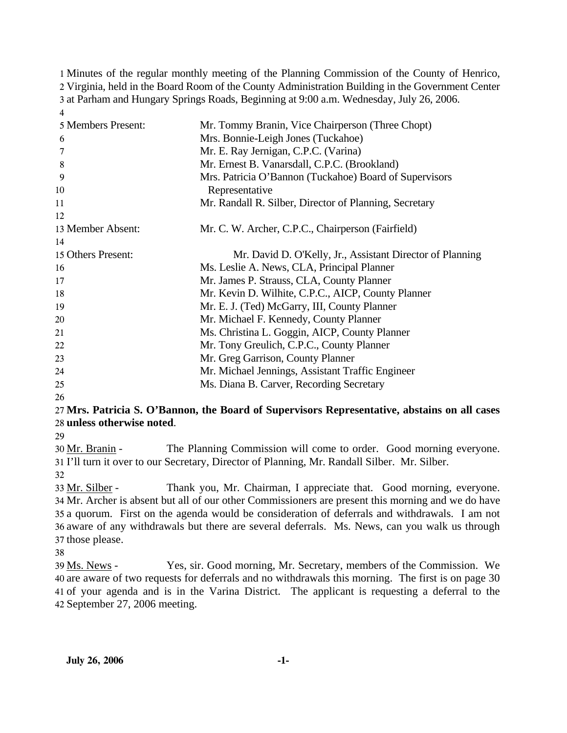Minutes of the regular monthly meeting of the Planning Commission of the County of Henrico, Virginia, held in the Board Room of the County Administration Building in the Government Center at Parham and Hungary Springs Roads, Beginning at 9:00 a.m. Wednesday, July 26, 2006. 4

| 5 Members Present: | Mr. Tommy Branin, Vice Chairperson (Three Chopt)          |
|--------------------|-----------------------------------------------------------|
| 6                  | Mrs. Bonnie-Leigh Jones (Tuckahoe)                        |
|                    | Mr. E. Ray Jernigan, C.P.C. (Varina)                      |
| 8                  | Mr. Ernest B. Vanarsdall, C.P.C. (Brookland)              |
| 9                  | Mrs. Patricia O'Bannon (Tuckahoe) Board of Supervisors    |
| 10                 | Representative                                            |
| 11                 | Mr. Randall R. Silber, Director of Planning, Secretary    |
| 12                 |                                                           |
| 13 Member Absent:  | Mr. C. W. Archer, C.P.C., Chairperson (Fairfield)         |
| 14                 |                                                           |
| 15 Others Present: | Mr. David D. O'Kelly, Jr., Assistant Director of Planning |
| 16                 | Ms. Leslie A. News, CLA, Principal Planner                |
| 17                 | Mr. James P. Strauss, CLA, County Planner                 |
| 18                 | Mr. Kevin D. Wilhite, C.P.C., AICP, County Planner        |
| 19                 | Mr. E. J. (Ted) McGarry, III, County Planner              |
| 20                 | Mr. Michael F. Kennedy, County Planner                    |
| 21                 | Ms. Christina L. Goggin, AICP, County Planner             |
| 22                 | Mr. Tony Greulich, C.P.C., County Planner                 |
| 23                 | Mr. Greg Garrison, County Planner                         |
| 24                 | Mr. Michael Jennings, Assistant Traffic Engineer          |
| 25                 | Ms. Diana B. Carver, Recording Secretary                  |
|                    |                                                           |

26

## 27 **Mrs. Patricia S. O'Bannon, the Board of Supervisors Representative, abstains on all cases**  28 **unless otherwise noted**.

29

The Planning Commission will come to order. Good morning everyone. 31 I'll turn it over to our Secretary, Director of Planning, Mr. Randall Silber. Mr. Silber. 30 Mr. Branin -

32

Thank you, Mr. Chairman, I appreciate that. Good morning, everyone. 34 Mr. Archer is absent but all of our other Commissioners are present this morning and we do have 35 a quorum. First on the agenda would be consideration of deferrals and withdrawals. I am not 36 aware of any withdrawals but there are several deferrals. Ms. News, can you walk us through 37 those please. 33 Mr. Silber -

38

Yes, sir. Good morning, Mr. Secretary, members of the Commission. We are aware of two requests for deferrals and no withdrawals this morning. The first is on page 30 40 41 of your agenda and is in the Varina District. The applicant is requesting a deferral to the 42 September 27, 2006 meeting. 39 Ms. News -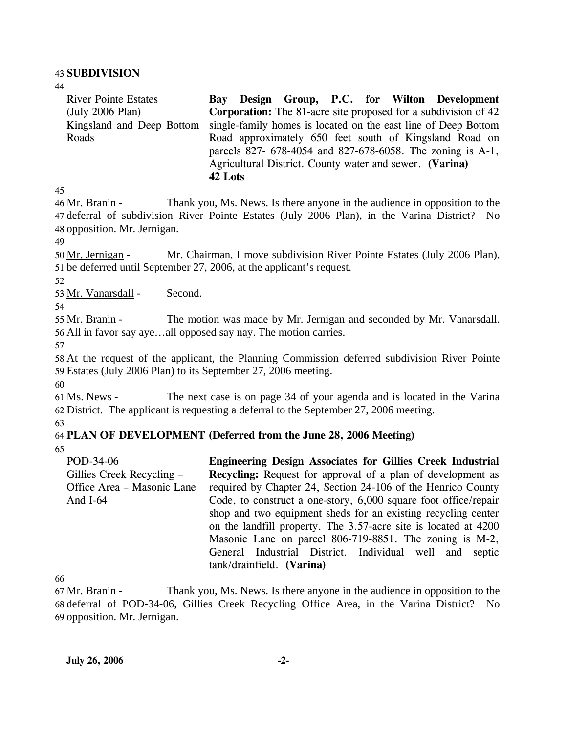#### 43 **SUBDIVISION**

44

River Pointe Estates (July 2006 Plan) Kingsland and Deep Bottom Roads **Bay Design Group, P.C. for Wilton Development Corporation:** The 81-acre site proposed for a subdivision of 42 single-family homes is located on the east line of Deep Bottom Road approximately 650 feet south of Kingsland Road on parcels 827- 678-4054 and 827-678-6058. The zoning is A-1, Agricultural District. County water and sewer. **(Varina)** 

45

Thank you, Ms. News. Is there anyone in the audience in opposition to the 47 deferral of subdivision River Pointe Estates (July 2006 Plan), in the Varina District? No 48 opposition. Mr. Jernigan. 46 Mr. Branin -

**42 Lots** 

49

Mr. Chairman, I move subdivision River Pointe Estates (July 2006 Plan), 51 be deferred until September 27, 2006, at the applicant's request. 50 Mr. Jernigan -

52

53 Mr. Vanarsdall - Second.

54

The motion was made by Mr. Jernigan and seconded by Mr. Vanarsdall. 56 All in favor say aye...all opposed say nay. The motion carries. 55 Mr. Branin -

57

58 At the request of the applicant, the Planning Commission deferred subdivision River Pointe 59 Estates (July 2006 Plan) to its September 27, 2006 meeting.

60

The next case is on page 34 of your agenda and is located in the Varina 62 District. The applicant is requesting a deferral to the September 27, 2006 meeting. 61 Ms. News -

63

# 64 **PLAN OF DEVELOPMENT (Deferred from the June 28, 2006 Meeting)**

65

POD-34-06 Gillies Creek Recycling – Office Area – Masonic Lane And I-64 **Engineering Design Associates for Gillies Creek Industrial Recycling:** Request for approval of a plan of development as required by Chapter 24, Section 24-106 of the Henrico County Code, to construct a one-story, 6,000 square foot office/repair shop and two equipment sheds for an existing recycling center on the landfill property. The 3.57-acre site is located at 4200 Masonic Lane on parcel 806-719-8851. The zoning is M-2, General Industrial District. Individual well and septic tank/drainfield. **(Varina)** 

66

Thank you, Ms. News. Is there anyone in the audience in opposition to the 68 deferral of POD-34-06, Gillies Creek Recycling Office Area, in the Varina District? No 69 opposition. Mr. Jernigan. 67 Mr. Branin -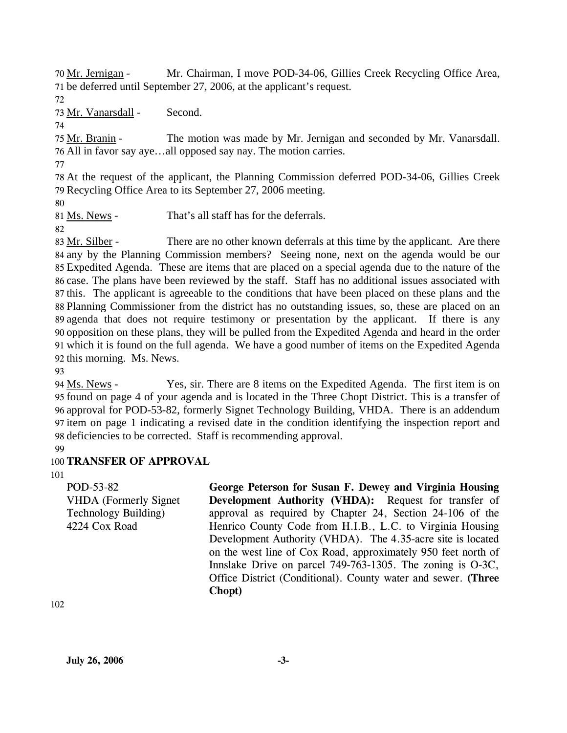Mr. Chairman, I move POD-34-06, Gillies Creek Recycling Office Area, 71 be deferred until September 27, 2006, at the applicant's request. 70 Mr. Jernigan -

72

73 Mr. Vanarsdall - Second.

74

The motion was made by Mr. Jernigan and seconded by Mr. Vanarsdall. 76 All in favor say aye...all opposed say nay. The motion carries. 75 Mr. Branin -

77

78 At the request of the applicant, the Planning Commission deferred POD-34-06, Gillies Creek 79 Recycling Office Area to its September 27, 2006 meeting.

80

81 Ms. News - That's all staff has for the deferrals.

82

There are no other known deferrals at this time by the applicant. Are there 84 any by the Planning Commission members? Seeing none, next on the agenda would be our Expedited Agenda. These are items that are placed on a special agenda due to the nature of the 85 86 case. The plans have been reviewed by the staff. Staff has no additional issues associated with 87 this. The applicant is agreeable to the conditions that have been placed on these plans and the 88 Planning Commissioner from the district has no outstanding issues, so, these are placed on an 89 agenda that does not require testimony or presentation by the applicant. If there is any 90 opposition on these plans, they will be pulled from the Expedited Agenda and heard in the order which it is found on the full agenda. We have a good number of items on the Expedited Agenda 91 92 this morning. Ms. News. 83 Mr. Silber -

93

Yes, sir. There are 8 items on the Expedited Agenda. The first item is on 95 found on page 4 of your agenda and is located in the Three Chopt District. This is a transfer of 96 approval for POD-53-82, formerly Signet Technology Building, VHDA. There is an addendum 97 item on page 1 indicating a revised date in the condition identifying the inspection report and 98 deficiencies to be corrected. Staff is recommending approval. 94 Ms. News -

99

# 100 **TRANSFER OF APPROVAL**

101

POD-53-82 VHDA (Formerly Signet Technology Building) 4224 Cox Road

**George Peterson for Susan F. Dewey and Virginia Housing Development Authority (VHDA):** Request for transfer of approval as required by Chapter 24, Section 24-106 of the Henrico County Code from H.I.B., L.C. to Virginia Housing Development Authority (VHDA). The 4.35-acre site is located on the west line of Cox Road, approximately 950 feet north of Innslake Drive on parcel 749-763-1305. The zoning is O-3C, Office District (Conditional). County water and sewer. **(Three Chopt)** 

102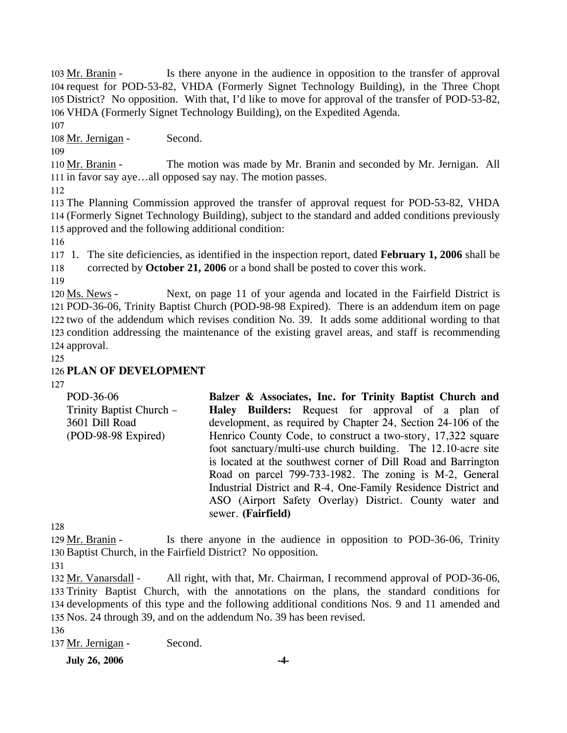Is there anyone in the audience in opposition to the transfer of approval 104 request for POD-53-82, VHDA (Formerly Signet Technology Building), in the Three Chopt 105 District? No opposition. With that, I'd like to move for approval of the transfer of POD-53-82, 106 VHDA (Formerly Signet Technology Building), on the Expedited Agenda. 103 Mr. Branin -

107

108 Mr. Jernigan - Second.

109

The motion was made by Mr. Branin and seconded by Mr. Jernigan. All 111 in favor say aye...all opposed say nay. The motion passes. 110 Mr. Branin -

112

113 The Planning Commission approved the transfer of approval request for POD-53-82, VHDA 114 (Formerly Signet Technology Building), subject to the standard and added conditions previously 115 approved and the following additional condition:

116

117 1. The site deficiencies, as identified in the inspection report, dated **February 1, 2006** shall be 118 corrected by **October 21, 2006** or a bond shall be posted to cover this work.

119

Next, on page 11 of your agenda and located in the Fairfield District is POD-36-06, Trinity Baptist Church (POD-98-98 Expired). There is an addendum item on page 121 122 two of the addendum which revises condition No. 39. It adds some additional wording to that 123 condition addressing the maintenance of the existing gravel areas, and staff is recommending 124 approval. 120 Ms. News -

125

## 126 **PLAN OF DEVELOPMENT**

127

| Balzer & Associates, Inc. for Trinity Baptist Church and       |
|----------------------------------------------------------------|
| Haley Builders: Request for approval of a plan of              |
| development, as required by Chapter 24, Section 24-106 of the  |
| Henrico County Code, to construct a two-story, 17,322 square   |
| foot sanctuary/multi-use church building. The 12.10-acre site  |
| is located at the southwest corner of Dill Road and Barrington |
| Road on parcel 799-733-1982. The zoning is M-2, General        |
| Industrial District and R-4, One-Family Residence District and |
| ASO (Airport Safety Overlay) District. County water and        |
| sewer. (Fairfield)                                             |
|                                                                |

128

Is there anyone in the audience in opposition to POD-36-06, Trinity 130 Baptist Church, in the Fairfield District? No opposition. 129 Mr. Branin -

131

All right, with that, Mr. Chairman, I recommend approval of POD-36-06, 133 Trinity Baptist Church, with the annotations on the plans, the standard conditions for 134 developments of this type and the following additional conditions Nos. 9 and 11 amended and 135 Nos. 24 through 39, and on the addendum No. 39 has been revised. 132 Mr. Vanarsdall -

136

137 Mr. Jernigan - Second.

**July 26, 2006** -4-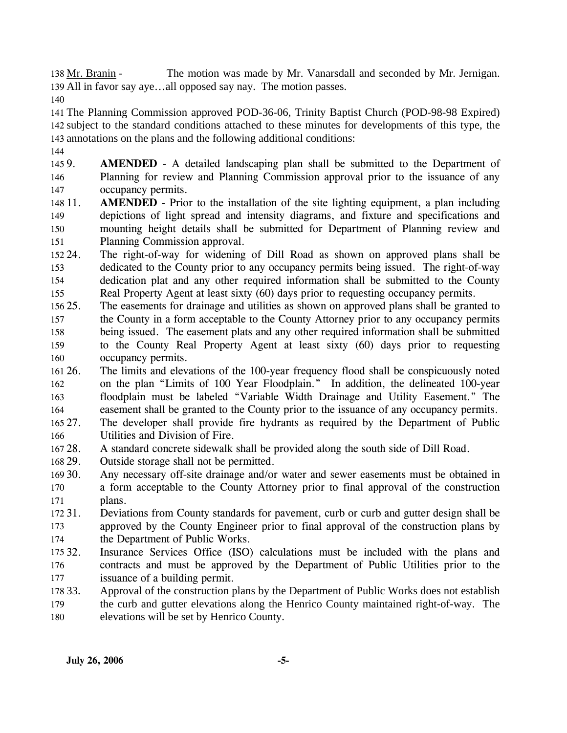The motion was made by Mr. Vanarsdall and seconded by Mr. Jernigan. All in favor say aye…all opposed say nay. The motion passes. 139 138 Mr. Branin -

140

141 The Planning Commission approved POD-36-06, Trinity Baptist Church (POD-98-98 Expired) 142 subject to the standard conditions attached to these minutes for developments of this type, the 143 annotations on the plans and the following additional conditions:

144

145 9. 146 147 **AMENDED** - A detailed landscaping plan shall be submitted to the Department of Planning for review and Planning Commission approval prior to the issuance of any occupancy permits.

148 11. 149 150 151 **AMENDED** - Prior to the installation of the site lighting equipment, a plan including depictions of light spread and intensity diagrams, and fixture and specifications and mounting height details shall be submitted for Department of Planning review and Planning Commission approval.

152 24. 153 154 155 The right-of-way for widening of Dill Road as shown on approved plans shall be dedicated to the County prior to any occupancy permits being issued. The right-of-way dedication plat and any other required information shall be submitted to the County Real Property Agent at least sixty (60) days prior to requesting occupancy permits.

- $15625.$ 157 158 159 160 25. The easements for drainage and utilities as shown on approved plans shall be granted to the County in a form acceptable to the County Attorney prior to any occupancy permits being issued. The easement plats and any other required information shall be submitted to the County Real Property Agent at least sixty (60) days prior to requesting occupancy permits.
- 161 26. 162 163 164 26. The limits and elevations of the 100-year frequency flood shall be conspicuously noted on the plan "Limits of 100 Year Floodplain." In addition, the delineated 100-year floodplain must be labeled "Variable Width Drainage and Utility Easement." The easement shall be granted to the County prior to the issuance of any occupancy permits.

 $165\,27.$ 166 The developer shall provide fire hydrants as required by the Department of Public Utilities and Division of Fire.

- 167 28. 28. A standard concrete sidewalk shall be provided along the south side of Dill Road.
- 168 29. Outside storage shall not be permitted.
- 169 30. 170 171 Any necessary off-site drainage and/or water and sewer easements must be obtained in a form acceptable to the County Attorney prior to final approval of the construction plans.
- 172 31. 173 174 31. Deviations from County standards for pavement, curb or curb and gutter design shall be approved by the County Engineer prior to final approval of the construction plans by the Department of Public Works.
- 175 32. 176 177 Insurance Services Office (ISO) calculations must be included with the plans and contracts and must be approved by the Department of Public Utilities prior to the issuance of a building permit.
- 178 33. Approval of the construction plans by the Department of Public Works does not establish
- 179 180 the curb and gutter elevations along the Henrico County maintained right-of-way. The elevations will be set by Henrico County.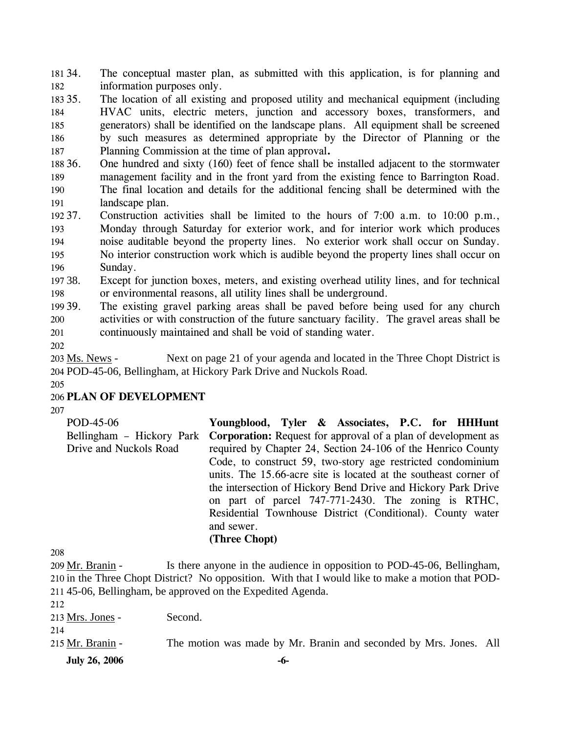181 34. 182 The conceptual master plan, as submitted with this application, is for planning and information purposes only.

183 35. 184 185 186 187 The location of all existing and proposed utility and mechanical equipment (including HVAC units, electric meters, junction and accessory boxes, transformers, and generators) shall be identified on the landscape plans. All equipment shall be screened by such measures as determined appropriate by the Director of Planning or the Planning Commission at the time of plan approval**.**

188 36. 189 36. One hundred and sixty (160) feet of fence shall be installed adjacent to the stormwater management facility and in the front yard from the existing fence to Barrington Road.

190 191 The final location and details for the additional fencing shall be determined with the landscape plan.

192 37. 193 194 195 196 Construction activities shall be limited to the hours of  $7:00$  a.m. to  $10:00$  p.m., Monday through Saturday for exterior work, and for interior work which produces noise auditable beyond the property lines. No exterior work shall occur on Sunday. No interior construction work which is audible beyond the property lines shall occur on Sunday.

197 38. 198 Except for junction boxes, meters, and existing overhead utility lines, and for technical or environmental reasons, all utility lines shall be underground.

199 39. 200 201 The existing gravel parking areas shall be paved before being used for any church activities or with construction of the future sanctuary facility. The gravel areas shall be continuously maintained and shall be void of standing water.

202

Next on page 21 of your agenda and located in the Three Chopt District is POD-45-06, Bellingham, at Hickory Park Drive and Nuckols Road. 204 203 Ms. News -

205

## 206 **PLAN OF DEVELOPMENT**

207

| POD-45-06              | Youngblood, Tyler & Associates, P.C. for HHHunt                                         |
|------------------------|-----------------------------------------------------------------------------------------|
|                        | Bellingham – Hickory Park Corporation: Request for approval of a plan of development as |
| Drive and Nuckols Road | required by Chapter 24, Section 24-106 of the Henrico County                            |
|                        | Code, to construct 59, two-story age restricted condominium                             |
|                        | units. The 15.66-acre site is located at the southeast corner of                        |
|                        | the intersection of Hickory Bend Drive and Hickory Park Drive                           |
|                        | on part of parcel 747-771-2430. The zoning is RTHC,                                     |
|                        | Residential Townhouse District (Conditional). County water                              |
|                        | and sewer.                                                                              |
|                        | (Three Chopt)                                                                           |

208

Is there anyone in the audience in opposition to POD-45-06, Bellingham, 210 in the Three Chopt District? No opposition. With that I would like to make a motion that POD-45-06, Bellingham, be approved on the Expedited Agenda. 211 209 Mr. Branin -

| <b>July 26, 2006</b>    | -6-                                                               |  |
|-------------------------|-------------------------------------------------------------------|--|
| 214<br>215 Mr. Branin - | The motion was made by Mr. Branin and seconded by Mrs. Jones. All |  |
| 212<br>213 Mrs. Jones - | Second.                                                           |  |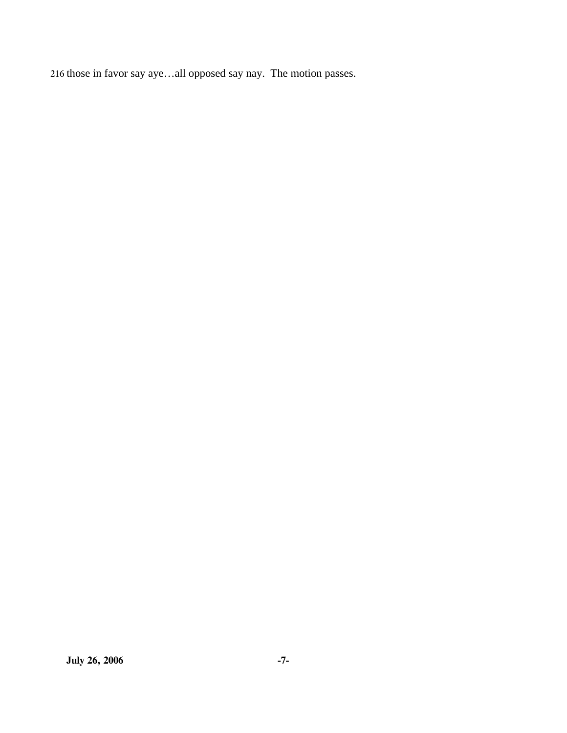216 those in favor say aye…all opposed say nay. The motion passes.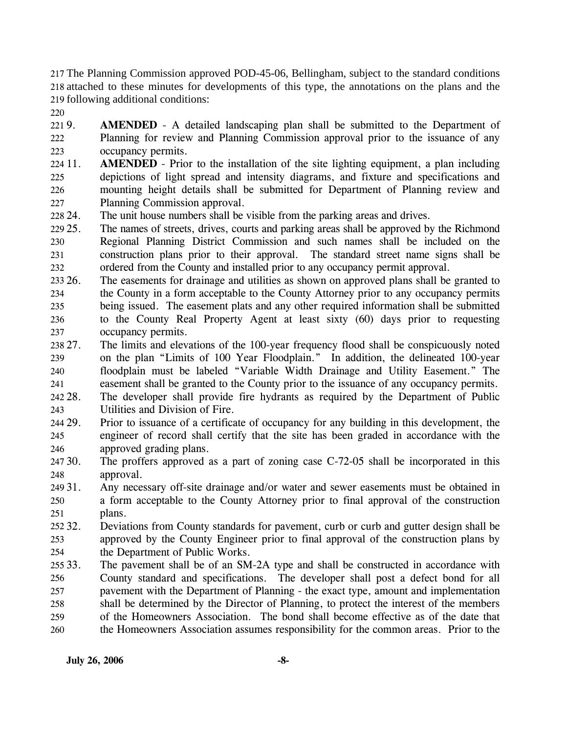217 The Planning Commission approved POD-45-06, Bellingham, subject to the standard conditions 218 attached to these minutes for developments of this type, the annotations on the plans and the 219 following additional conditions:

220

 $2219.$ 222 223 AMENDED - A detailed landscaping plan shall be submitted to the Department of Planning for review and Planning Commission approval prior to the issuance of any occupancy permits.

224 11. 225 226 227 **AMENDED** - Prior to the installation of the site lighting equipment, a plan including depictions of light spread and intensity diagrams, and fixture and specifications and mounting height details shall be submitted for Department of Planning review and Planning Commission approval.

228 24. The unit house numbers shall be visible from the parking areas and drives.

229 25. 230 231 232 The names of streets, drives, courts and parking areas shall be approved by the Richmond Regional Planning District Commission and such names shall be included on the construction plans prior to their approval. The standard street name signs shall be ordered from the County and installed prior to any occupancy permit approval.

233 26. 234 235 236 237 The easements for drainage and utilities as shown on approved plans shall be granted to the County in a form acceptable to the County Attorney prior to any occupancy permits being issued. The easement plats and any other required information shall be submitted to the County Real Property Agent at least sixty (60) days prior to requesting occupancy permits.

238 27. 239 240 241 The limits and elevations of the 100-year frequency flood shall be conspicuously noted on the plan "Limits of 100 Year Floodplain." In addition, the delineated 100-year floodplain must be labeled "Variable Width Drainage and Utility Easement." The easement shall be granted to the County prior to the issuance of any occupancy permits.

- 242 28. 243 The developer shall provide fire hydrants as required by the Department of Public Utilities and Division of Fire.
- 244 29. 245 246 Prior to issuance of a certificate of occupancy for any building in this development, the engineer of record shall certify that the site has been graded in accordance with the approved grading plans.
- 247 30. 248 The proffers approved as a part of zoning case  $C-72-05$  shall be incorporated in this approval.
- 249 31. 250 251 Any necessary off-site drainage and/or water and sewer easements must be obtained in a form acceptable to the County Attorney prior to final approval of the construction plans.
- 252.32. 253 254 32. Deviations from County standards for pavement, curb or curb and gutter design shall be approved by the County Engineer prior to final approval of the construction plans by the Department of Public Works.
- 255 33. 256 257 258 259 260 The pavement shall be of an SM-2A type and shall be constructed in accordance with County standard and specifications. The developer shall post a defect bond for all pavement with the Department of Planning - the exact type, amount and implementation shall be determined by the Director of Planning, to protect the interest of the members of the Homeowners Association. The bond shall become effective as of the date that the Homeowners Association assumes responsibility for the common areas. Prior to the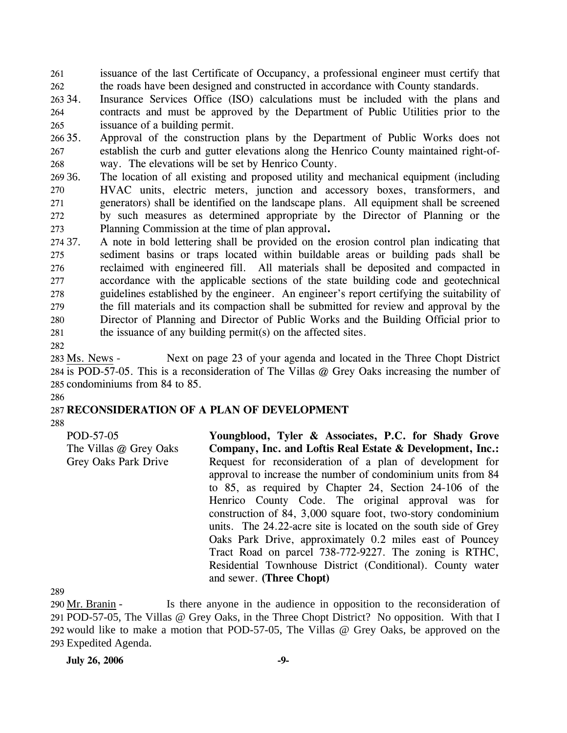261 262 issuance of the last Certificate of Occupancy, a professional engineer must certify that the roads have been designed and constructed in accordance with County standards.

263 34. 264 265 Insurance Services Office (ISO) calculations must be included with the plans and contracts and must be approved by the Department of Public Utilities prior to the issuance of a building permit.

266 35. 267 268 Approval of the construction plans by the Department of Public Works does not establish the curb and gutter elevations along the Henrico County maintained right-ofway. The elevations will be set by Henrico County.

269 36. 270 271 272 273 The location of all existing and proposed utility and mechanical equipment (including HVAC units, electric meters, junction and accessory boxes, transformers, and generators) shall be identified on the landscape plans. All equipment shall be screened by such measures as determined appropriate by the Director of Planning or the Planning Commission at the time of plan approval**.** 

274 37. 275 276 277 278 279 280 281 37. A note in bold lettering shall be provided on the erosion control plan indicating that sediment basins or traps located within buildable areas or building pads shall be reclaimed with engineered fill. All materials shall be deposited and compacted in accordance with the applicable sections of the state building code and geotechnical guidelines established by the engineer. An engineer's report certifying the suitability of the fill materials and its compaction shall be submitted for review and approval by the Director of Planning and Director of Public Works and the Building Official prior to the issuance of any building permit(s) on the affected sites.

282

Next on page 23 of your agenda and located in the Three Chopt District 284 is POD-57-05. This is a reconsideration of The Villas @ Grey Oaks increasing the number of 285 condominiums from 84 to 85. 283 Ms. News -

#### 286 287 **RECONSIDERATION OF A PLAN OF DEVELOPMENT**

288

| POD-57-05              | Youngblood, Tyler & Associates, P.C. for Shady Grove                                                                                                                                                                                                                                                                                                                                                                                                                                                                                                             |
|------------------------|------------------------------------------------------------------------------------------------------------------------------------------------------------------------------------------------------------------------------------------------------------------------------------------------------------------------------------------------------------------------------------------------------------------------------------------------------------------------------------------------------------------------------------------------------------------|
| The Villas @ Grey Oaks | Company, Inc. and Loftis Real Estate & Development, Inc.:                                                                                                                                                                                                                                                                                                                                                                                                                                                                                                        |
| Grey Oaks Park Drive   | Request for reconsideration of a plan of development for<br>approval to increase the number of condominium units from 84<br>to 85, as required by Chapter 24, Section 24-106 of the<br>Henrico County Code. The original approval was for<br>construction of 84, 3,000 square foot, two-story condominium<br>units. The 24.22-acre site is located on the south side of Grey<br>Oaks Park Drive, approximately 0.2 miles east of Pouncey<br>Tract Road on parcel 738-772-9227. The zoning is RTHC,<br>Residential Townhouse District (Conditional). County water |
|                        | and sewer. (Three Chopt)                                                                                                                                                                                                                                                                                                                                                                                                                                                                                                                                         |

289

Is there anyone in the audience in opposition to the reconsideration of 291 POD-57-05, The Villas @ Grey Oaks, in the Three Chopt District? No opposition. With that I 292 would like to make a motion that POD-57-05, The Villas @ Grey Oaks, be approved on the 293 Expedited Agenda. 290 Mr. Branin -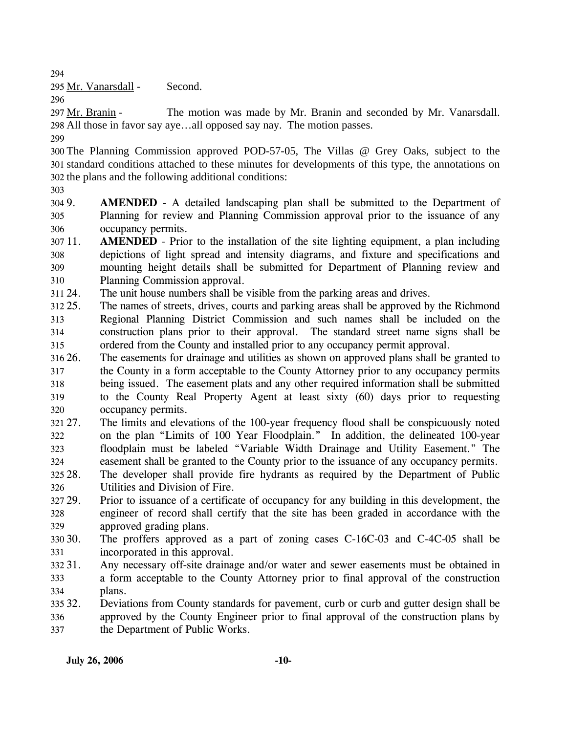294

295 Mr. Vanarsdall - Second.

296

The motion was made by Mr. Branin and seconded by Mr. Vanarsdall. All those in favor say aye…all opposed say nay. The motion passes. 298 297 Mr. Branin -

299

300 The Planning Commission approved POD-57-05, The Villas @ Grey Oaks, subject to the 301 standard conditions attached to these minutes for developments of this type, the annotations on 302 the plans and the following additional conditions:

303

304 9. 305 306 AMENDED - A detailed landscaping plan shall be submitted to the Department of Planning for review and Planning Commission approval prior to the issuance of any occupancy permits.

 $30711.$ 308 309 310 **AMENDED** - Prior to the installation of the site lighting equipment, a plan including depictions of light spread and intensity diagrams, and fixture and specifications and mounting height details shall be submitted for Department of Planning review and Planning Commission approval.

311 24. The unit house numbers shall be visible from the parking areas and drives.

- 312 25. 313 314 315 The names of streets, drives, courts and parking areas shall be approved by the Richmond Regional Planning District Commission and such names shall be included on the construction plans prior to their approval. The standard street name signs shall be ordered from the County and installed prior to any occupancy permit approval.
- 316 26. 317 318 319 320 The easements for drainage and utilities as shown on approved plans shall be granted to the County in a form acceptable to the County Attorney prior to any occupancy permits being issued. The easement plats and any other required information shall be submitted to the County Real Property Agent at least sixty (60) days prior to requesting occupancy permits.
- 321 27. 322 323 324 27. The limits and elevations of the 100-year frequency flood shall be conspicuously noted on the plan "Limits of 100 Year Floodplain." In addition, the delineated 100-year floodplain must be labeled "Variable Width Drainage and Utility Easement." The easement shall be granted to the County prior to the issuance of any occupancy permits.
- 325 28. 326 The developer shall provide fire hydrants as required by the Department of Public Utilities and Division of Fire.
- 327 29. 328 329 Prior to issuance of a certificate of occupancy for any building in this development, the engineer of record shall certify that the site has been graded in accordance with the approved grading plans.
- 30.30. 331 The proffers approved as a part of zoning cases  $C-16C-03$  and  $C-4C-05$  shall be incorporated in this approval.
- 332 31. 333 334 Any necessary off-site drainage and/or water and sewer easements must be obtained in a form acceptable to the County Attorney prior to final approval of the construction plans.
- 335 32. 336 337 Deviations from County standards for pavement, curb or curb and gutter design shall be approved by the County Engineer prior to final approval of the construction plans by the Department of Public Works.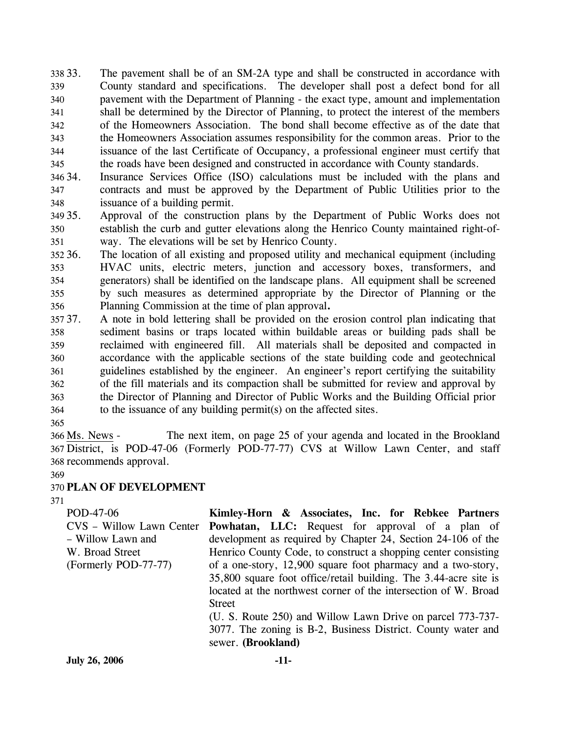338 33. 339 340 341 342 343 344 345 The pavement shall be of an SM-2A type and shall be constructed in accordance with County standard and specifications. The developer shall post a defect bond for all pavement with the Department of Planning - the exact type, amount and implementation shall be determined by the Director of Planning, to protect the interest of the members of the Homeowners Association. The bond shall become effective as of the date that the Homeowners Association assumes responsibility for the common areas. Prior to the issuance of the last Certificate of Occupancy, a professional engineer must certify that the roads have been designed and constructed in accordance with County standards.

346 34. 347 348 Insurance Services Office (ISO) calculations must be included with the plans and contracts and must be approved by the Department of Public Utilities prior to the issuance of a building permit.

349 35. 350 351 Approval of the construction plans by the Department of Public Works does not establish the curb and gutter elevations along the Henrico County maintained right-ofway. The elevations will be set by Henrico County.

352 36. 353 354 355 356 The location of all existing and proposed utility and mechanical equipment (including HVAC units, electric meters, junction and accessory boxes, transformers, and generators) shall be identified on the landscape plans. All equipment shall be screened by such measures as determined appropriate by the Director of Planning or the Planning Commission at the time of plan approval**.** 

37. 358 359 360 361 362 363 364 37. A note in bold lettering shall be provided on the erosion control plan indicating that sediment basins or traps located within buildable areas or building pads shall be reclaimed with engineered fill. All materials shall be deposited and compacted in accordance with the applicable sections of the state building code and geotechnical guidelines established by the engineer. An engineer's report certifying the suitability of the fill materials and its compaction shall be submitted for review and approval by the Director of Planning and Director of Public Works and the Building Official prior to the issuance of any building permit(s) on the affected sites.

365

The next item, on page 25 of your agenda and located in the Brookland 367 District, is POD-47-06 (Formerly POD-77-77) CVS at Willow Lawn Center, and staff 368 recommends approval. 366 Ms. News -

369

## 370 **PLAN OF DEVELOPMENT**

371

| POD-47-06                | Kimley-Horn & Associates, Inc. for Rebkee Partners               |  |  |
|--------------------------|------------------------------------------------------------------|--|--|
| CVS – Willow Lawn Center | <b>Powhatan, LLC:</b> Request for approval of a plan of          |  |  |
| - Willow Lawn and        | development as required by Chapter 24, Section 24-106 of the     |  |  |
| W. Broad Street          | Henrico County Code, to construct a shopping center consisting   |  |  |
| (Formerly POD-77-77)     | of a one-story, 12,900 square foot pharmacy and a two-story,     |  |  |
|                          | 35,800 square foot office/retail building. The 3.44-acre site is |  |  |
|                          | located at the northwest corner of the intersection of W. Broad  |  |  |
|                          | <b>Street</b>                                                    |  |  |
|                          | (U. S. Route 250) and Willow Lawn Drive on parcel 773-737-       |  |  |
|                          | 3077. The zoning is B-2, Business District. County water and     |  |  |
|                          | sewer. (Brookland)                                               |  |  |
| <b>July 26, 2006</b>     | -11-                                                             |  |  |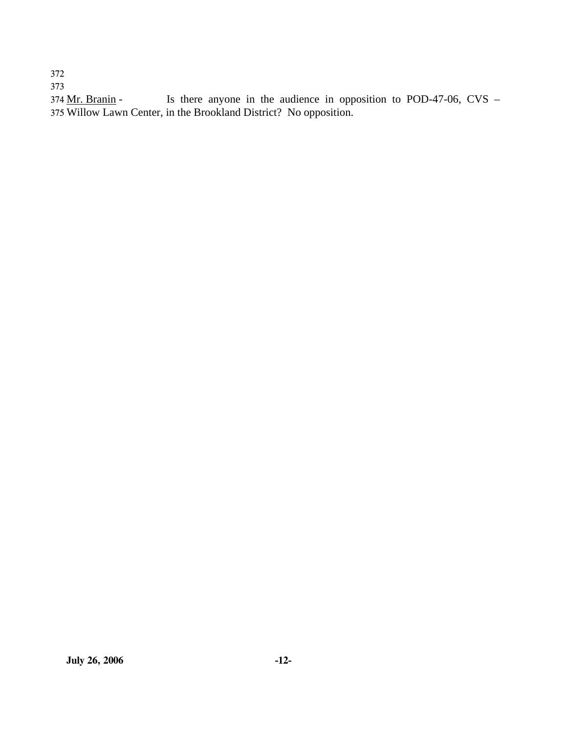372

373

Is there anyone in the audience in opposition to POD-47-06, CVS – 375 Willow Lawn Center, in the Brookland District? No opposition. 374 Mr. Branin -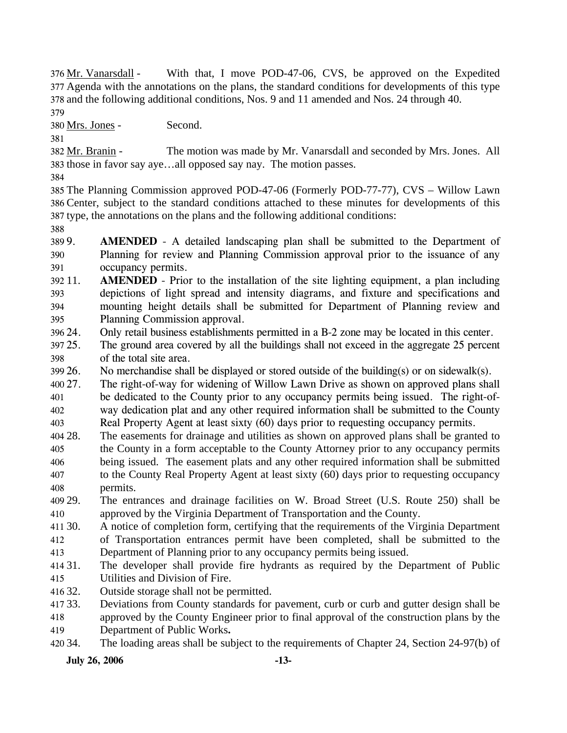With that, I move POD-47-06, CVS, be approved on the Expedited 377 Agenda with the annotations on the plans, the standard conditions for developments of this type 378 and the following additional conditions, Nos. 9 and 11 amended and Nos. 24 through 40. 376 Mr. Vanarsdall -

379

380 Mrs. Jones - Second.

381

The motion was made by Mr. Vanarsdall and seconded by Mrs. Jones. All 383 those in favor say aye...all opposed say nay. The motion passes. 382 Mr. Branin -

384

385 The Planning Commission approved POD-47-06 (Formerly POD-77-77), CVS – Willow Lawn 386 Center, subject to the standard conditions attached to these minutes for developments of this 387 type, the annotations on the plans and the following additional conditions:

388

389 9. 390 391 **AMENDED** - A detailed landscaping plan shall be submitted to the Department of Planning for review and Planning Commission approval prior to the issuance of any occupancy permits.

392 11. 393 394 395 **AMENDED** - Prior to the installation of the site lighting equipment, a plan including depictions of light spread and intensity diagrams, and fixture and specifications and mounting height details shall be submitted for Department of Planning review and Planning Commission approval.

396 24. Only retail business establishments permitted in a B-2 zone may be located in this center.

397 25. 398 The ground area covered by all the buildings shall not exceed in the aggregate 25 percent of the total site area.

399 26. No merchandise shall be displayed or stored outside of the building(s) or on sidewalk(s).

 $400\,27$ . 401 402 403 The right-of-way for widening of Willow Lawn Drive as shown on approved plans shall be dedicated to the County prior to any occupancy permits being issued. The right-ofway dedication plat and any other required information shall be submitted to the County Real Property Agent at least sixty (60) days prior to requesting occupancy permits.

- 404 28. 405 406 407 408 The easements for drainage and utilities as shown on approved plans shall be granted to the County in a form acceptable to the County Attorney prior to any occupancy permits being issued. The easement plats and any other required information shall be submitted to the County Real Property Agent at least sixty (60) days prior to requesting occupancy permits.
- 409 29. 410 29. The entrances and drainage facilities on W. Broad Street (U.S. Route 250) shall be approved by the Virginia Department of Transportation and the County.

411 30. 412 413 A notice of completion form, certifying that the requirements of the Virginia Department of Transportation entrances permit have been completed, shall be submitted to the Department of Planning prior to any occupancy permits being issued.

414 31. 415 The developer shall provide fire hydrants as required by the Department of Public Utilities and Division of Fire.

416 32. Outside storage shall not be permitted.

417 33. 418 33. Deviations from County standards for pavement, curb or curb and gutter design shall be approved by the County Engineer prior to final approval of the construction plans by the

419 Department of Public Works**.** 

420 34. The loading areas shall be subject to the requirements of Chapter 24, Section 24-97(b) of

**July 26, 2006 -13-**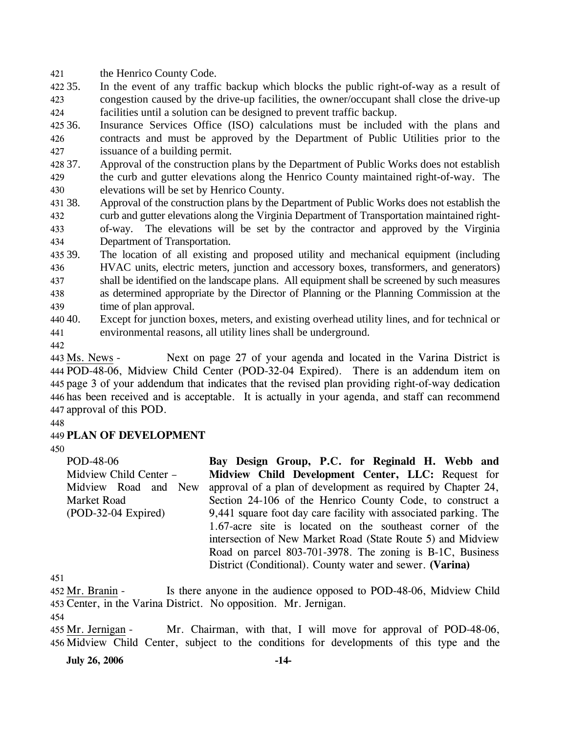421 the Henrico County Code.

422 35. 423 424 In the event of any traffic backup which blocks the public right-of-way as a result of congestion caused by the drive-up facilities, the owner/occupant shall close the drive-up facilities until a solution can be designed to prevent traffic backup.

425 36. 426 427 Insurance Services Office (ISO) calculations must be included with the plans and contracts and must be approved by the Department of Public Utilities prior to the issuance of a building permit.

428 37. 429 430 Approval of the construction plans by the Department of Public Works does not establish the curb and gutter elevations along the Henrico County maintained right-of-way. The elevations will be set by Henrico County.

431 38. 432 433 434 Approval of the construction plans by the Department of Public Works does not establish the curb and gutter elevations along the Virginia Department of Transportation maintained rightof-way. The elevations will be set by the contractor and approved by the Virginia Department of Transportation.

435 39. 436 437 438 439 The location of all existing and proposed utility and mechanical equipment (including HVAC units, electric meters, junction and accessory boxes, transformers, and generators) shall be identified on the landscape plans. All equipment shall be screened by such measures as determined appropriate by the Director of Planning or the Planning Commission at the time of plan approval.

440 40. 441 Except for junction boxes, meters, and existing overhead utility lines, and for technical or environmental reasons, all utility lines shall be underground.

442

Next on page 27 of your agenda and located in the Varina District is POD-48-06, Midview Child Center (POD-32-04 Expired). There is an addendum item on 444 445 page 3 of your addendum that indicates that the revised plan providing right-of-way dedication 446 has been received and is acceptable. It is actually in your agenda, and staff can recommend 447 approval of this POD. 443 Ms. News -

448

# 449 **PLAN OF DEVELOPMENT**

450

POD-48-06 Midview Child Center – Midview Road and New Market Road (POD-32-04 Expired) **Bay Design Group, P.C. for Reginald H. Webb and Midview Child Development Center, LLC:** Request for approval of a plan of development as required by Chapter 24, Section 24-106 of the Henrico County Code, to construct a 9,441 square foot day care facility with associated parking. The 1.67-acre site is located on the southeast corner of the intersection of New Market Road (State Route 5) and Midview Road on parcel 803-701-3978. The zoning is B-1C, Business District (Conditional). County water and sewer. **(Varina)** 

451

Is there anyone in the audience opposed to POD-48-06, Midview Child 453 Center, in the Varina District. No opposition. Mr. Jernigan. 452 Mr. Branin -

454

Mr. Chairman, with that, I will move for approval of POD-48-06, 456 Midview Child Center, subject to the conditions for developments of this type and the 455 Mr. Jernigan -

**July 26, 2006 -14-**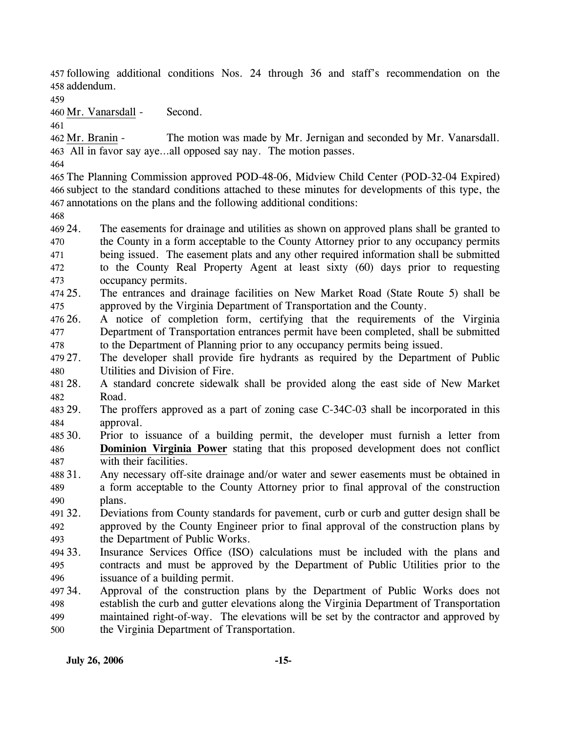457 following additional conditions Nos. 24 through 36 and staff's recommendation on the 458 addendum.

459

460 Mr. Vanarsdall - Second.

461

The motion was made by Mr. Jernigan and seconded by Mr. Vanarsdall. All in favor say aye…all opposed say nay. The motion passes. 463 462 Mr. Branin -

464

465 The Planning Commission approved POD-48-06, Midview Child Center (POD-32-04 Expired) 466 subject to the standard conditions attached to these minutes for developments of this type, the 467 annotations on the plans and the following additional conditions:

468

469 24. 470 471 472 473 The easements for drainage and utilities as shown on approved plans shall be granted to the County in a form acceptable to the County Attorney prior to any occupancy permits being issued. The easement plats and any other required information shall be submitted to the County Real Property Agent at least sixty (60) days prior to requesting occupancy permits.

- 474 25. 475 25. The entrances and drainage facilities on New Market Road (State Route 5) shall be approved by the Virginia Department of Transportation and the County.
- 476 26. 477 478 26. A notice of completion form, certifying that the requirements of the Virginia Department of Transportation entrances permit have been completed, shall be submitted to the Department of Planning prior to any occupancy permits being issued.
- 479 27. 480 The developer shall provide fire hydrants as required by the Department of Public Utilities and Division of Fire.
- 481 28. 482 28. A standard concrete sidewalk shall be provided along the east side of New Market Road.
- 483 29. 484 The proffers approved as a part of zoning case C-34C-03 shall be incorporated in this approval.
- 485 30. 30. Prior to issuance of a building permit, the developer must furnish a letter from **Dominion Virginia Power** stating that this proposed development does not conflict with their facilities. 486 487
- 488 31. 489 490 Any necessary off-site drainage and/or water and sewer easements must be obtained in a form acceptable to the County Attorney prior to final approval of the construction plans.
- 491 32. 492 493 32. Deviations from County standards for pavement, curb or curb and gutter design shall be approved by the County Engineer prior to final approval of the construction plans by the Department of Public Works.
- 494 33. 495 496 Insurance Services Office (ISO) calculations must be included with the plans and contracts and must be approved by the Department of Public Utilities prior to the issuance of a building permit.
- 497 34. 498 499 500 34. Approval of the construction plans by the Department of Public Works does not establish the curb and gutter elevations along the Virginia Department of Transportation maintained right-of-way. The elevations will be set by the contractor and approved by the Virginia Department of Transportation.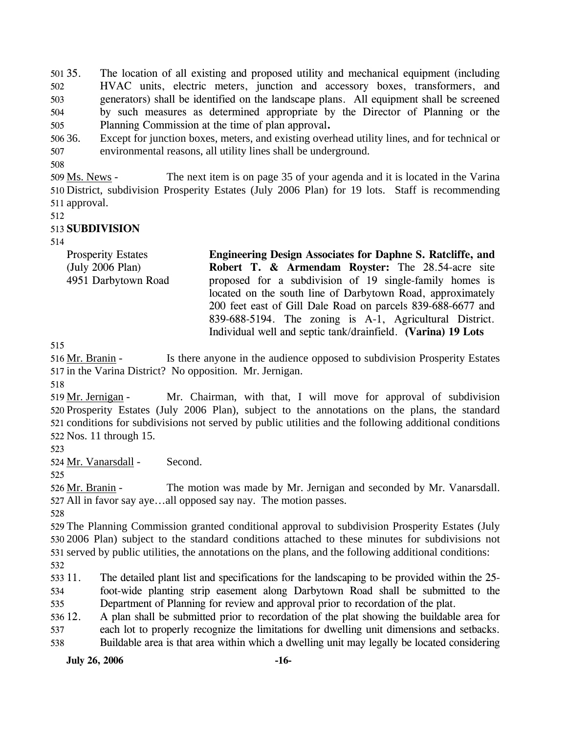$501.35.$ 502 503 504 505 35. The location of all existing and proposed utility and mechanical equipment (including HVAC units, electric meters, junction and accessory boxes, transformers, and generators) shall be identified on the landscape plans. All equipment shall be screened by such measures as determined appropriate by the Director of Planning or the Planning Commission at the time of plan approval**.** 

506 36. 507 Except for junction boxes, meters, and existing overhead utility lines, and for technical or environmental reasons, all utility lines shall be underground.

508

The next item is on page 35 of your agenda and it is located in the Varina 510 District, subdivision Prosperity Estates (July 2006 Plan) for 19 lots. Staff is recommending 511 approval. 509 Ms. News -

512

## 513 **SUBDIVISION**

514

| <b>Prosperity Estates</b> | Engineering Design Associates for Daphne S. Ratcliffe, and   |
|---------------------------|--------------------------------------------------------------|
| (July 2006 Plan)          | Robert T. & Armendam Royster: The 28.54-acre site            |
| 4951 Darbytown Road       | proposed for a subdivision of 19 single-family homes is      |
|                           | located on the south line of Darbytown Road, approximately   |
|                           | 200 feet east of Gill Dale Road on parcels 839-688-6677 and  |
|                           | 839-688-5194. The zoning is A-1, Agricultural District.      |
|                           | Individual well and septic tank/drainfield. (Varina) 19 Lots |

515

Is there anyone in the audience opposed to subdivision Prosperity Estates 517 in the Varina District? No opposition. Mr. Jernigan. 516 Mr. Branin -

518

Mr. Chairman, with that, I will move for approval of subdivision 520 Prosperity Estates (July 2006 Plan), subject to the annotations on the plans, the standard 521 conditions for subdivisions not served by public utilities and the following additional conditions 522 Nos. 11 through 15. 519 Mr. Jernigan -

523

524 Mr. Vanarsdall - Second.

525

The motion was made by Mr. Jernigan and seconded by Mr. Vanarsdall. All in favor say aye…all opposed say nay. The motion passes. 527 526 Mr. Branin -

528

529 The Planning Commission granted conditional approval to subdivision Prosperity Estates (July 530 2006 Plan) subject to the standard conditions attached to these minutes for subdivisions not 531 served by public utilities, the annotations on the plans, and the following additional conditions:

532

533 11. 534 535 The detailed plant list and specifications for the landscaping to be provided within the 25foot-wide planting strip easement along Darbytown Road shall be submitted to the Department of Planning for review and approval prior to recordation of the plat.

536 12. 537 12. A plan shall be submitted prior to recordation of the plat showing the buildable area for each lot to properly recognize the limitations for dwelling unit dimensions and setbacks.

538 Buildable area is that area within which a dwelling unit may legally be located considering

**July 26, 2006 -16-**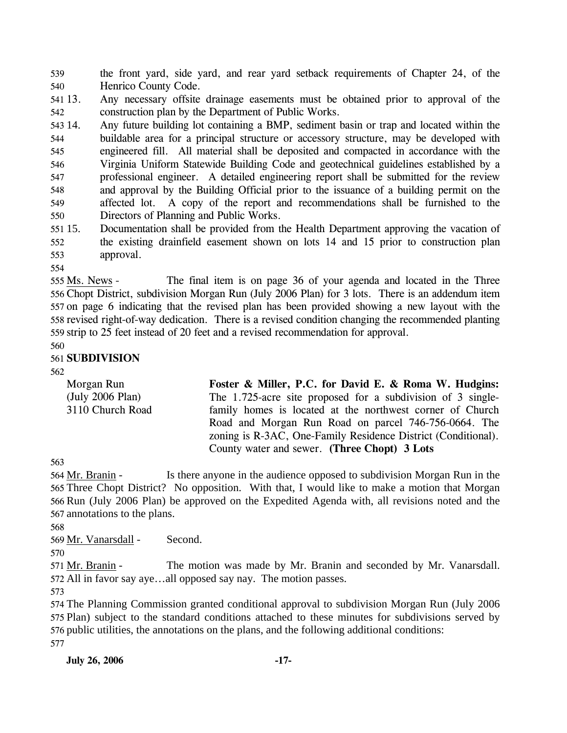539 540 the front yard, side yard, and rear yard setback requirements of Chapter 24, of the Henrico County Code.

541 13. 542 13. Any necessary offsite drainage easements must be obtained prior to approval of the construction plan by the Department of Public Works.

543 14. 544 545 546 547 548 549 550 Any future building lot containing a BMP, sediment basin or trap and located within the buildable area for a principal structure or accessory structure, may be developed with engineered fill. All material shall be deposited and compacted in accordance with the Virginia Uniform Statewide Building Code and geotechnical guidelines established by a professional engineer. A detailed engineering report shall be submitted for the review and approval by the Building Official prior to the issuance of a building permit on the affected lot. A copy of the report and recommendations shall be furnished to the Directors of Planning and Public Works.

551 15. 552 553 Documentation shall be provided from the Health Department approving the vacation of the existing drainfield easement shown on lots 14 and 15 prior to construction plan approval.

554

The final item is on page 36 of your agenda and located in the Three 556 Chopt District, subdivision Morgan Run (July 2006 Plan) for 3 lots. There is an addendum item 557 on page 6 indicating that the revised plan has been provided showing a new layout with the 558 revised right-of-way dedication. There is a revised condition changing the recommended planting 559 strip to 25 feet instead of 20 feet and a revised recommendation for approval. 555 Ms. News -

560

## 561 **SUBDIVISION**

562

Morgan Run (July 2006 Plan) 3110 Church Road **Foster & Miller, P.C. for David E. & Roma W. Hudgins:**  The 1.725-acre site proposed for a subdivision of 3 singlefamily homes is located at the northwest corner of Church Road and Morgan Run Road on parcel 746-756-0664. The zoning is R-3AC, One-Family Residence District (Conditional). County water and sewer. **(Three Chopt) 3 Lots** 

563

Is there anyone in the audience opposed to subdivision Morgan Run in the 565 Three Chopt District? No opposition. With that, I would like to make a motion that Morgan 566 Run (July 2006 Plan) be approved on the Expedited Agenda with, all revisions noted and the 567 annotations to the plans. 564 Mr. Branin -

568

569 Mr. Vanarsdall - Second.

570

The motion was made by Mr. Branin and seconded by Mr. Vanarsdall. All in favor say aye…all opposed say nay. The motion passes. 572 571 Mr. Branin -

573

 The Planning Commission granted conditional approval to subdivision Morgan Run (July 2006 Plan) subject to the standard conditions attached to these minutes for subdivisions served by public utilities, the annotations on the plans, and the following additional conditions: 577

**July 26, 2006 -17-**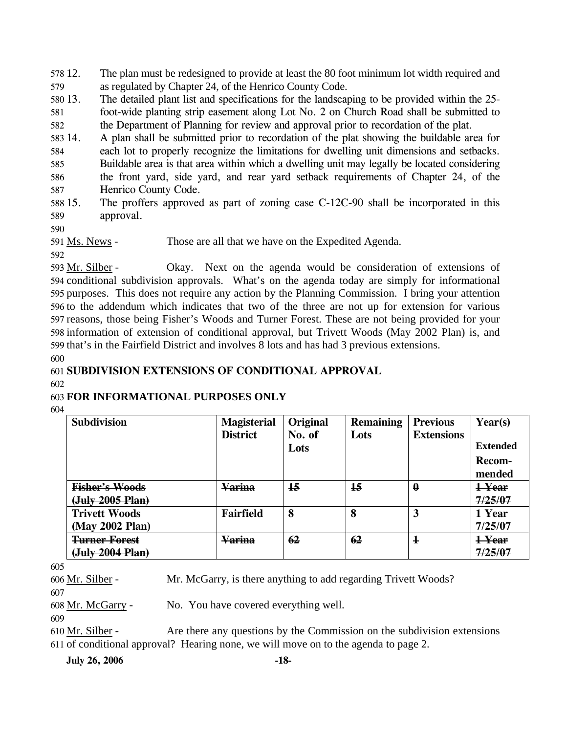578 12. 579 The plan must be redesigned to provide at least the 80 foot minimum lot width required and as regulated by Chapter 24, of the Henrico County Code.

580 13. 581 582 The detailed plant list and specifications for the landscaping to be provided within the 25foot-wide planting strip easement along Lot No. 2 on Church Road shall be submitted to the Department of Planning for review and approval prior to recordation of the plat.

583 14. 14. A plan shall be submitted prior to recordation of the plat showing the buildable area for

584 each lot to properly recognize the limitations for dwelling unit dimensions and setbacks.

585 586 587 Buildable area is that area within which a dwelling unit may legally be located considering the front yard, side yard, and rear yard setback requirements of Chapter 24, of the Henrico County Code.

588 15. 589 The proffers approved as part of zoning case  $C-12C-90$  shall be incorporated in this approval.

590

592

591 Ms. News - Those are all that we have on the Expedited Agenda.

Okay. Next on the agenda would be consideration of extensions of 594 conditional subdivision approvals. What's on the agenda today are simply for informational 595 purposes. This does not require any action by the Planning Commission. I bring your attention 596 to the addendum which indicates that two of the three are not up for extension for various 597 reasons, those being Fisher's Woods and Turner Forest. These are not being provided for your 598 information of extension of conditional approval, but Trivett Woods (May 2002 Plan) is, and 599 that's in the Fairfield District and involves 8 lots and has had 3 previous extensions. 593 Mr. Silber -

600

# 601 **SUBDIVISION EXTENSIONS OF CONDITIONAL APPROVAL**

602

# 603 **FOR INFORMATIONAL PURPOSES ONLY**

604

| <b>Subdivision</b>    | <b>Magisterial</b><br><b>District</b> | Original<br>No. of<br>Lots | <b>Remaining</b><br>Lots | <b>Previous</b><br><b>Extensions</b> | Year(s)<br><b>Extended</b><br>Recom-<br>mended |
|-----------------------|---------------------------------------|----------------------------|--------------------------|--------------------------------------|------------------------------------------------|
| <b>Fisher's Woods</b> | <b>Varina</b>                         | 15                         | 15                       | $\bf{0}$                             | 1-Year                                         |
| (July 2005 Plan)      |                                       |                            |                          |                                      | 7/25/07                                        |
| <b>Trivett Woods</b>  | Fairfield                             | 8                          | 8                        | 3                                    | 1 Year                                         |
| (May 2002 Plan)       |                                       |                            |                          |                                      | 7/25/07                                        |
| <b>Turner Forest</b>  | <u>Varina</u>                         | 62                         | 62                       | $\mathbf 1$                          | <del>1 Year</del>                              |
| (July 2004 Plan)      |                                       |                            |                          |                                      | 7/25/07                                        |

605

606 Mr. Silber - Mr. McGarry, is there anything to add regarding Trivett Woods?

607

608 Mr. McGarry - No. You have covered everything well.

609

Are there any questions by the Commission on the subdivision extensions 611 of conditional approval? Hearing none, we will move on to the agenda to page 2. 610 Mr. Silber -

**July 26, 2006 -18-**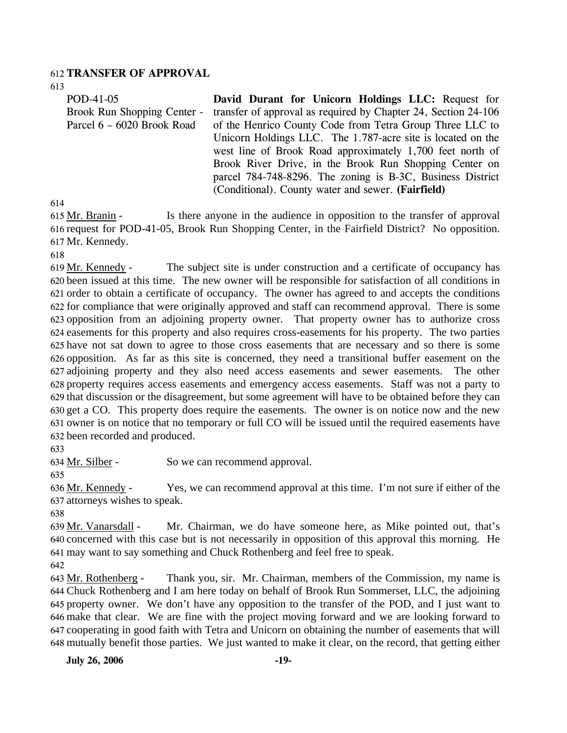#### 612 **TRANSFER OF APPROVAL**

613

| POD-41-05                   | David Durant for Unicorn Holdings LLC: Request for             |
|-----------------------------|----------------------------------------------------------------|
| Brook Run Shopping Center - | transfer of approval as required by Chapter 24, Section 24-106 |
| Parcel 6 – 6020 Brook Road  | of the Henrico County Code from Tetra Group Three LLC to       |
|                             | Unicorn Holdings LLC. The 1.787-acre site is located on the    |
|                             | west line of Brook Road approximately 1,700 feet north of      |
|                             | Brook River Drive, in the Brook Run Shopping Center on         |
|                             | parcel 784-748-8296. The zoning is B-3C, Business District     |
|                             | (Conditional). County water and sewer. (Fairfield)             |

614

Is there anyone in the audience in opposition to the transfer of approval 616 request for POD-41-05, Brook Run Shopping Center, in the Fairfield District? No opposition. Mr. Kennedy. 617 615 Mr. Branin -

618

The subject site is under construction and a certificate of occupancy has 620 been issued at this time. The new owner will be responsible for satisfaction of all conditions in 621 order to obtain a certificate of occupancy. The owner has agreed to and accepts the conditions 622 for compliance that were originally approved and staff can recommend approval. There is some 623 opposition from an adjoining property owner. That property owner has to authorize cross 624 easements for this property and also requires cross-easements for his property. The two parties 625 have not sat down to agree to those cross easements that are necessary and so there is some 626 opposition. As far as this site is concerned, they need a transitional buffer easement on the 627 adjoining property and they also need access easements and sewer easements. The other 628 property requires access easements and emergency access easements. Staff was not a party to 629 that discussion or the disagreement, but some agreement will have to be obtained before they can 630 get a CO. This property does require the easements. The owner is on notice now and the new 631 owner is on notice that no temporary or full CO will be issued until the required easements have 632 been recorded and produced. 619 Mr. Kennedy -

633

634 Mr. Silber - So we can recommend approval.

635

Yes, we can recommend approval at this time. I'm not sure if either of the 637 attorneys wishes to speak. 636 Mr. Kennedy -

638

Mr. Chairman, we do have someone here, as Mike pointed out, that's 640 concerned with this case but is not necessarily in opposition of this approval this morning. He 641 may want to say something and Chuck Rothenberg and feel free to speak. 639 Mr. Vanarsdall -

642

Thank you, sir. Mr. Chairman, members of the Commission, my name is Chuck Rothenberg and I am here today on behalf of Brook Run Sommerset, LLC, the adjoining 644 645 property owner. We don't have any opposition to the transfer of the POD, and I just want to 646 make that clear. We are fine with the project moving forward and we are looking forward to cooperating in good faith with Tetra and Unicorn on obtaining the number of easements that will 647 mutually benefit those parties. We just wanted to make it clear, on the record, that getting either 648 643 Mr. Rothenberg -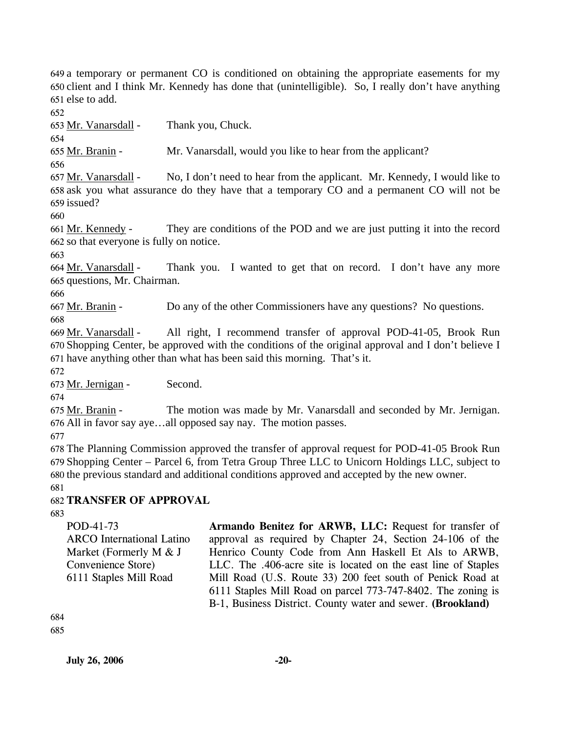649 a temporary or permanent CO is conditioned on obtaining the appropriate easements for my 650 client and I think Mr. Kennedy has done that (unintelligible). So, I really don't have anything 651 else to add.

652

653 Mr. Vanarsdall - Thank you, Chuck.

654

655 Mr. Branin - Mr. Vanarsdall, would you like to hear from the applicant?

656

No, I don't need to hear from the applicant. Mr. Kennedy, I would like to 658 ask you what assurance do they have that a temporary CO and a permanent CO will not be 659 issued? 657 Mr. Vanarsdall -

660

They are conditions of the POD and we are just putting it into the record 662 so that everyone is fully on notice. 661 Mr. Kennedy -

663

Thank you. I wanted to get that on record. I don't have any more 665 questions, Mr. Chairman. 664 Mr. Vanarsdall -

666

667 Mr. Branin - Do any of the other Commissioners have any questions? No questions. 668

All right, I recommend transfer of approval POD-41-05, Brook Run 670 Shopping Center, be approved with the conditions of the original approval and I don't believe I 671 have anything other than what has been said this morning. That's it. 669 Mr. Vanarsdall -

672

673 Mr. Jernigan - Second.

674

The motion was made by Mr. Vanarsdall and seconded by Mr. Jernigan. All in favor say aye…all opposed say nay. The motion passes. 676 675 Mr. Branin -

677

678 The Planning Commission approved the transfer of approval request for POD-41-05 Brook Run 679 Shopping Center – Parcel 6, from Tetra Group Three LLC to Unicorn Holdings LLC, subject to 680 the previous standard and additional conditions approved and accepted by the new owner.

681

# 682 **TRANSFER OF APPROVAL**

683

POD-41-73 ARCO International Latino Market (Formerly M & J Convenience Store) 6111 Staples Mill Road

**Armando Benitez for ARWB, LLC:** Request for transfer of approval as required by Chapter 24, Section 24-106 of the Henrico County Code from Ann Haskell Et Als to ARWB, LLC. The .406-acre site is located on the east line of Staples Mill Road (U.S. Route 33) 200 feet south of Penick Road at 6111 Staples Mill Road on parcel 773-747-8402. The zoning is B-1, Business District. County water and sewer. **(Brookland)** 

684

685

**July 26, 2006** -20-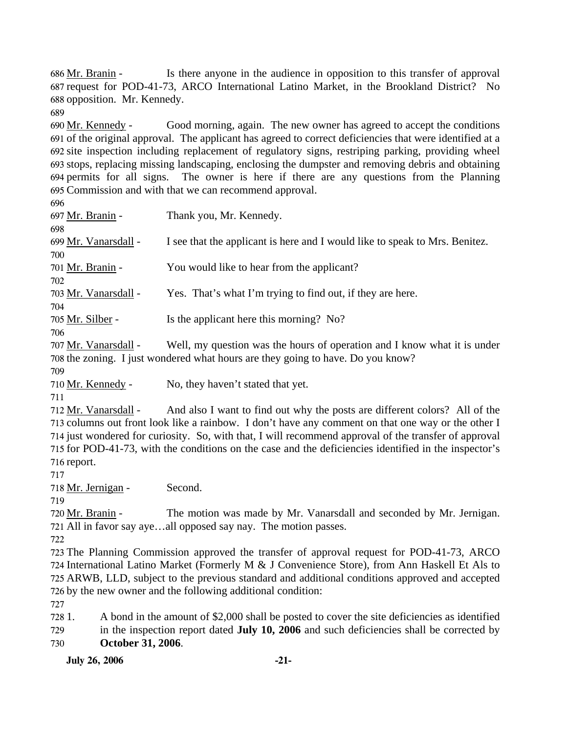Is there anyone in the audience in opposition to this transfer of approval 687 request for POD-41-73, ARCO International Latino Market, in the Brookland District? No 688 opposition. Mr. Kennedy. 686 Mr. Branin -

689

Good morning, again. The new owner has agreed to accept the conditions 691 of the original approval. The applicant has agreed to correct deficiencies that were identified at a 692 site inspection including replacement of regulatory signs, restriping parking, providing wheel stops, replacing missing landscaping, enclosing the dumpster and removing debris and obtaining 693 694 permits for all signs. The owner is here if there are any questions from the Planning 695 Commission and with that we can recommend approval. 690 Mr. Kennedy -

| 697 Mr. Branin -     | Thank you, Mr. Kennedy.                                                     |
|----------------------|-----------------------------------------------------------------------------|
| 698                  |                                                                             |
| 699 Mr. Vanarsdall - | I see that the applicant is here and I would like to speak to Mrs. Benitez. |
| 700                  |                                                                             |
| 701 Mr. Branin -     | You would like to hear from the applicant?                                  |
| 702                  |                                                                             |
| 703 Mr. Vanarsdall - | Yes. That's what I'm trying to find out, if they are here.                  |
| 704                  |                                                                             |
| 705 Mr. Silber -     | Is the applicant here this morning? No?                                     |
| 706                  |                                                                             |
| 707 Mr. Vanarsdall - | Well my question was the hours of operation and I know what it is unde      |

Mr. Vanarsdall - Well, my question was the hours of operation and I know what it is under 708 the zoning. I just wondered what hours are they going to have. Do you know? 707

709

710 Mr. Kennedy - No, they haven't stated that yet.

711

And also I want to find out why the posts are different colors? All of the 713 columns out front look like a rainbow. I don't have any comment on that one way or the other I 714 just wondered for curiosity. So, with that, I will recommend approval of the transfer of approval 715 for POD-41-73, with the conditions on the case and the deficiencies identified in the inspector's 716 report. 712 Mr. Vanarsdall -

717

718 Mr. Jernigan - Second.

719

The motion was made by Mr. Vanarsdall and seconded by Mr. Jernigan. All in favor say aye…all opposed say nay. The motion passes. 721 720 Mr. Branin -

722

 The Planning Commission approved the transfer of approval request for POD-41-73, ARCO International Latino Market (Formerly M & J Convenience Store), from Ann Haskell Et Als to ARWB, LLD, subject to the previous standard and additional conditions approved and accepted by the new owner and the following additional condition:

727

728 729 730 1. A bond in the amount of \$2,000 shall be posted to cover the site deficiencies as identified in the inspection report dated **July 10, 2006** and such deficiencies shall be corrected by **October 31, 2006**.

**July 26, 2006 -21-**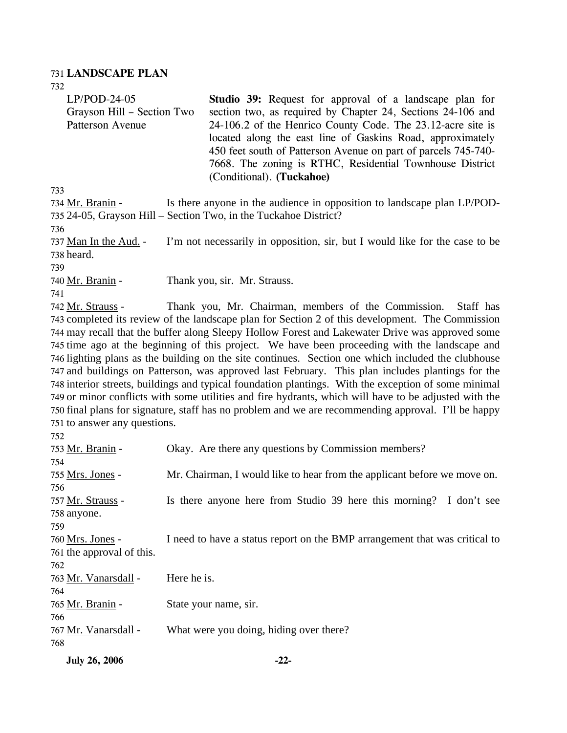#### 731 **LANDSCAPE PLAN**

| <b>July 26, 2006</b>                                                                                                                            | $-22-$                                                                                                                                                                                                                                                                                                                                                                                                                                                                                                                                                                                                                                                                                                                                                                                                                                                                                                                                                                                                                    |
|-------------------------------------------------------------------------------------------------------------------------------------------------|---------------------------------------------------------------------------------------------------------------------------------------------------------------------------------------------------------------------------------------------------------------------------------------------------------------------------------------------------------------------------------------------------------------------------------------------------------------------------------------------------------------------------------------------------------------------------------------------------------------------------------------------------------------------------------------------------------------------------------------------------------------------------------------------------------------------------------------------------------------------------------------------------------------------------------------------------------------------------------------------------------------------------|
| 767 <u>Mr. Vanarsdall</u> -<br>768                                                                                                              | What were you doing, hiding over there?                                                                                                                                                                                                                                                                                                                                                                                                                                                                                                                                                                                                                                                                                                                                                                                                                                                                                                                                                                                   |
| 765 Mr. Branin -<br>766                                                                                                                         | State your name, sir.                                                                                                                                                                                                                                                                                                                                                                                                                                                                                                                                                                                                                                                                                                                                                                                                                                                                                                                                                                                                     |
| 763 Mr. Vanarsdall -<br>764                                                                                                                     | Here he is.                                                                                                                                                                                                                                                                                                                                                                                                                                                                                                                                                                                                                                                                                                                                                                                                                                                                                                                                                                                                               |
| 761 the approval of this.<br>762                                                                                                                |                                                                                                                                                                                                                                                                                                                                                                                                                                                                                                                                                                                                                                                                                                                                                                                                                                                                                                                                                                                                                           |
| 758 anyone.<br>759<br>760 Mrs. Jones -                                                                                                          | I need to have a status report on the BMP arrangement that was critical to                                                                                                                                                                                                                                                                                                                                                                                                                                                                                                                                                                                                                                                                                                                                                                                                                                                                                                                                                |
| 755 Mrs. Jones -<br>756<br>757 Mr. Strauss -                                                                                                    | Mr. Chairman, I would like to hear from the applicant before we move on.<br>Is there anyone here from Studio 39 here this morning? I don't see                                                                                                                                                                                                                                                                                                                                                                                                                                                                                                                                                                                                                                                                                                                                                                                                                                                                            |
| 753 Mr. Branin -<br>754                                                                                                                         | Okay. Are there any questions by Commission members?                                                                                                                                                                                                                                                                                                                                                                                                                                                                                                                                                                                                                                                                                                                                                                                                                                                                                                                                                                      |
| 737 <u>Man In the Aud.</u> -<br>738 heard.<br>739<br>740 Mr. Branin -<br>741<br>742 <u>Mr. Strauss</u> -<br>751 to answer any questions.<br>752 | I'm not necessarily in opposition, sir, but I would like for the case to be<br>Thank you, sir. Mr. Strauss.<br>Thank you, Mr. Chairman, members of the Commission.<br>Staff has<br>743 completed its review of the landscape plan for Section 2 of this development. The Commission<br>744 may recall that the buffer along Sleepy Hollow Forest and Lakewater Drive was approved some<br>745 time ago at the beginning of this project. We have been proceeding with the landscape and<br>746 lighting plans as the building on the site continues. Section one which included the clubhouse<br>747 and buildings on Patterson, was approved last February. This plan includes plantings for the<br>748 interior streets, buildings and typical foundation plantings. With the exception of some minimal<br>749 or minor conflicts with some utilities and fire hydrants, which will have to be adjusted with the<br>750 final plans for signature, staff has no problem and we are recommending approval. I'll be happy |
| 734 Mr. Branin -<br>736                                                                                                                         | Is there anyone in the audience in opposition to landscape plan LP/POD-<br>735 24-05, Grayson Hill - Section Two, in the Tuckahoe District?                                                                                                                                                                                                                                                                                                                                                                                                                                                                                                                                                                                                                                                                                                                                                                                                                                                                               |
| 732<br>$LP/POD-24-05$<br>Grayson Hill - Section Two<br>Patterson Avenue<br>733                                                                  | <b>Studio 39:</b> Request for approval of a landscape plan for<br>section two, as required by Chapter 24, Sections 24-106 and<br>24-106.2 of the Henrico County Code. The 23.12-acre site is<br>located along the east line of Gaskins Road, approximately<br>450 feet south of Patterson Avenue on part of parcels 745-740-<br>7668. The zoning is RTHC, Residential Townhouse District<br>(Conditional). (Tuckahoe)                                                                                                                                                                                                                                                                                                                                                                                                                                                                                                                                                                                                     |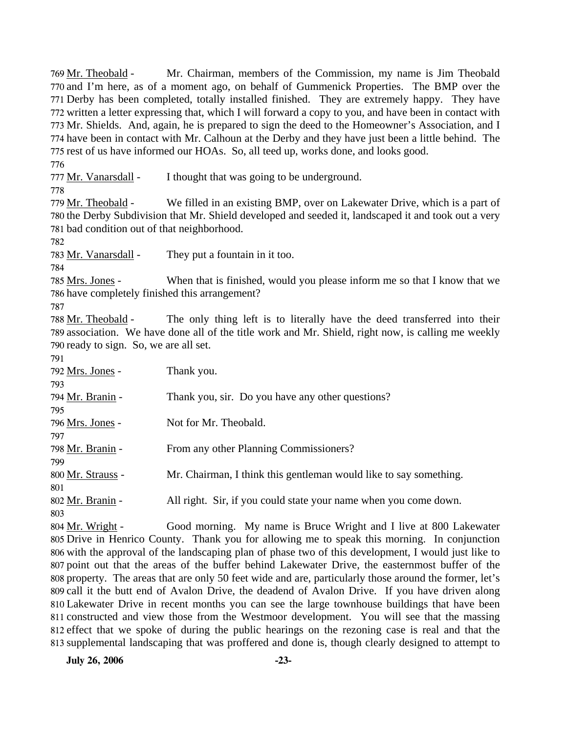Mr. Chairman, members of the Commission, my name is Jim Theobald 770 and I'm here, as of a moment ago, on behalf of Gummenick Properties. The BMP over the 771 Derby has been completed, totally installed finished. They are extremely happy. They have 772 written a letter expressing that, which I will forward a copy to you, and have been in contact with 773 Mr. Shields. And, again, he is prepared to sign the deed to the Homeowner's Association, and I 774 have been in contact with Mr. Calhoun at the Derby and they have just been a little behind. The 775 rest of us have informed our HOAs. So, all teed up, works done, and looks good. 769 Mr. Theobald -776 777 Mr. Vanarsdall - I thought that was going to be underground. 778 We filled in an existing BMP, over on Lakewater Drive, which is a part of 780 the Derby Subdivision that Mr. Shield developed and seeded it, landscaped it and took out a very 781 bad condition out of that neighborhood. 779 Mr. Theobald -782 783 Mr. Vanarsdall - They put a fountain in it too. 784 When that is finished, would you please inform me so that I know that we 786 have completely finished this arrangement? 785 Mrs. Jones -787 The only thing left is to literally have the deed transferred into their 789 association. We have done all of the title work and Mr. Shield, right now, is calling me weekly 790 ready to sign. So, we are all set. 788 Mr. Theobald -791 792 Mrs. Jones - Thank you. 793 794 Mr. Branin - Thank you, sir. Do you have any other questions? 795 796 Mrs. Jones - Not for Mr. Theobald. 797 798 Mr. Branin - From any other Planning Commissioners? 799 800 Mr. Strauss - Mr. Chairman, I think this gentleman would like to say something. 801 802 Mr. Branin - All right. Sir, if you could state your name when you come down. 803 Good morning. My name is Bruce Wright and I live at 800 Lakewater Drive in Henrico County. Thank you for allowing me to speak this morning. In conjunction 805 806 with the approval of the landscaping plan of phase two of this development, I would just like to 807 point out that the areas of the buffer behind Lakewater Drive, the easternmost buffer of the 804 Mr. Wright -

808 property. The areas that are only 50 feet wide and are, particularly those around the former, let's 809 call it the butt end of Avalon Drive, the deadend of Avalon Drive. If you have driven along 810 Lakewater Drive in recent months you can see the large townhouse buildings that have been 811 constructed and view those from the Westmoor development. You will see that the massing 812 effect that we spoke of during the public hearings on the rezoning case is real and that the supplemental landscaping that was proffered and done is, though clearly designed to attempt to 813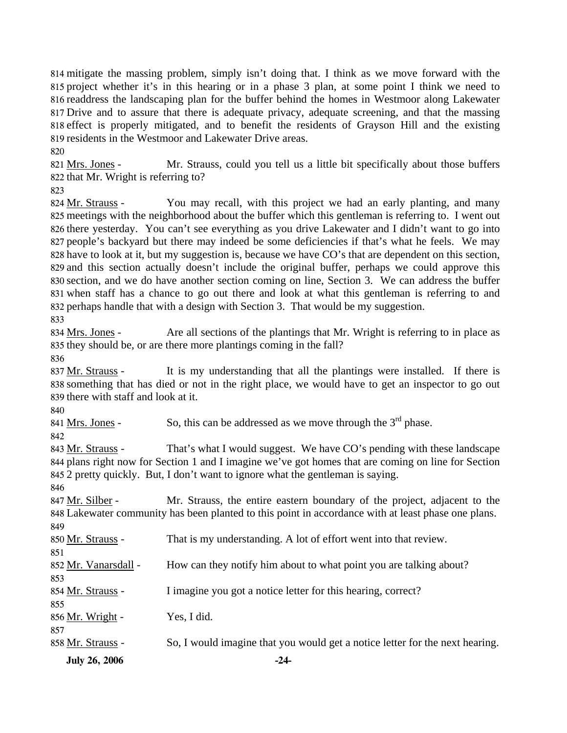mitigate the massing problem, simply isn't doing that. I think as we move forward with the project whether it's in this hearing or in a phase 3 plan, at some point I think we need to readdress the landscaping plan for the buffer behind the homes in Westmoor along Lakewater Drive and to assure that there is adequate privacy, adequate screening, and that the massing effect is properly mitigated, and to benefit the residents of Grayson Hill and the existing residents in the Westmoor and Lakewater Drive areas.

820

Mr. Strauss, could you tell us a little bit specifically about those buffers 822 that Mr. Wright is referring to? 821 Mrs. Jones -

823

You may recall, with this project we had an early planting, and many 825 meetings with the neighborhood about the buffer which this gentleman is referring to. I went out 826 there yesterday. You can't see everything as you drive Lakewater and I didn't want to go into 827 people's backyard but there may indeed be some deficiencies if that's what he feels. We may 828 have to look at it, but my suggestion is, because we have CO's that are dependent on this section, 829 and this section actually doesn't include the original buffer, perhaps we could approve this 830 section, and we do have another section coming on line, Section 3. We can address the buffer 831 when staff has a chance to go out there and look at what this gentleman is referring to and 832 perhaps handle that with a design with Section 3. That would be my suggestion. 824 Mr. Strauss -833

Are all sections of the plantings that Mr. Wright is referring to in place as 835 they should be, or are there more plantings coming in the fall? 834 Mrs. Jones -

836

It is my understanding that all the plantings were installed. If there is something that has died or not in the right place, we would have to get an inspector to go out 838 839 there with staff and look at it. 837 Mr. Strauss -

840

841 Mrs. Jones - So, this can be addressed as we move through the  $3<sup>rd</sup>$  phase.

842

That's what I would suggest. We have CO's pending with these landscape 844 plans right now for Section 1 and I imagine we've got homes that are coming on line for Section 2 pretty quickly. But, I don't want to ignore what the gentleman is saying. 845 843 Mr. Strauss -

846

Mr. Strauss, the entire eastern boundary of the project, adjacent to the Lakewater community has been planted to this point in accordance with at least phase one plans. 848 847 Mr. Silber - $0.40$ 

| 84Y                  |                                                                              |
|----------------------|------------------------------------------------------------------------------|
| 850 Mr. Strauss -    | That is my understanding. A lot of effort went into that review.             |
| 851                  |                                                                              |
| 852 Mr. Vanarsdall - | How can they notify him about to what point you are talking about?           |
| 853                  |                                                                              |
| 854 Mr. Strauss -    | I imagine you got a notice letter for this hearing, correct?                 |
| 855                  |                                                                              |
| 856 Mr. Wright -     | Yes, I did.                                                                  |
| 857                  |                                                                              |
| 858 Mr. Strauss -    | So, I would imagine that you would get a notice letter for the next hearing. |
| <b>July 26, 2006</b> | -24-                                                                         |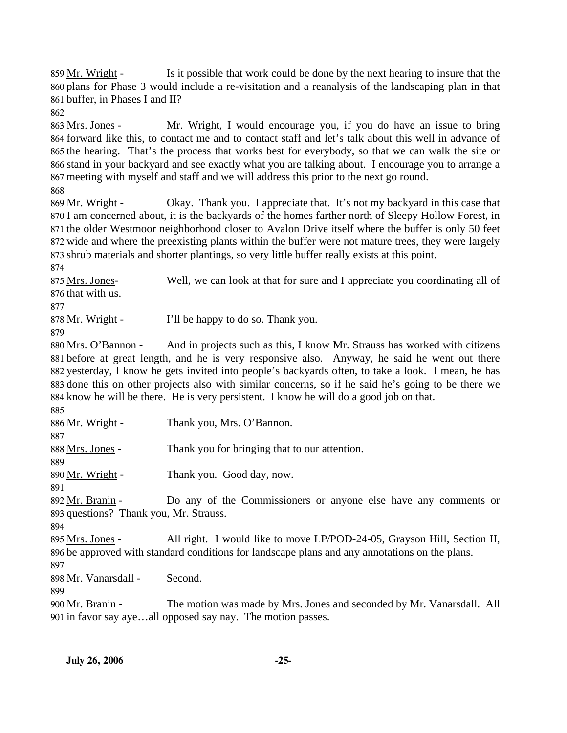Is it possible that work could be done by the next hearing to insure that the 860 plans for Phase 3 would include a re-visitation and a reanalysis of the landscaping plan in that 861 buffer, in Phases I and II? 859 Mr. Wright -

862

Mr. Wright, I would encourage you, if you do have an issue to bring 864 forward like this, to contact me and to contact staff and let's talk about this well in advance of 865 the hearing. That's the process that works best for everybody, so that we can walk the site or 866 stand in your backyard and see exactly what you are talking about. I encourage you to arrange a 867 meeting with myself and staff and we will address this prior to the next go round. 863 Mrs. Jones -

868

Okay. Thank you. I appreciate that. It's not my backyard in this case that 870 I am concerned about, it is the backyards of the homes farther north of Sleepy Hollow Forest, in 871 the older Westmoor neighborhood closer to Avalon Drive itself where the buffer is only 50 feet 872 wide and where the preexisting plants within the buffer were not mature trees, they were largely 873 shrub materials and shorter plantings, so very little buffer really exists at this point. 869 Mr. Wright -

874

Well, we can look at that for sure and I appreciate you coordinating all of 876 that with us. 875 Mrs. Jones-

877

878 Mr. Wright - I'll be happy to do so. Thank you.

879

And in projects such as this, I know Mr. Strauss has worked with citizens 881 before at great length, and he is very responsive also. Anyway, he said he went out there 882 yesterday, I know he gets invited into people's backyards often, to take a look. I mean, he has 883 done this on other projects also with similar concerns, so if he said he's going to be there we 884 know he will be there. He is very persistent. I know he will do a good job on that. 880 Mrs. O'Bannon -885

| 886 Mr. Wright -                       | Thank you, Mrs. O'Bannon.                                                                      |  |
|----------------------------------------|------------------------------------------------------------------------------------------------|--|
| 887                                    |                                                                                                |  |
| 888 Mrs. Jones -                       | Thank you for bringing that to our attention.                                                  |  |
| 889                                    |                                                                                                |  |
| 890 Mr. Wright -                       | Thank you. Good day, now.                                                                      |  |
| 891                                    |                                                                                                |  |
| 892 Mr. Branin -                       | Do any of the Commissioners or anyone else have any comments or                                |  |
| 893 questions? Thank you, Mr. Strauss. |                                                                                                |  |
| 894                                    |                                                                                                |  |
| 895 Mrs. Jones -                       | All right. I would like to move LP/POD-24-05, Grayson Hill, Section II,                        |  |
|                                        | 896 be approved with standard conditions for landscape plans and any annotations on the plans. |  |
| 897                                    |                                                                                                |  |
|                                        |                                                                                                |  |

898 Mr. Vanarsdall - Second.

899

The motion was made by Mrs. Jones and seconded by Mr. Vanarsdall. All 901 in favor say aye...all opposed say nay. The motion passes. 900 Mr. Branin -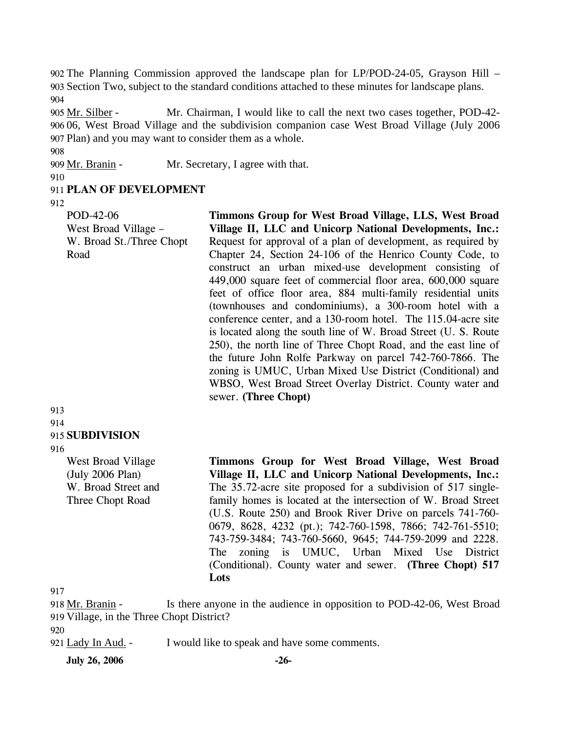902 The Planning Commission approved the landscape plan for LP/POD-24-05, Grayson Hill – 903 Section Two, subject to the standard conditions attached to these minutes for landscape plans. 904

Mr. Chairman, I would like to call the next two cases together, POD-42-06, West Broad Village and the subdivision companion case West Broad Village (July 2006 906 907 Plan) and you may want to consider them as a whole. 905 Mr. Silber -

909 Mr. Branin - Mr. Secretary, I agree with that.

910

908

#### 911 **PLAN OF DEVELOPMENT**

912

POD-42-06 West Broad Village – W. Broad St./Three Chopt Road

913 914 915 **SUBDIVISION** 

916

West Broad Village (July 2006 Plan) W. Broad Street and Three Chopt Road

**Timmons Group for West Broad Village, LLS, West Broad Village II, LLC and Unicorp National Developments, Inc.:**  Request for approval of a plan of development, as required by Chapter 24, Section 24-106 of the Henrico County Code, to construct an urban mixed-use development consisting of 449,000 square feet of commercial floor area, 600,000 square feet of office floor area, 884 multi-family residential units (townhouses and condominiums), a 300-room hotel with a conference center, and a 130-room hotel. The 115.04-acre site is located along the south line of W. Broad Street (U. S. Route 250), the north line of Three Chopt Road, and the east line of the future John Rolfe Parkway on parcel 742-760-7866. The zoning is UMUC, Urban Mixed Use District (Conditional) and WBSO, West Broad Street Overlay District. County water and sewer. **(Three Chopt)** 

**Timmons Group for West Broad Village, West Broad Village II, LLC and Unicorp National Developments, Inc.:**  The 35.72-acre site proposed for a subdivision of 517 singlefamily homes is located at the intersection of W. Broad Street (U.S. Route 250) and Brook River Drive on parcels 741-760- 0679, 8628, 4232 (pt.); 742-760-1598, 7866; 742-761-5510; 743-759-3484; 743-760-5660, 9645; 744-759-2099 and 2228. The zoning is UMUC, Urban Mixed Use District (Conditional). County water and sewer. **(Three Chopt) 517 Lots** 

917

Is there anyone in the audience in opposition to POD-42-06, West Broad 919 Village, in the Three Chopt District? 918 Mr. Branin -

920

921 Lady In Aud. - I would like to speak and have some comments.

**July 26, 2006 -26-**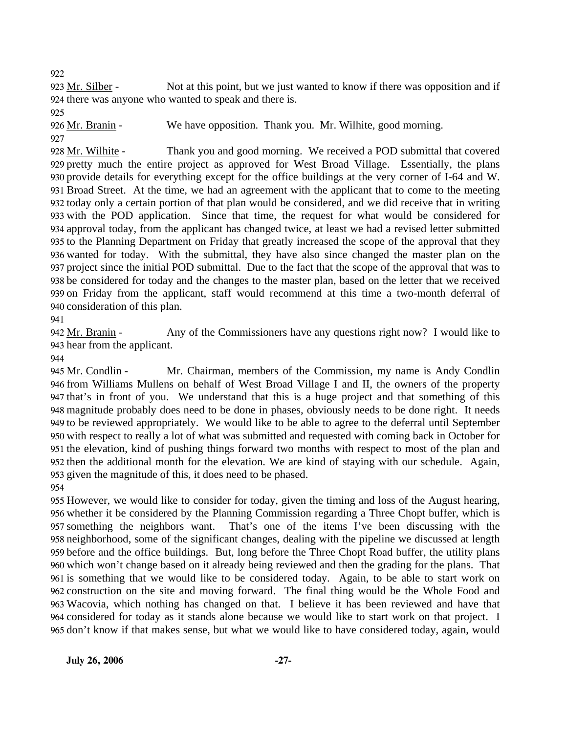922

Not at this point, but we just wanted to know if there was opposition and if 924 there was anyone who wanted to speak and there is. 923 Mr. Silber -

925

926 Mr. Branin - We have opposition. Thank you. Mr. Wilhite, good morning. 927

Thank you and good morning. We received a POD submittal that covered 929 pretty much the entire project as approved for West Broad Village. Essentially, the plans 928 Mr. Wilhite -

930 provide details for everything except for the office buildings at the very corner of I-64 and W. 931 Broad Street. At the time, we had an agreement with the applicant that to come to the meeting 932 today only a certain portion of that plan would be considered, and we did receive that in writing 933 with the POD application. Since that time, the request for what would be considered for 934 approval today, from the applicant has changed twice, at least we had a revised letter submitted 935 to the Planning Department on Friday that greatly increased the scope of the approval that they 936 wanted for today. With the submittal, they have also since changed the master plan on the 937 project since the initial POD submittal. Due to the fact that the scope of the approval that was to 938 be considered for today and the changes to the master plan, based on the letter that we received 939 on Friday from the applicant, staff would recommend at this time a two-month deferral of 940 consideration of this plan.

941

Any of the Commissioners have any questions right now? I would like to 943 hear from the applicant. 942 Mr. Branin -

944

Mr. Chairman, members of the Commission, my name is Andy Condlin 946 from Williams Mullens on behalf of West Broad Village I and II, the owners of the property 947 that's in front of you. We understand that this is a huge project and that something of this magnitude probably does need to be done in phases, obviously needs to be done right. It needs 948 949 to be reviewed appropriately. We would like to be able to agree to the deferral until September 950 with respect to really a lot of what was submitted and requested with coming back in October for 951 the elevation, kind of pushing things forward two months with respect to most of the plan and 952 then the additional month for the elevation. We are kind of staying with our schedule. Again, 953 given the magnitude of this, it does need to be phased. 945 Mr. Condlin -954

 However, we would like to consider for today, given the timing and loss of the August hearing, whether it be considered by the Planning Commission regarding a Three Chopt buffer, which is 957 something the neighbors want. neighborhood, some of the significant changes, dealing with the pipeline we discussed at length before and the office buildings. But, long before the Three Chopt Road buffer, the utility plans which won't change based on it already being reviewed and then the grading for the plans. That is something that we would like to be considered today. Again, to be able to start work on construction on the site and moving forward. The final thing would be the Whole Food and Wacovia, which nothing has changed on that. I believe it has been reviewed and have that considered for today as it stands alone because we would like to start work on that project. I don't know if that makes sense, but what we would like to have considered today, again, would That's one of the items I've been discussing with the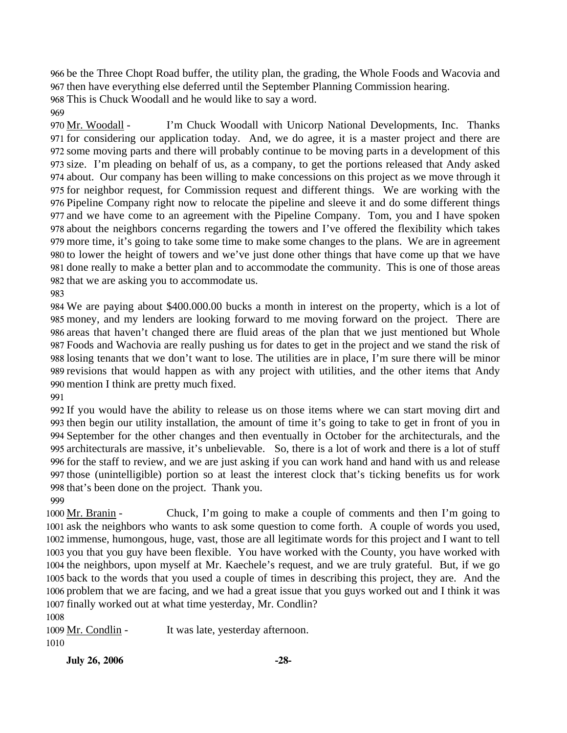966 be the Three Chopt Road buffer, the utility plan, the grading, the Whole Foods and Wacovia and 967 then have everything else deferred until the September Planning Commission hearing. 968 This is Chuck Woodall and he would like to say a word.

969

I'm Chuck Woodall with Unicorp National Developments, Inc. Thanks 971 for considering our application today. And, we do agree, it is a master project and there are 972 some moving parts and there will probably continue to be moving parts in a development of this 973 size. I'm pleading on behalf of us, as a company, to get the portions released that Andy asked 974 about. Our company has been willing to make concessions on this project as we move through it 975 for neighbor request, for Commission request and different things. We are working with the 976 Pipeline Company right now to relocate the pipeline and sleeve it and do some different things 977 and we have come to an agreement with the Pipeline Company. Tom, you and I have spoken 978 about the neighbors concerns regarding the towers and I've offered the flexibility which takes 979 more time, it's going to take some time to make some changes to the plans. We are in agreement 980 to lower the height of towers and we've just done other things that have come up that we have 981 done really to make a better plan and to accommodate the community. This is one of those areas 982 that we are asking you to accommodate us. 970 Mr. Woodall -

983

 We are paying about \$400.000.00 bucks a month in interest on the property, which is a lot of money, and my lenders are looking forward to me moving forward on the project. There are areas that haven't changed there are fluid areas of the plan that we just mentioned but Whole Foods and Wachovia are really pushing us for dates to get in the project and we stand the risk of losing tenants that we don't want to lose. The utilities are in place, I'm sure there will be minor revisions that would happen as with any project with utilities, and the other items that Andy mention I think are pretty much fixed.

991

 If you would have the ability to release us on those items where we can start moving dirt and then begin our utility installation, the amount of time it's going to take to get in front of you in September for the other changes and then eventually in October for the architecturals, and the architecturals are massive, it's unbelievable. So, there is a lot of work and there is a lot of stuff for the staff to review, and we are just asking if you can work hand and hand with us and release those (unintelligible) portion so at least the interest clock that's ticking benefits us for work that's been done on the project. Thank you.

999

Chuck, I'm going to make a couple of comments and then I'm going to 1001 ask the neighbors who wants to ask some question to come forth. A couple of words you used, 1002 immense, humongous, huge, vast, those are all legitimate words for this project and I want to tell 1003 you that you guy have been flexible. You have worked with the County, you have worked with 1004 the neighbors, upon myself at Mr. Kaechele's request, and we are truly grateful. But, if we go 1005 back to the words that you used a couple of times in describing this project, they are. And the 1006 problem that we are facing, and we had a great issue that you guys worked out and I think it was 1007 finally worked out at what time yesterday, Mr. Condlin? 1000 Mr. Branin -

1008

1009 Mr. Condlin - It was late, yesterday afternoon. 1010

**July 26, 2006 -28-**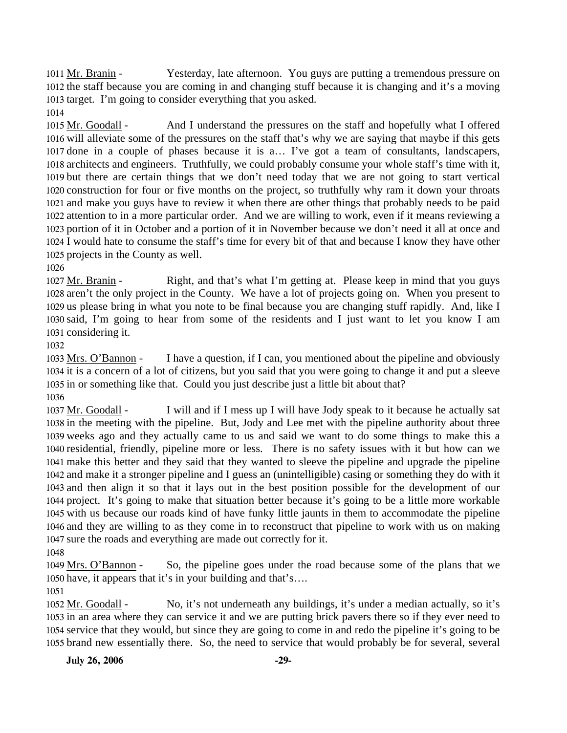Yesterday, late afternoon. You guys are putting a tremendous pressure on 1012 the staff because you are coming in and changing stuff because it is changing and it's a moving 1013 target. I'm going to consider everything that you asked. 1011 Mr. Branin -1014

And I understand the pressures on the staff and hopefully what I offered 1016 will alleviate some of the pressures on the staff that's why we are saying that maybe if this gets 1017 done in a couple of phases because it is a... I've got a team of consultants, landscapers, 1018 architects and engineers. Truthfully, we could probably consume your whole staff's time with it, 1019 but there are certain things that we don't need today that we are not going to start vertical 1020 construction for four or five months on the project, so truthfully why ram it down your throats 1021 and make you guys have to review it when there are other things that probably needs to be paid 1022 attention to in a more particular order. And we are willing to work, even if it means reviewing a 1023 portion of it in October and a portion of it in November because we don't need it all at once and 1024 I would hate to consume the staff's time for every bit of that and because I know they have other 1025 projects in the County as well. 1015 Mr. Goodall -

1026

Right, and that's what I'm getting at. Please keep in mind that you guys 1028 aren't the only project in the County. We have a lot of projects going on. When you present to 1029 us please bring in what you note to be final because you are changing stuff rapidly. And, like I 1030 said, I'm going to hear from some of the residents and I just want to let you know I am 1031 considering it. 1027 Mr. Branin -

1032

I have a question, if I can, you mentioned about the pipeline and obviously 1034 it is a concern of a lot of citizens, but you said that you were going to change it and put a sleeve 1035 in or something like that. Could you just describe just a little bit about that? 1033 Mrs. O'Bannon -1036

I will and if I mess up I will have Jody speak to it because he actually sat 1038 in the meeting with the pipeline. But, Jody and Lee met with the pipeline authority about three 1039 weeks ago and they actually came to us and said we want to do some things to make this a 1040 residential, friendly, pipeline more or less. There is no safety issues with it but how can we 1041 make this better and they said that they wanted to sleeve the pipeline and upgrade the pipeline 1042 and make it a stronger pipeline and I guess an (unintelligible) casing or something they do with it 1043 and then align it so that it lays out in the best position possible for the development of our 1044 project. It's going to make that situation better because it's going to be a little more workable 1045 with us because our roads kind of have funky little jaunts in them to accommodate the pipeline 1046 and they are willing to as they come in to reconstruct that pipeline to work with us on making 1047 sure the roads and everything are made out correctly for it. 1037 Mr. Goodall -

1048

So, the pipeline goes under the road because some of the plans that we 1050 have, it appears that it's in your building and that's.... 1049 Mrs. O'Bannon -

1051

No, it's not underneath any buildings, it's under a median actually, so it's 1053 in an area where they can service it and we are putting brick pavers there so if they ever need to 1054 service that they would, but since they are going to come in and redo the pipeline it's going to be 1055 brand new essentially there. So, the need to service that would probably be for several, several 1052 Mr. Goodall -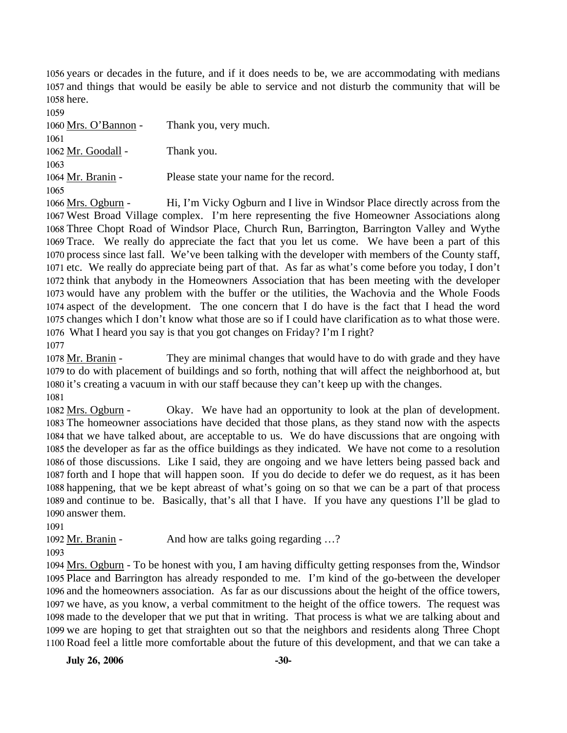1056 years or decades in the future, and if it does needs to be, we are accommodating with medians 1057 and things that would be easily be able to service and not disturb the community that will be 1058 here.

1059

| 1060 Mrs. O'Bannon - | Thank you, very much.                  |
|----------------------|----------------------------------------|
| 1061                 |                                        |
| 1062 Mr. Goodall -   | Thank you.                             |
| 1063                 |                                        |
| 1064 Mr. Branin -    | Please state your name for the record. |
| 1065                 |                                        |

Hi, I'm Vicky Ogburn and I live in Windsor Place directly across from the 1067 West Broad Village complex. I'm here representing the five Homeowner Associations along 1068 Three Chopt Road of Windsor Place, Church Run, Barrington, Barrington Valley and Wythe 1069 Trace. We really do appreciate the fact that you let us come. We have been a part of this 1070 process since last fall. We've been talking with the developer with members of the County staff, 1071 etc. We really do appreciate being part of that. As far as what's come before you today, I don't 1072 think that anybody in the Homeowners Association that has been meeting with the developer 1073 would have any problem with the buffer or the utilities, the Wachovia and the Whole Foods 1074 aspect of the development. The one concern that I do have is the fact that I head the word 1075 changes which I don't know what those are so if I could have clarification as to what those were. What I heard you say is that you got changes on Friday? I'm I right? 1076 1066 Mrs. Ogburn -1077

They are minimal changes that would have to do with grade and they have 1079 to do with placement of buildings and so forth, nothing that will affect the neighborhood at, but 1080 it's creating a vacuum in with our staff because they can't keep up with the changes. 1078 Mr. Branin -1081

Okay. We have had an opportunity to look at the plan of development. 1083 The homeowner associations have decided that those plans, as they stand now with the aspects 1084 that we have talked about, are acceptable to us. We do have discussions that are ongoing with 1085 the developer as far as the office buildings as they indicated. We have not come to a resolution 1086 of those discussions. Like I said, they are ongoing and we have letters being passed back and 1087 forth and I hope that will happen soon. If you do decide to defer we do request, as it has been 1088 happening, that we be kept abreast of what's going on so that we can be a part of that process 1089 and continue to be. Basically, that's all that I have. If you have any questions I'll be glad to 1090 answer them. 1082 Mrs. Ogburn -

1091

1092 Mr. Branin - And how are talks going regarding ...?

1093

1094 Mrs. Ogburn - To be honest with you, I am having difficulty getting responses from the, Windsor 1095 Place and Barrington has already responded to me. I'm kind of the go-between the developer 1096 and the homeowners association. As far as our discussions about the height of the office towers, 1097 we have, as you know, a verbal commitment to the height of the office towers. The request was 1098 made to the developer that we put that in writing. That process is what we are talking about and 1099 we are hoping to get that straighten out so that the neighbors and residents along Three Chopt 1100 Road feel a little more comfortable about the future of this development, and that we can take a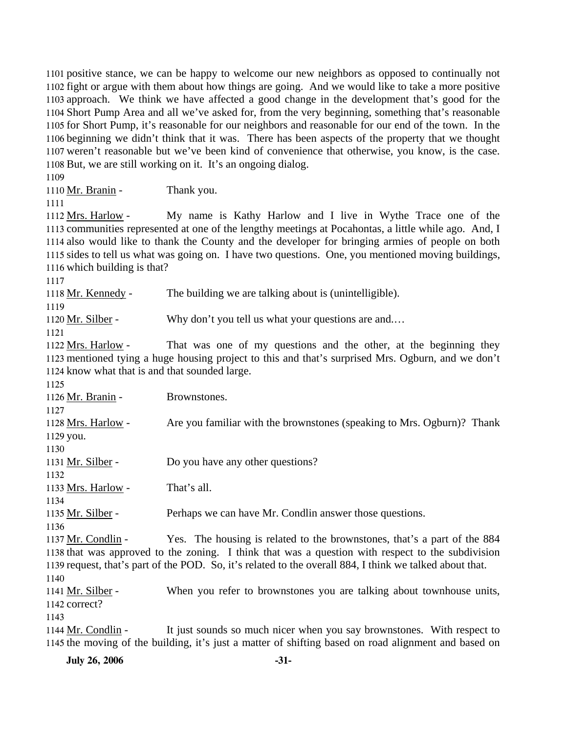positive stance, we can be happy to welcome our new neighbors as opposed to continually not fight or argue with them about how things are going. And we would like to take a more positive approach. We think we have affected a good change in the development that's good for the Short Pump Area and all we've asked for, from the very beginning, something that's reasonable for Short Pump, it's reasonable for our neighbors and reasonable for our end of the town. In the beginning we didn't think that it was. There has been aspects of the property that we thought weren't reasonable but we've been kind of convenience that otherwise, you know, is the case. But, we are still working on it. It's an ongoing dialog.

1109

1110 Mr. Branin - Thank you.

1111

My name is Kathy Harlow and I live in Wythe Trace one of the 1113 communities represented at one of the lengthy meetings at Pocahontas, a little while ago. And, I 1114 also would like to thank the County and the developer for bringing armies of people on both 1115 sides to tell us what was going on. I have two questions. One, you mentioned moving buildings, 1116 which building is that? 1112 Mrs. Harlow -

1117

1118 Mr. Kennedy - The building we are talking about is (unintelligible). 1119

1120 Mr. Silber - Why don't you tell us what your questions are and....

1121

That was one of my questions and the other, at the beginning they 1123 mentioned tying a huge housing project to this and that's surprised Mrs. Ogburn, and we don't 1124 know what that is and that sounded large. 1122 Mrs. Harlow -

1125

1126 Mr. Branin - Brownstones.

1127

Are you familiar with the brownstones (speaking to Mrs. Ogburn)? Thank 1129 you. 1128 Mrs. Harlow -

1130

1131 Mr. Silber - Do you have any other questions?

1133 Mrs. Harlow - That's all.

1134

1132

1135 Mr. Silber - Perhaps we can have Mr. Condlin answer those questions.

1136

Yes. The housing is related to the brownstones, that's a part of the 884 1138 that was approved to the zoning. I think that was a question with respect to the subdivision 1139 request, that's part of the POD. So, it's related to the overall 884, I think we talked about that. 1137 Mr. Condlin -1140

When you refer to brownstones you are talking about townhouse units, 1142 correct? 1141 Mr. Silber -

1143

It just sounds so much nicer when you say brownstones. With respect to 1145 the moving of the building, it's just a matter of shifting based on road alignment and based on 1144 Mr. Condlin -

**July 26, 2006** -31-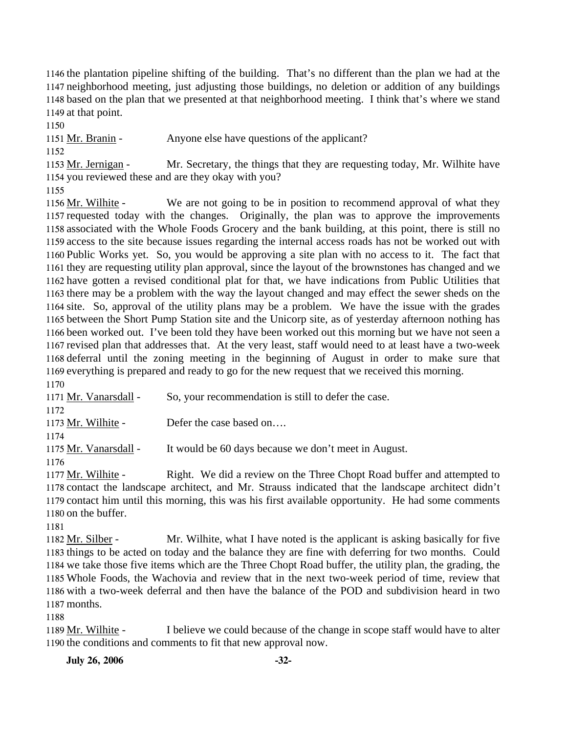the plantation pipeline shifting of the building. That's no different than the plan we had at the neighborhood meeting, just adjusting those buildings, no deletion or addition of any buildings based on the plan that we presented at that neighborhood meeting. I think that's where we stand at that point.

1150

1151 Mr. Branin - Anyone else have questions of the applicant?

1152

Mr. Secretary, the things that they are requesting today, Mr. Wilhite have 1154 you reviewed these and are they okay with you? 1153 Mr. Jernigan -

1155

We are not going to be in position to recommend approval of what they 1157 requested today with the changes. Originally, the plan was to approve the improvements 1158 associated with the Whole Foods Grocery and the bank building, at this point, there is still no 1159 access to the site because issues regarding the internal access roads has not be worked out with 1160 Public Works yet. So, you would be approving a site plan with no access to it. The fact that 1161 they are requesting utility plan approval, since the layout of the brownstones has changed and we 1162 have gotten a revised conditional plat for that, we have indications from Public Utilities that 1163 there may be a problem with the way the layout changed and may effect the sewer sheds on the 1164 site. So, approval of the utility plans may be a problem. We have the issue with the grades 1165 between the Short Pump Station site and the Unicorp site, as of yesterday afternoon nothing has 1166 been worked out. I've been told they have been worked out this morning but we have not seen a 1167 revised plan that addresses that. At the very least, staff would need to at least have a two-week 1168 deferral until the zoning meeting in the beginning of August in order to make sure that 1169 everything is prepared and ready to go for the new request that we received this morning. 1156 Mr. Wilhite -1170

1171 Mr. Vanarsdall - So, your recommendation is still to defer the case. 1172 1173 Mr. Wilhite - Defer the case based on.... 1174 1175 Mr. Vanarsdall - It would be 60 days because we don't meet in August. 1176 Right. We did a review on the Three Chopt Road buffer and attempted to 1177 Mr. Wilhite -

1178 contact the landscape architect, and Mr. Strauss indicated that the landscape architect didn't 1179 contact him until this morning, this was his first available opportunity. He had some comments 1180 on the buffer.

1181

Mr. Wilhite, what I have noted is the applicant is asking basically for five 1183 things to be acted on today and the balance they are fine with deferring for two months. Could 1184 we take those five items which are the Three Chopt Road buffer, the utility plan, the grading, the 1185 Whole Foods, the Wachovia and review that in the next two-week period of time, review that 1186 with a two-week deferral and then have the balance of the POD and subdivision heard in two 1187 months. 1182 Mr. Silber -

1188

I believe we could because of the change in scope staff would have to alter 1190 the conditions and comments to fit that new approval now. 1189 Mr. Wilhite -

**July 26, 2006 -32-**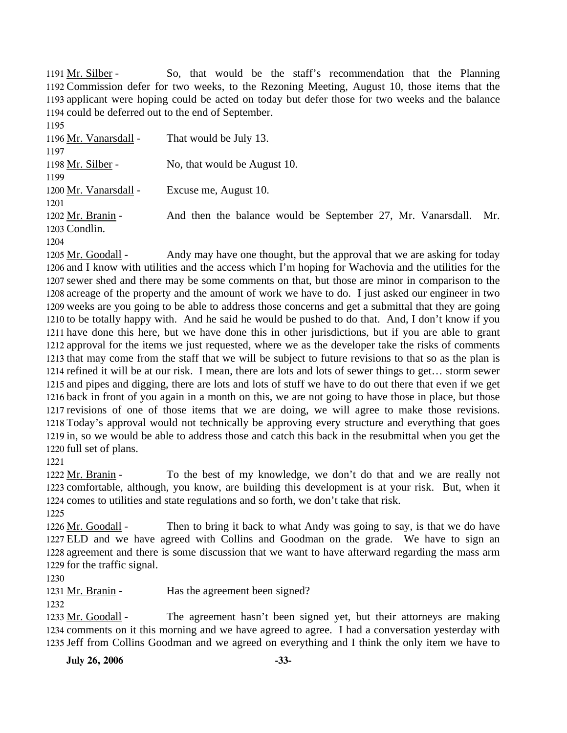So, that would be the staff's recommendation that the Planning 1192 Commission defer for two weeks, to the Rezoning Meeting, August 10, those items that the 1193 applicant were hoping could be acted on today but defer those for two weeks and the balance 1194 could be deferred out to the end of September. 1191 Mr. Silber -

1195 1196 Mr. Vanarsdall - That would be July 13. 1197 1198 Mr. Silber - No, that would be August 10. 1199 1200 Mr. Vanarsdall - Excuse me, August 10. 1201 And then the balance would be September 27, Mr. Vanarsdall. Mr. 1203 Condlin. 1202 Mr. Branin -1204

Andy may have one thought, but the approval that we are asking for today 1206 and I know with utilities and the access which I'm hoping for Wachovia and the utilities for the 1207 sewer shed and there may be some comments on that, but those are minor in comparison to the 1208 acreage of the property and the amount of work we have to do. I just asked our engineer in two 1209 weeks are you going to be able to address those concerns and get a submittal that they are going 1210 to be totally happy with. And he said he would be pushed to do that. And, I don't know if you 1211 have done this here, but we have done this in other jurisdictions, but if you are able to grant 1212 approval for the items we just requested, where we as the developer take the risks of comments 1213 that may come from the staff that we will be subject to future revisions to that so as the plan is 1214 refined it will be at our risk. I mean, there are lots and lots of sewer things to get... storm sewer 1215 and pipes and digging, there are lots and lots of stuff we have to do out there that even if we get 1216 back in front of you again in a month on this, we are not going to have those in place, but those 1217 revisions of one of those items that we are doing, we will agree to make those revisions. 1218 Today's approval would not technically be approving every structure and everything that goes 1219 in, so we would be able to address those and catch this back in the resubmittal when you get the 1220 full set of plans. 1205 Mr. Goodall -

1221

To the best of my knowledge, we don't do that and we are really not 1223 comfortable, although, you know, are building this development is at your risk. But, when it 1224 comes to utilities and state regulations and so forth, we don't take that risk. 1222 Mr. Branin -

1225

Then to bring it back to what Andy was going to say, is that we do have 1227 ELD and we have agreed with Collins and Goodman on the grade. We have to sign an 1228 agreement and there is some discussion that we want to have afterward regarding the mass arm 1229 for the traffic signal. 1226 Mr. Goodall -

1230

1231 Mr. Branin - Has the agreement been signed?

1232

The agreement hasn't been signed yet, but their attorneys are making 1234 comments on it this morning and we have agreed to agree. I had a conversation yesterday with 1235 Jeff from Collins Goodman and we agreed on everything and I think the only item we have to 1233 Mr. Goodall -

**July 26, 2006 -33-**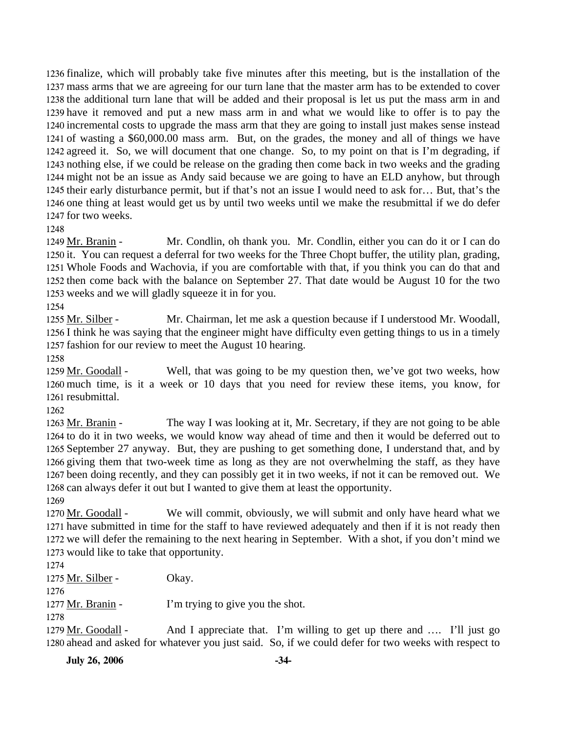finalize, which will probably take five minutes after this meeting, but is the installation of the mass arms that we are agreeing for our turn lane that the master arm has to be extended to cover the additional turn lane that will be added and their proposal is let us put the mass arm in and have it removed and put a new mass arm in and what we would like to offer is to pay the incremental costs to upgrade the mass arm that they are going to install just makes sense instead of wasting a \$60,000.00 mass arm. But, on the grades, the money and all of things we have agreed it. So, we will document that one change. So, to my point on that is I'm degrading, if nothing else, if we could be release on the grading then come back in two weeks and the grading might not be an issue as Andy said because we are going to have an ELD anyhow, but through their early disturbance permit, but if that's not an issue I would need to ask for… But, that's the one thing at least would get us by until two weeks until we make the resubmittal if we do defer for two weeks.

1248

Mr. Condlin, oh thank you. Mr. Condlin, either you can do it or I can do 1250 it. You can request a deferral for two weeks for the Three Chopt buffer, the utility plan, grading, Whole Foods and Wachovia, if you are comfortable with that, if you think you can do that and 1251 1252 then come back with the balance on September 27. That date would be August 10 for the two 1253 weeks and we will gladly squeeze it in for you. 1249 Mr. Branin -

1254

Mr. Chairman, let me ask a question because if I understood Mr. Woodall, 1256 I think he was saying that the engineer might have difficulty even getting things to us in a timely 1257 fashion for our review to meet the August 10 hearing. 1255 Mr. Silber -

1258

Well, that was going to be my question then, we've got two weeks, how 1260 much time, is it a week or 10 days that you need for review these items, you know, for 1261 resubmittal. 1259 Mr. Goodall -

1262

The way I was looking at it, Mr. Secretary, if they are not going to be able 1264 to do it in two weeks, we would know way ahead of time and then it would be deferred out to 1265 September 27 anyway. But, they are pushing to get something done, I understand that, and by 1266 giving them that two-week time as long as they are not overwhelming the staff, as they have 1267 been doing recently, and they can possibly get it in two weeks, if not it can be removed out. We 1268 can always defer it out but I wanted to give them at least the opportunity. 1263 Mr. Branin -

1269

We will commit, obviously, we will submit and only have heard what we 1271 have submitted in time for the staff to have reviewed adequately and then if it is not ready then 1272 we will defer the remaining to the next hearing in September. With a shot, if you don't mind we 1273 would like to take that opportunity. 1270 Mr. Goodall -

1274

 $1275$  Mr. Silber - Okay.

1276

1277 Mr. Branin - I'm trying to give you the shot.

1278

And I appreciate that. I'm willing to get up there and .... I'll just go 1280 ahead and asked for whatever you just said. So, if we could defer for two weeks with respect to 1279 Mr. Goodall -

**July 26, 2006 -34-**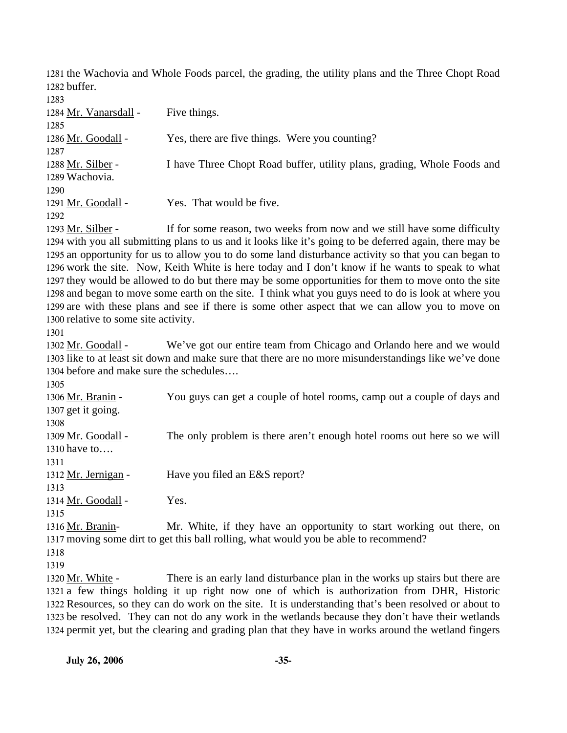1281 the Wachovia and Whole Foods parcel, the grading, the utility plans and the Three Chopt Road 1282 buffer.

| 1283                  |                                                                          |
|-----------------------|--------------------------------------------------------------------------|
| 1284 Mr. Vanarsdall - | Five things.                                                             |
| 1285                  |                                                                          |
| 1286 Mr. Goodall -    | Yes, there are five things. Were you counting?                           |
| 1287                  |                                                                          |
| 1288 Mr. Silber -     | I have Three Chopt Road buffer, utility plans, grading, Whole Foods and  |
| 1289 Wachovia.        |                                                                          |
| 1290                  |                                                                          |
| 1291 Mr. Goodall -    | Yes. That would be five.                                                 |
| 1292                  |                                                                          |
| 1293 Mr. Silber -     | If for some reason, two weeks from now and we still have some difficulty |

1294 with you all submitting plans to us and it looks like it's going to be deferred again, there may be 1295 an opportunity for us to allow you to do some land disturbance activity so that you can began to 1296 work the site. Now, Keith White is here today and I don't know if he wants to speak to what 1297 they would be allowed to do but there may be some opportunities for them to move onto the site 1298 and began to move some earth on the site. I think what you guys need to do is look at where you 1299 are with these plans and see if there is some other aspect that we can allow you to move on 1300 relative to some site activity.

1301

We've got our entire team from Chicago and Orlando here and we would 1303 like to at least sit down and make sure that there are no more misunderstandings like we've done 1304 before and make sure the schedules.... 1302 Mr. Goodall -

1305 You guys can get a couple of hotel rooms, camp out a couple of days and 1307 get it going. 1306 Mr. Branin -1308 The only problem is there aren't enough hotel rooms out here so we will 1310 have to.... 1309 Mr. Goodall -1311 1312 Mr. Jernigan - Have you filed an E&S report? 1313 1314 Mr. Goodall - Yes. 1315 Mr. White, if they have an opportunity to start working out there, on 1317 moving some dirt to get this ball rolling, what would you be able to recommend? 1316 Mr. Branin-

1318

1319

There is an early land disturbance plan in the works up stairs but there are 1321 a few things holding it up right now one of which is authorization from DHR, Historic 1322 Resources, so they can do work on the site. It is understanding that's been resolved or about to 1323 be resolved. They can not do any work in the wetlands because they don't have their wetlands 1324 permit yet, but the clearing and grading plan that they have in works around the wetland fingers 1320 Mr. White -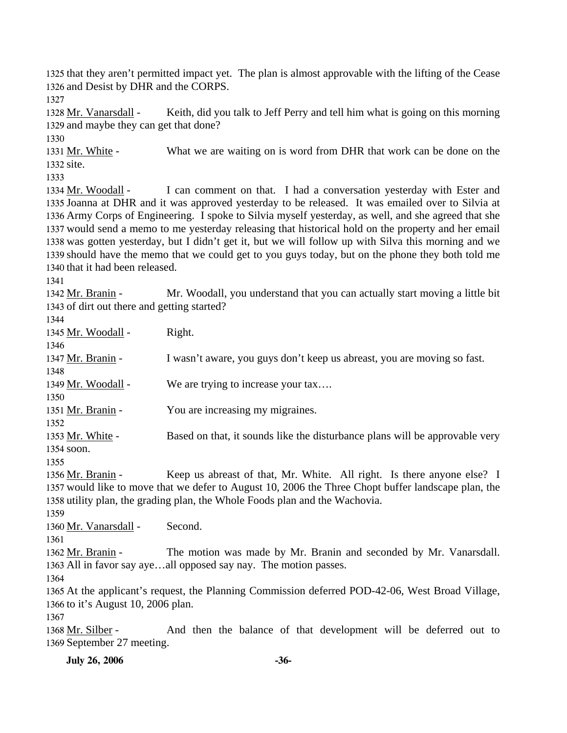1325 that they aren't permitted impact yet. The plan is almost approvable with the lifting of the Cease 1326 and Desist by DHR and the CORPS.

1327

Keith, did you talk to Jeff Perry and tell him what is going on this morning 1329 and maybe they can get that done? 1328 Mr. Vanarsdall -

1330 What we are waiting on is word from DHR that work can be done on the 1332 site. 1331 Mr. White -

1333

I can comment on that. I had a conversation yesterday with Ester and 1335 Joanna at DHR and it was approved yesterday to be released. It was emailed over to Silvia at Army Corps of Engineering. I spoke to Silvia myself yesterday, as well, and she agreed that she 1336 1337 would send a memo to me yesterday releasing that historical hold on the property and her email 1338 was gotten yesterday, but I didn't get it, but we will follow up with Silva this morning and we 1339 should have the memo that we could get to you guys today, but on the phone they both told me 1340 that it had been released. 1334 Mr. Woodall -

1341

Mr. Woodall, you understand that you can actually start moving a little bit 1343 of dirt out there and getting started? 1342 Mr. Branin -

1344

1345 Mr. Woodall - Right. 1346 1347 Mr. Branin - I wasn't aware, you guys don't keep us abreast, you are moving so fast. 1348 1349 Mr. Woodall - We are trying to increase your tax…. 1350 1351 Mr. Branin - You are increasing my migraines. 1352 Based on that, it sounds like the disturbance plans will be approvable very 1354 soon. 1353 Mr. White -1355

Keep us abreast of that, Mr. White. All right. Is there anyone else? I 1357 would like to move that we defer to August 10, 2006 the Three Chopt buffer landscape plan, the 1358 utility plan, the grading plan, the Whole Foods plan and the Wachovia. 1356 Mr. Branin -1359

1360 Mr. Vanarsdall - Second.

1361

The motion was made by Mr. Branin and seconded by Mr. Vanarsdall. 1363 All in favor say aye...all opposed say nay. The motion passes. 1362 Mr. Branin -

1364

1365 At the applicant's request, the Planning Commission deferred POD-42-06, West Broad Village, 1366 to it's August 10, 2006 plan.

1367

And then the balance of that development will be deferred out to 1369 September 27 meeting. 1368 Mr. Silber -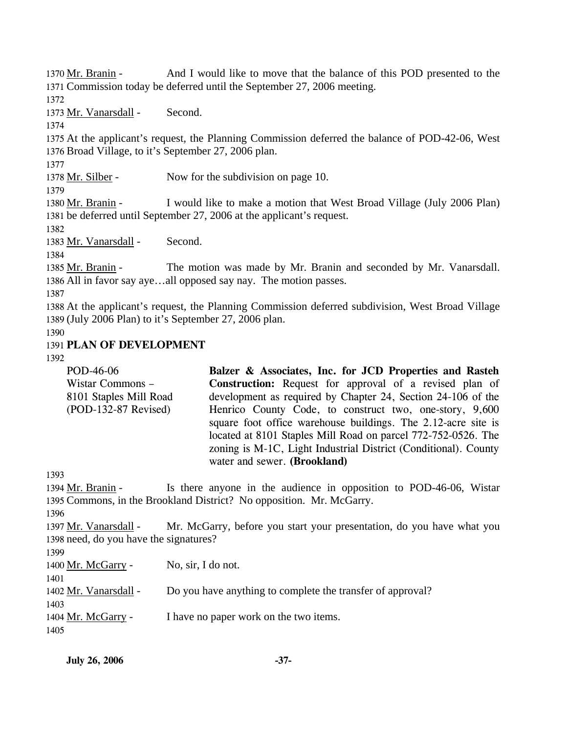And I would like to move that the balance of this POD presented to the 1371 Commission today be deferred until the September 27, 2006 meeting. 1370 Mr. Branin -

1372

1373 Mr. Vanarsdall - Second.

1374

1375 At the applicant's request, the Planning Commission deferred the balance of POD-42-06, West 1376 Broad Village, to it's September 27, 2006 plan.

1377

1378 Mr. Silber - Now for the subdivision on page 10.

1379

I would like to make a motion that West Broad Village (July 2006 Plan) 1381 be deferred until September 27, 2006 at the applicant's request. 1380 Mr. Branin -

1382

1383 Mr. Vanarsdall - Second.

1384

The motion was made by Mr. Branin and seconded by Mr. Vanarsdall. 1386 All in favor say aye...all opposed say nay. The motion passes. 1385 Mr. Branin -

1387

1388 At the applicant's request, the Planning Commission deferred subdivision, West Broad Village 1389 (July 2006 Plan) to it's September 27, 2006 plan.

1390

### 1391 **PLAN OF DEVELOPMENT**

1392

| POD-46-06              | Balzer & Associates, Inc. for JCD Properties and Rasteh         |
|------------------------|-----------------------------------------------------------------|
| Wistar Commons -       | Construction: Request for approval of a revised plan of         |
| 8101 Staples Mill Road | development as required by Chapter 24, Section 24-106 of the    |
| $(POD-132-87$ Revised) | Henrico County Code, to construct two, one-story, 9,600         |
|                        | square foot office warehouse buildings. The 2.12-acre site is   |
|                        | located at 8101 Staples Mill Road on parcel 772-752-0526. The   |
|                        | zoning is M-1C, Light Industrial District (Conditional). County |
|                        | water and sewer. (Brookland)                                    |

1393

Is there anyone in the audience in opposition to POD-46-06, Wistar 1395 Commons, in the Brookland District? No opposition. Mr. McGarry. 1394 Mr. Branin -1396 Mr. McGarry, before you start your presentation, do you have what you 1398 need, do you have the signatures? 1397 Mr. Vanarsdall -1399 1400 Mr. McGarry - No, sir, I do not.

1401 1402 Mr. Vanarsdall - Do you have anything to complete the transfer of approval? 1403 1404 Mr. McGarry - I have no paper work on the two items.

1405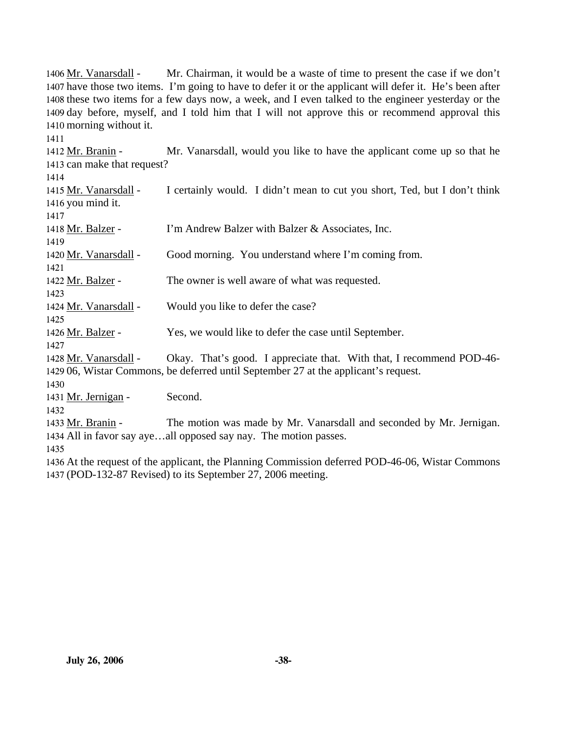Mr. Chairman, it would be a waste of time to present the case if we don't 1407 have those two items. I'm going to have to defer it or the applicant will defer it. He's been after 1408 these two items for a few days now, a week, and I even talked to the engineer yesterday or the 1409 day before, myself, and I told him that I will not approve this or recommend approval this 1410 morning without it. 1406 Mr. Vanarsdall -1411 Mr. Vanarsdall, would you like to have the applicant come up so that he 1413 can make that request? 1412 Mr. Branin -1414 I certainly would. I didn't mean to cut you short, Ted, but I don't think 1416 you mind it. 1415 Mr. Vanarsdall -1417 1418 Mr. Balzer - I'm Andrew Balzer with Balzer & Associates, Inc. 1419 1420 Mr. Vanarsdall - Good morning. You understand where I'm coming from. 1421 1422 Mr. Balzer - The owner is well aware of what was requested. 1423 1424 Mr. Vanarsdall - Would you like to defer the case? 1425 1426 Mr. Balzer - Yes, we would like to defer the case until September. 1427 Okay. That's good. I appreciate that. With that, I recommend POD-46-1429 06, Wistar Commons, be deferred until September 27 at the applicant's request. 1428 Mr. Vanarsdall -1430 1431 Mr. Jernigan - Second. 1432 The motion was made by Mr. Vanarsdall and seconded by Mr. Jernigan. 1434 All in favor say aye...all opposed say nay. The motion passes. 1433 Mr. Branin -1435 1436 At the request of the applicant, the Planning Commission deferred POD-46-06, Wistar Commons 1437 (POD-132-87 Revised) to its September 27, 2006 meeting.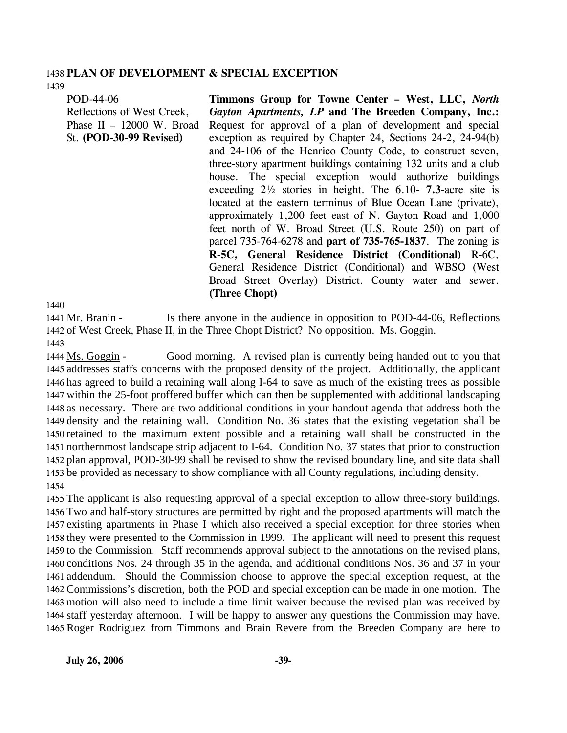#### 1438 **PLAN OF DEVELOPMENT & SPECIAL EXCEPTION**  1439

POD-44-06 Reflections of West Creek, Phase II – 12000 W. Broad

St. **(POD-30-99 Revised)** 

**Timmons Group for Towne Center – West, LLC,** *North Gayton Apartments, LP* **and The Breeden Company, Inc.:**  Request for approval of a plan of development and special exception as required by Chapter 24, Sections 24-2, 24-94(b) and 24-106 of the Henrico County Code, to construct seven, three-story apartment buildings containing 132 units and a club house. The special exception would authorize buildings exceeding 2½ stories in height. The 6.10- **7.3**-acre site is located at the eastern terminus of Blue Ocean Lane (private), approximately 1,200 feet east of N. Gayton Road and 1,000 feet north of W. Broad Street (U.S. Route 250) on part of parcel 735-764-6278 and **part of 735-765-1837**. The zoning is **R-5C, General Residence District (Conditional)** R-6C, General Residence District (Conditional) and WBSO (West Broad Street Overlay) District. County water and sewer. **(Three Chopt)** 

1440

Is there anyone in the audience in opposition to POD-44-06, Reflections 1442 of West Creek, Phase II, in the Three Chopt District? No opposition. Ms. Goggin. 1441 Mr. Branin -1443

Good morning. A revised plan is currently being handed out to you that 1445 addresses staffs concerns with the proposed density of the project. Additionally, the applicant 1446 has agreed to build a retaining wall along I-64 to save as much of the existing trees as possible 1447 within the 25-foot proffered buffer which can then be supplemented with additional landscaping 1448 as necessary. There are two additional conditions in your handout agenda that address both the 1449 density and the retaining wall. Condition No. 36 states that the existing vegetation shall be 1450 retained to the maximum extent possible and a retaining wall shall be constructed in the 1451 northernmost landscape strip adjacent to I-64. Condition No. 37 states that prior to construction 1452 plan approval, POD-30-99 shall be revised to show the revised boundary line, and site data shall 1453 be provided as necessary to show compliance with all County regulations, including density. 1444 Ms. Goggin -1454

 The applicant is also requesting approval of a special exception to allow three-story buildings. Two and half-story structures are permitted by right and the proposed apartments will match the existing apartments in Phase I which also received a special exception for three stories when they were presented to the Commission in 1999. The applicant will need to present this request to the Commission. Staff recommends approval subject to the annotations on the revised plans, conditions Nos. 24 through 35 in the agenda, and additional conditions Nos. 36 and 37 in your addendum. Should the Commission choose to approve the special exception request, at the Commissions's discretion, both the POD and special exception can be made in one motion. The motion will also need to include a time limit waiver because the revised plan was received by staff yesterday afternoon. I will be happy to answer any questions the Commission may have. Roger Rodriguez from Timmons and Brain Revere from the Breeden Company are here to

**July 26, 2006** -39-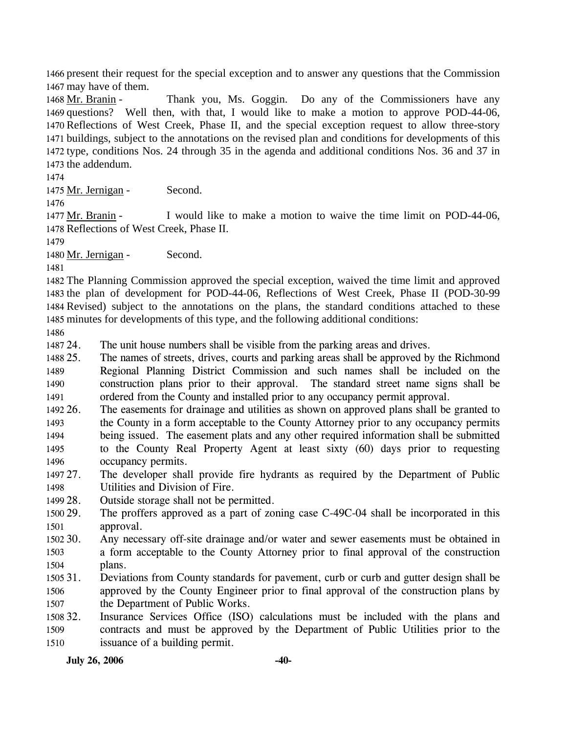1466 present their request for the special exception and to answer any questions that the Commission 1467 may have of them.

Thank you, Ms. Goggin. Do any of the Commissioners have any 1469 questions? Well then, with that, I would like to make a motion to approve POD-44-06, 1470 Reflections of West Creek, Phase II, and the special exception request to allow three-story 1471 buildings, subject to the annotations on the revised plan and conditions for developments of this 1472 type, conditions Nos. 24 through 35 in the agenda and additional conditions Nos. 36 and 37 in 1473 the addendum. 1468 Mr. Branin -

1474

1475 Mr. Jernigan - Second.

1476

I would like to make a motion to waive the time limit on POD-44-06, 1478 Reflections of West Creek, Phase II. 1477 Mr. Branin -

1479

1480 Mr. Jernigan - Second.

1481

 The Planning Commission approved the special exception, waived the time limit and approved the plan of development for POD-44-06, Reflections of West Creek, Phase II (POD-30-99 Revised) subject to the annotations on the plans, the standard conditions attached to these minutes for developments of this type, and the following additional conditions:

1486

1487 24. The unit house numbers shall be visible from the parking areas and drives.

1488 25. 1489 1490 1491 The names of streets, drives, courts and parking areas shall be approved by the Richmond Regional Planning District Commission and such names shall be included on the construction plans prior to their approval. The standard street name signs shall be ordered from the County and installed prior to any occupancy permit approval.

1492 26. 1493 1494 1495 1496 The easements for drainage and utilities as shown on approved plans shall be granted to the County in a form acceptable to the County Attorney prior to any occupancy permits being issued. The easement plats and any other required information shall be submitted to the County Real Property Agent at least sixty (60) days prior to requesting occupancy permits.

1497 27. 1498 The developer shall provide fire hydrants as required by the Department of Public Utilities and Division of Fire.

1499 28. Outside storage shall not be permitted.

1500 29. 1501 The proffers approved as a part of zoning case  $C$ -49 $C$ -04 shall be incorporated in this approval.

1502 30. 1503 1504 Any necessary off-site drainage and/or water and sewer easements must be obtained in a form acceptable to the County Attorney prior to final approval of the construction plans.

1505 31. 1506 1507 31. Deviations from County standards for pavement, curb or curb and gutter design shall be approved by the County Engineer prior to final approval of the construction plans by the Department of Public Works.

1508 32. 1509 1510 Insurance Services Office (ISO) calculations must be included with the plans and contracts and must be approved by the Department of Public Utilities prior to the issuance of a building permit.

**July 26, 2006 -40-**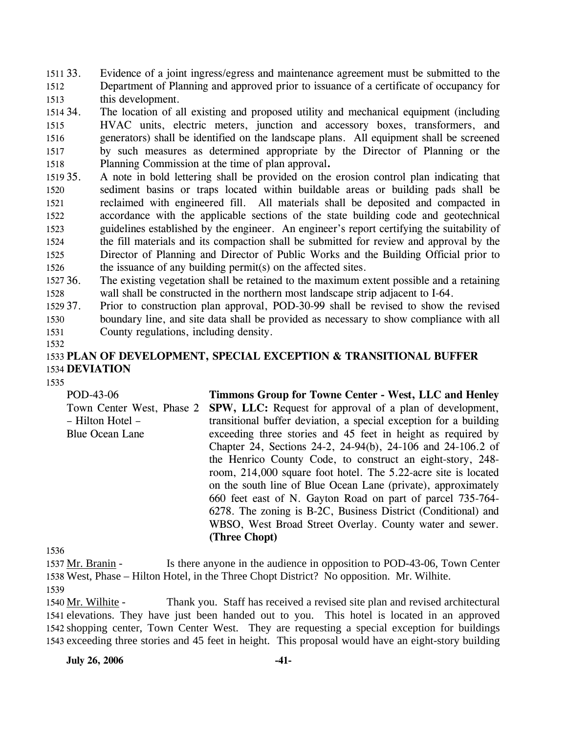1511 33. 1512 1513 Evidence of a joint ingress/egress and maintenance agreement must be submitted to the Department of Planning and approved prior to issuance of a certificate of occupancy for this development.

1514 34. 1515 1516 1517 1518 The location of all existing and proposed utility and mechanical equipment (including HVAC units, electric meters, junction and accessory boxes, transformers, and generators) shall be identified on the landscape plans. All equipment shall be screened by such measures as determined appropriate by the Director of Planning or the Planning Commission at the time of plan approval**.** 

- 1519 35. 1520 1521 1522 1523 1524 1525 1526 35. A note in bold lettering shall be provided on the erosion control plan indicating that sediment basins or traps located within buildable areas or building pads shall be reclaimed with engineered fill. All materials shall be deposited and compacted in accordance with the applicable sections of the state building code and geotechnical guidelines established by the engineer. An engineer's report certifying the suitability of the fill materials and its compaction shall be submitted for review and approval by the Director of Planning and Director of Public Works and the Building Official prior to the issuance of any building permit(s) on the affected sites.
- 1527 36. 1528 The existing vegetation shall be retained to the maximum extent possible and a retaining wall shall be constructed in the northern most landscape strip adjacent to I-64.
- 1529 37. 1530 1531 37. Prior to construction plan approval, POD-30-99 shall be revised to show the revised boundary line, and site data shall be provided as necessary to show compliance with all County regulations, including density.
- 1532

# 1533 **PLAN OF DEVELOPMENT, SPECIAL EXCEPTION & TRANSITIONAL BUFFER**  1534 **DEVIATION**

1535

| Timmons Group for Towne Center - West, LLC and Henley                                        |
|----------------------------------------------------------------------------------------------|
| <b>SPW, LLC:</b> Request for approval of a plan of development,<br>Town Center West, Phase 2 |
| transitional buffer deviation, a special exception for a building                            |
| exceeding three stories and 45 feet in height as required by                                 |
| Chapter 24, Sections 24-2, 24-94(b), 24-106 and 24-106.2 of                                  |
| the Henrico County Code, to construct an eight-story, 248-                                   |
| room, 214,000 square foot hotel. The 5.22-acre site is located                               |
| on the south line of Blue Ocean Lane (private), approximately                                |
| 660 feet east of N. Gayton Road on part of parcel 735-764-                                   |
| 6278. The zoning is B-2C, Business District (Conditional) and                                |
| WBSO, West Broad Street Overlay. County water and sewer.                                     |
| (Three Chopt)                                                                                |
|                                                                                              |

1536

Is there anyone in the audience in opposition to POD-43-06, Town Center West, Phase – Hilton Hotel, in the Three Chopt District? No opposition. Mr. Wilhite. 1538 1537 Mr. Branin -1539

Thank you. Staff has received a revised site plan and revised architectural 1541 elevations. They have just been handed out to you. This hotel is located in an approved 1542 shopping center, Town Center West. They are requesting a special exception for buildings 1543 exceeding three stories and 45 feet in height. This proposal would have an eight-story building 1540 Mr. Wilhite -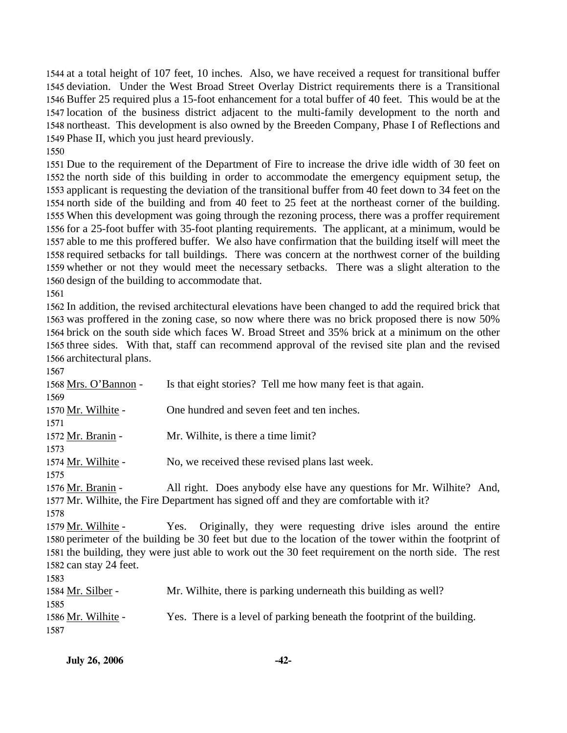at a total height of 107 feet, 10 inches. Also, we have received a request for transitional buffer deviation. Under the West Broad Street Overlay District requirements there is a Transitional Buffer 25 required plus a 15-foot enhancement for a total buffer of 40 feet. This would be at the location of the business district adjacent to the multi-family development to the north and northeast. This development is also owned by the Breeden Company, Phase I of Reflections and Phase II, which you just heard previously.

 Due to the requirement of the Department of Fire to increase the drive idle width of 30 feet on the north side of this building in order to accommodate the emergency equipment setup, the applicant is requesting the deviation of the transitional buffer from 40 feet down to 34 feet on the north side of the building and from 40 feet to 25 feet at the northeast corner of the building. When this development was going through the rezoning process, there was a proffer requirement for a 25-foot buffer with 35-foot planting requirements. The applicant, at a minimum, would be able to me this proffered buffer. We also have confirmation that the building itself will meet the required setbacks for tall buildings. There was concern at the northwest corner of the building whether or not they would meet the necessary setbacks. There was a slight alteration to the design of the building to accommodate that.

 In addition, the revised architectural elevations have been changed to add the required brick that was proffered in the zoning case, so now where there was no brick proposed there is now 50% brick on the south side which faces W. Broad Street and 35% brick at a minimum on the other three sides. With that, staff can recommend approval of the revised site plan and the revised architectural plans.

| 1.JU /                 |                                                                                                        |
|------------------------|--------------------------------------------------------------------------------------------------------|
| 1568 Mrs. O'Bannon -   | Is that eight stories? Tell me how many feet is that again.                                            |
| 1569                   |                                                                                                        |
| 1570 Mr. Wilhite -     | One hundred and seven feet and ten inches.                                                             |
| 1571                   |                                                                                                        |
| 1572 Mr. Branin -      | Mr. Wilhite, is there a time limit?                                                                    |
| 1573                   |                                                                                                        |
| 1574 Mr. Wilhite -     | No, we received these revised plans last week.                                                         |
| 1575                   |                                                                                                        |
| 1576 Mr. Branin -      | All right. Does anybody else have any questions for Mr. Wilhite? And,                                  |
|                        | 1577 Mr. Wilhite, the Fire Department has signed off and they are comfortable with it?                 |
| 1578                   |                                                                                                        |
| 1579 Mr. Wilhite -     | Yes. Originally, they were requesting drive isles around the entire                                    |
|                        | 1580 perimeter of the building be 30 feet but due to the location of the tower within the footprint of |
|                        | 1581 the building, they were just able to work out the 30 feet requirement on the north side. The rest |
| 1582 can stay 24 feet. |                                                                                                        |
| 1583                   |                                                                                                        |
| 1584 Mr. Silber -      | Mr. Wilhite, there is parking underneath this building as well?                                        |
| 1585                   |                                                                                                        |
| 1586 Mr. Wilhite -     | Yes. There is a level of parking beneath the footprint of the building.                                |
| 1587                   |                                                                                                        |
|                        |                                                                                                        |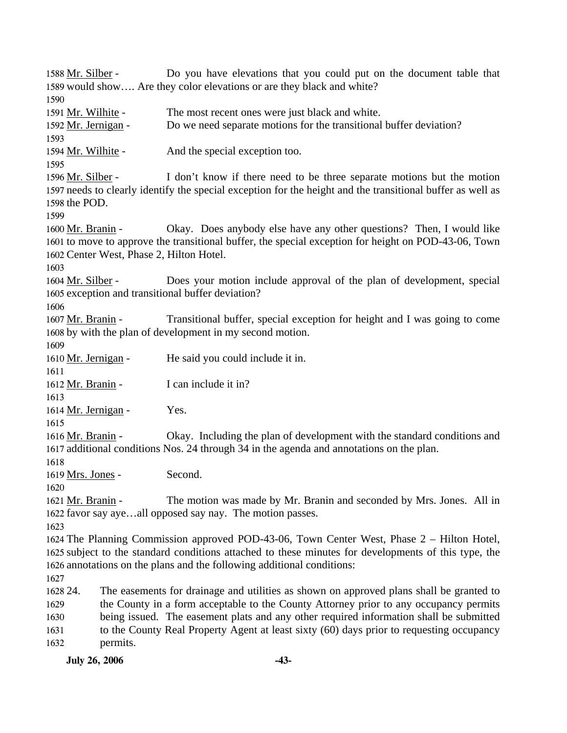Do you have elevations that you could put on the document table that 1589 would show.... Are they color elevations or are they black and white? 1588 Mr. Silber -1590 1591 Mr. Wilhite - The most recent ones were just black and white. 1592 Mr. Jernigan - Do we need separate motions for the transitional buffer deviation? 1593 1594 Mr. Wilhite - And the special exception too. 1595 I don't know if there need to be three separate motions but the motion 1597 needs to clearly identify the special exception for the height and the transitional buffer as well as 1598 the POD. 1596 Mr. Silber -1599 Okay. Does anybody else have any other questions? Then, I would like 1601 to move to approve the transitional buffer, the special exception for height on POD-43-06, Town 1602 Center West, Phase 2, Hilton Hotel. 1600 Mr. Branin -1603 Does your motion include approval of the plan of development, special 1605 exception and transitional buffer deviation? 1604 Mr. Silber -1606 Transitional buffer, special exception for height and I was going to come 1608 by with the plan of development in my second motion. 1607 Mr. Branin -1609 1610 Mr. Jernigan - He said you could include it in. 1611 1612 Mr. Branin - I can include it in? 1613 1614 Mr. Jernigan - Yes. 1615 Okay. Including the plan of development with the standard conditions and 1617 additional conditions Nos. 24 through 34 in the agenda and annotations on the plan. 1616 Mr. Branin -1618 1619 Mrs. Jones - Second. 1620 The motion was made by Mr. Branin and seconded by Mrs. Jones. All in 1622 favor say aye...all opposed say nay. The motion passes. 1621 Mr. Branin -1623 1624 The Planning Commission approved POD-43-06, Town Center West, Phase 2 – Hilton Hotel, 1625 subject to the standard conditions attached to these minutes for developments of this type, the 1626 annotations on the plans and the following additional conditions: 1627 1628 24. 1629 1630 1631 1632 The easements for drainage and utilities as shown on approved plans shall be granted to the County in a form acceptable to the County Attorney prior to any occupancy permits being issued. The easement plats and any other required information shall be submitted to the County Real Property Agent at least sixty (60) days prior to requesting occupancy permits.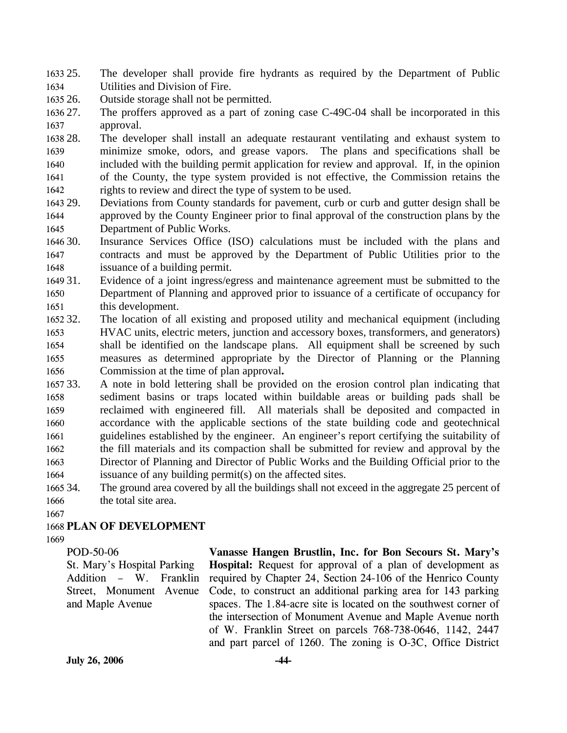1633 25. 1634 25. The developer shall provide fire hydrants as required by the Department of Public Utilities and Division of Fire.

1635 26. Outside storage shall not be permitted.

1636 27. 1637 The proffers approved as a part of zoning case C-49C-04 shall be incorporated in this approval.

- 1638 28. 1639 1640 1641 1642 The developer shall install an adequate restaurant ventilating and exhaust system to minimize smoke, odors, and grease vapors. The plans and specifications shall be included with the building permit application for review and approval. If, in the opinion of the County, the type system provided is not effective, the Commission retains the rights to review and direct the type of system to be used.
- 1643 29. 1644 1645 29. Deviations from County standards for pavement, curb or curb and gutter design shall be approved by the County Engineer prior to final approval of the construction plans by the Department of Public Works.
- 1646 30 1647 1648 Insurance Services Office (ISO) calculations must be included with the plans and contracts and must be approved by the Department of Public Utilities prior to the issuance of a building permit.
- 1649 31. 1650 1651 Evidence of a joint ingress/egress and maintenance agreement must be submitted to the Department of Planning and approved prior to issuance of a certificate of occupancy for this development.
- 1652 32. 1653 1654 1655 1656 32. The location of all existing and proposed utility and mechanical equipment (including HVAC units, electric meters, junction and accessory boxes, transformers, and generators) shall be identified on the landscape plans. All equipment shall be screened by such measures as determined appropriate by the Director of Planning or the Planning Commission at the time of plan approval**.**
- 1657 33. 1658 1659 1660 1661 1662 1663 1664 33. A note in bold lettering shall be provided on the erosion control plan indicating that sediment basins or traps located within buildable areas or building pads shall be reclaimed with engineered fill. All materials shall be deposited and compacted in accordance with the applicable sections of the state building code and geotechnical guidelines established by the engineer. An engineer's report certifying the suitability of the fill materials and its compaction shall be submitted for review and approval by the Director of Planning and Director of Public Works and the Building Official prior to the issuance of any building permit(s) on the affected sites.
- 1665 34. 1666 The ground area covered by all the buildings shall not exceed in the aggregate 25 percent of the total site area.
- 1667

### 1668 **PLAN OF DEVELOPMENT**

1669

POD-50-06 St. Mary's Hospital Parking Addition – W. Franklin Street, Monument Avenue and Maple Avenue

**Vanasse Hangen Brustlin, Inc. for Bon Secours St. Mary's Hospital:** Request for approval of a plan of development as required by Chapter 24, Section 24-106 of the Henrico County Code, to construct an additional parking area for 143 parking spaces. The 1.84-acre site is located on the southwest corner of the intersection of Monument Avenue and Maple Avenue north of W. Franklin Street on parcels 768-738-0646, 1142, 2447 and part parcel of 1260. The zoning is O-3C, Office District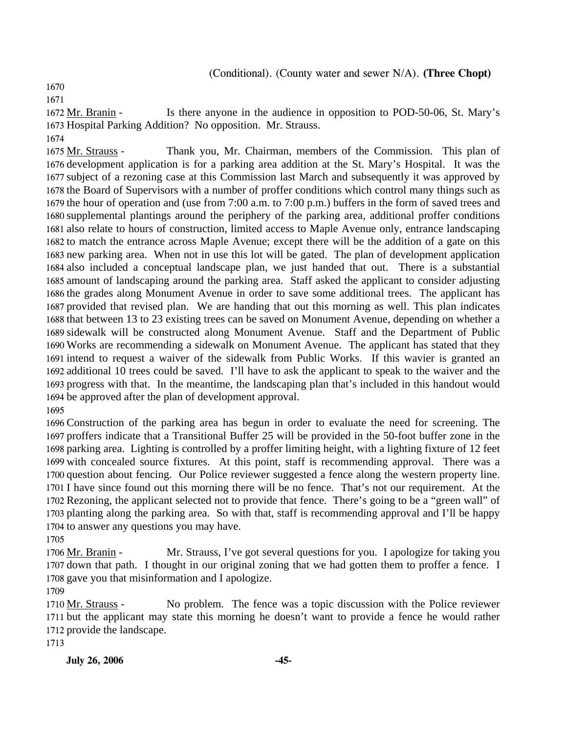(Conditional). (County water and sewer N/A). **(Three Chopt)** 

1670

1671

Is there anyone in the audience in opposition to POD-50-06, St. Mary's 1673 Hospital Parking Addition? No opposition. Mr. Strauss. 1672 Mr. Branin -

1674

Thank you, Mr. Chairman, members of the Commission. This plan of 1676 development application is for a parking area addition at the St. Mary's Hospital. It was the 1677 subject of a rezoning case at this Commission last March and subsequently it was approved by 1678 the Board of Supervisors with a number of proffer conditions which control many things such as 1679 the hour of operation and (use from 7:00 a.m. to 7:00 p.m.) buffers in the form of saved trees and 1680 supplemental plantings around the periphery of the parking area, additional proffer conditions 1681 also relate to hours of construction, limited access to Maple Avenue only, entrance landscaping 1682 to match the entrance across Maple Avenue; except there will be the addition of a gate on this 1683 new parking area. When not in use this lot will be gated. The plan of development application 1684 also included a conceptual landscape plan, we just handed that out. There is a substantial 1685 amount of landscaping around the parking area. Staff asked the applicant to consider adjusting 1686 the grades along Monument Avenue in order to save some additional trees. The applicant has 1687 provided that revised plan. We are handing that out this morning as well. This plan indicates 1688 that between 13 to 23 existing trees can be saved on Monument Avenue, depending on whether a 1689 sidewalk will be constructed along Monument Avenue. Staff and the Department of Public 1690 Works are recommending a sidewalk on Monument Avenue. The applicant has stated that they 1691 intend to request a waiver of the sidewalk from Public Works. If this wavier is granted an 1692 additional 10 trees could be saved. I'll have to ask the applicant to speak to the waiver and the 1693 progress with that. In the meantime, the landscaping plan that's included in this handout would 1694 be approved after the plan of development approval. 1675 Mr. Strauss -

1695

 Construction of the parking area has begun in order to evaluate the need for screening. The proffers indicate that a Transitional Buffer 25 will be provided in the 50-foot buffer zone in the parking area. Lighting is controlled by a proffer limiting height, with a lighting fixture of 12 feet with concealed source fixtures. At this point, staff is recommending approval. There was a question about fencing. Our Police reviewer suggested a fence along the western property line. I have since found out this morning there will be no fence. That's not our requirement. At the Rezoning, the applicant selected not to provide that fence. There's going to be a "green wall" of planting along the parking area. So with that, staff is recommending approval and I'll be happy to answer any questions you may have.

1705

Mr. Strauss, I've got several questions for you. I apologize for taking you 1707 down that path. I thought in our original zoning that we had gotten them to proffer a fence. I 1708 gave you that misinformation and I apologize. 1706 Mr. Branin -

1709

No problem. The fence was a topic discussion with the Police reviewer 1711 but the applicant may state this morning he doesn't want to provide a fence he would rather 1712 provide the landscape. 1710 Mr. Strauss -

1713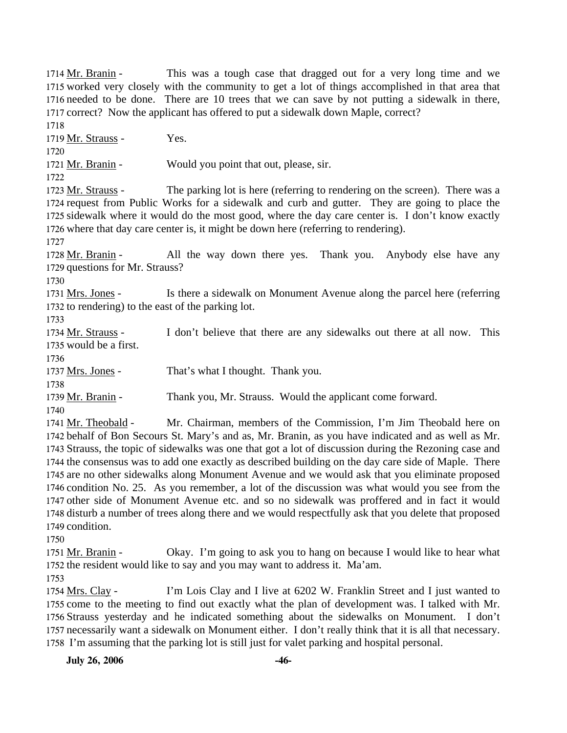This was a tough case that dragged out for a very long time and we 1715 worked very closely with the community to get a lot of things accomplished in that area that 1716 needed to be done. There are 10 trees that we can save by not putting a sidewalk in there, 1717 correct? Now the applicant has offered to put a sidewalk down Maple, correct? 1714 Mr. Branin -1718 1719 Mr. Strauss - Yes. 1720 1721 Mr. Branin - Would you point that out, please, sir. 1722 The parking lot is here (referring to rendering on the screen). There was a 1724 request from Public Works for a sidewalk and curb and gutter. They are going to place the 1725 sidewalk where it would do the most good, where the day care center is. I don't know exactly 1726 where that day care center is, it might be down here (referring to rendering). 1723 Mr. Strauss -1727 All the way down there yes. Thank you. Anybody else have any 1729 questions for Mr. Strauss? 1728 Mr. Branin -1730 Is there a sidewalk on Monument Avenue along the parcel here (referring 1732 to rendering) to the east of the parking lot. 1731 Mrs. Jones -1733 I don't believe that there are any sidewalks out there at all now. This 1735 would be a first. 1734 Mr. Strauss -1736 1737 Mrs. Jones - That's what I thought. Thank you. 1738 1739 Mr. Branin - Thank you, Mr. Strauss. Would the applicant come forward. 1740 Mr. Chairman, members of the Commission, I'm Jim Theobald here on 1742 behalf of Bon Secours St. Mary's and as, Mr. Branin, as you have indicated and as well as Mr. 1743 Strauss, the topic of sidewalks was one that got a lot of discussion during the Rezoning case and 1744 the consensus was to add one exactly as described building on the day care side of Maple. There 1745 are no other sidewalks along Monument Avenue and we would ask that you eliminate proposed 1741 Mr. Theobald -

1746 condition No. 25. As you remember, a lot of the discussion was what would you see from the 1747 other side of Monument Avenue etc. and so no sidewalk was proffered and in fact it would 1748 disturb a number of trees along there and we would respectfully ask that you delete that proposed 1749 condition.

1750

Okay. I'm going to ask you to hang on because I would like to hear what 1752 the resident would like to say and you may want to address it. Ma'am. 1751 Mr. Branin -

1753

I'm Lois Clay and I live at 6202 W. Franklin Street and I just wanted to 1755 come to the meeting to find out exactly what the plan of development was. I talked with Mr. 1756 Strauss yesterday and he indicated something about the sidewalks on Monument. I don't 1757 necessarily want a sidewalk on Monument either. I don't really think that it is all that necessary. 1758 I'm assuming that the parking lot is still just for valet parking and hospital personal. 1754 Mrs. Clay -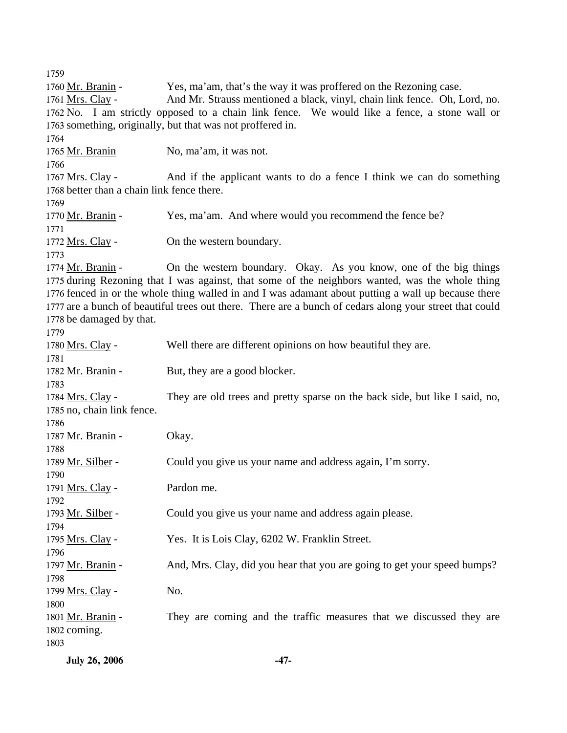1759 1760 Mr. Branin - Yes, ma'am, that's the way it was proffered on the Rezoning case. And Mr. Strauss mentioned a black, vinyl, chain link fence. Oh, Lord, no. 1762 No. I am strictly opposed to a chain link fence. We would like a fence, a stone wall or 1763 something, originally, but that was not proffered in. 1761 Mrs. Clay -1764 1765 Mr. Branin No, ma'am, it was not. 1766 And if the applicant wants to do a fence I think we can do something 1768 better than a chain link fence there. 1767 Mrs. Clay -1769 1770 Mr. Branin - Yes, ma'am. And where would you recommend the fence be? 1771 1772 Mrs. Clay - On the western boundary. 1773 On the western boundary. Okay. As you know, one of the big things 1775 during Rezoning that I was against, that some of the neighbors wanted, was the whole thing 1776 fenced in or the whole thing walled in and I was adamant about putting a wall up because there 1777 are a bunch of beautiful trees out there. There are a bunch of cedars along your street that could 1778 be damaged by that. 1774 Mr. Branin -1779 1780 Mrs. Clay - Well there are different opinions on how beautiful they are. 1781 1782 Mr. Branin - But, they are a good blocker. 1783 They are old trees and pretty sparse on the back side, but like I said, no, 1785 no, chain link fence. 1784 Mrs. Clay -1786 1787 Mr. Branin - Okay. 1788 1789 Mr. Silber - Could you give us your name and address again, I'm sorry. 1790 1791 Mrs. Clay - Pardon me. 1792 1793 Mr. Silber - Could you give us your name and address again please. 1794 1795 Mrs. Clay - Yes. It is Lois Clay, 6202 W. Franklin Street. 1796 1797 Mr. Branin - And, Mrs. Clay, did you hear that you are going to get your speed bumps? 1798 1799 Mrs. Clay - No. 1800 They are coming and the traffic measures that we discussed they are 1802 coming. 1801 Mr. Branin -1803

**July 26, 2006 -47-**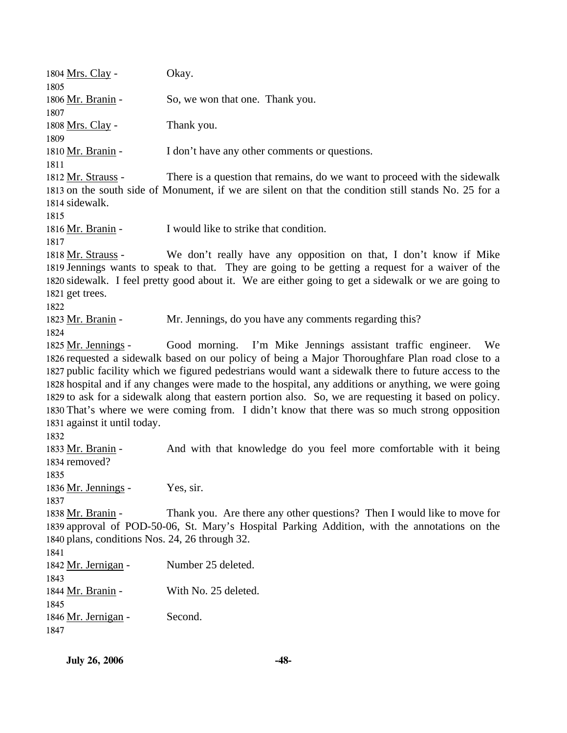| <b>July 26, 2006</b>                                                | $-48-$                                                                                                                                                                                                                                                                                                                                                                                                                                                                                                                      |
|---------------------------------------------------------------------|-----------------------------------------------------------------------------------------------------------------------------------------------------------------------------------------------------------------------------------------------------------------------------------------------------------------------------------------------------------------------------------------------------------------------------------------------------------------------------------------------------------------------------|
| 1846 Mr. Jernigan -<br>1847                                         | Second.                                                                                                                                                                                                                                                                                                                                                                                                                                                                                                                     |
| 1844 Mr. Branin -<br>1845                                           | With No. 25 deleted.                                                                                                                                                                                                                                                                                                                                                                                                                                                                                                        |
| 1841<br>1842 Mr. Jernigan -<br>1843                                 | Number 25 deleted.                                                                                                                                                                                                                                                                                                                                                                                                                                                                                                          |
| 1838 Mr. Branin -<br>1840 plans, conditions Nos. 24, 26 through 32. | Thank you. Are there any other questions? Then I would like to move for<br>1839 approval of POD-50-06, St. Mary's Hospital Parking Addition, with the annotations on the                                                                                                                                                                                                                                                                                                                                                    |
| 1835<br>1836 Mr. Jennings -<br>1837                                 | Yes, sir.                                                                                                                                                                                                                                                                                                                                                                                                                                                                                                                   |
| 1833 Mr. Branin -<br>1834 removed?                                  | And with that knowledge do you feel more comfortable with it being                                                                                                                                                                                                                                                                                                                                                                                                                                                          |
| 1831 against it until today.<br>1832                                | 1826 requested a sidewalk based on our policy of being a Major Thoroughfare Plan road close to a<br>1827 public facility which we figured pedestrians would want a sidewalk there to future access to the<br>1828 hospital and if any changes were made to the hospital, any additions or anything, we were going<br>1829 to ask for a sidewalk along that eastern portion also. So, we are requesting it based on policy.<br>1830 That's where we were coming from. I didn't know that there was so much strong opposition |
| 1824<br>1825 Mr. Jennings -                                         | Good morning. I'm Mike Jennings assistant traffic engineer.<br>We                                                                                                                                                                                                                                                                                                                                                                                                                                                           |
| 1822<br>1823 Mr. Branin -                                           | Mr. Jennings, do you have any comments regarding this?                                                                                                                                                                                                                                                                                                                                                                                                                                                                      |
| 1821 get trees.                                                     | 1820 sidewalk. I feel pretty good about it. We are either going to get a sidewalk or we are going to                                                                                                                                                                                                                                                                                                                                                                                                                        |
| 1817<br>1818 Mr. Strauss -                                          | We don't really have any opposition on that, I don't know if Mike<br>1819 Jennings wants to speak to that. They are going to be getting a request for a waiver of the                                                                                                                                                                                                                                                                                                                                                       |
| 1814 sidewalk.<br>1815<br>1816 Mr. Branin -                         | I would like to strike that condition.                                                                                                                                                                                                                                                                                                                                                                                                                                                                                      |
| 1812 Mr. Strauss -                                                  | There is a question that remains, do we want to proceed with the sidewalk<br>1813 on the south side of Monument, if we are silent on that the condition still stands No. 25 for a                                                                                                                                                                                                                                                                                                                                           |
| 1809<br>1810 Mr. Branin -<br>1811                                   | I don't have any other comments or questions.                                                                                                                                                                                                                                                                                                                                                                                                                                                                               |
| 1807<br>1808 <u>Mrs. Clay</u> -                                     | Thank you.                                                                                                                                                                                                                                                                                                                                                                                                                                                                                                                  |
| 1805<br>1806 <u>Mr. Branin</u> -                                    | So, we won that one. Thank you.                                                                                                                                                                                                                                                                                                                                                                                                                                                                                             |
| 1804 <u>Mrs. Clay</u> -                                             | Okay.                                                                                                                                                                                                                                                                                                                                                                                                                                                                                                                       |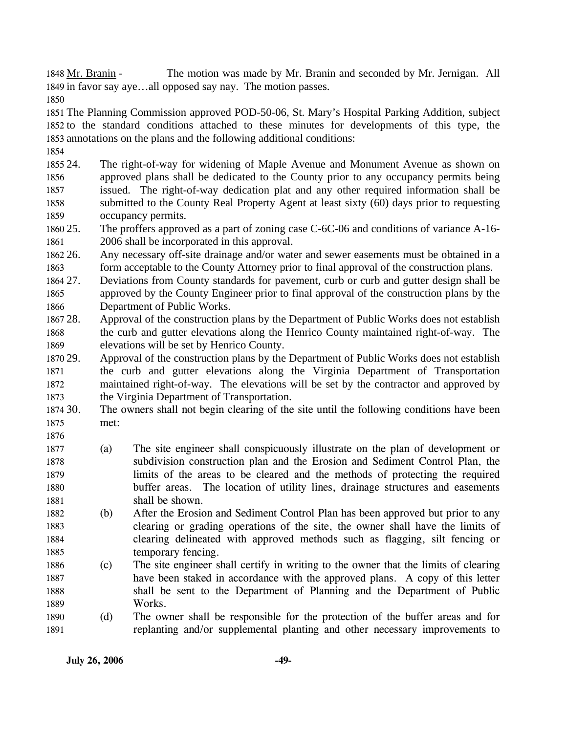The motion was made by Mr. Branin and seconded by Mr. Jernigan. All 1849 in favor say aye...all opposed say nay. The motion passes. 1848 Mr. Branin -

1850

1851 The Planning Commission approved POD-50-06, St. Mary's Hospital Parking Addition, subject 1852 to the standard conditions attached to these minutes for developments of this type, the 1853 annotations on the plans and the following additional conditions:

1854

1876

1855 24. 1856 1857 1858 1859 The right-of-way for widening of Maple Avenue and Monument Avenue as shown on approved plans shall be dedicated to the County prior to any occupancy permits being issued. The right-of-way dedication plat and any other required information shall be submitted to the County Real Property Agent at least sixty (60) days prior to requesting occupancy permits.

1860 25. 1861 The proffers approved as a part of zoning case C-6C-06 and conditions of variance A-16-2006 shall be incorporated in this approval.

1862 26. 1863 Any necessary off-site drainage and/or water and sewer easements must be obtained in a form acceptable to the County Attorney prior to final approval of the construction plans.

1864 27. 1865 1866 27. Deviations from County standards for pavement, curb or curb and gutter design shall be approved by the County Engineer prior to final approval of the construction plans by the Department of Public Works.

1867 28. 1868 1869 Approval of the construction plans by the Department of Public Works does not establish the curb and gutter elevations along the Henrico County maintained right-of-way. The elevations will be set by Henrico County.

1870 29. 1871 1872 1873 Approval of the construction plans by the Department of Public Works does not establish the curb and gutter elevations along the Virginia Department of Transportation maintained right-of-way. The elevations will be set by the contractor and approved by the Virginia Department of Transportation.

1874 30. 1875 The owners shall not begin clearing of the site until the following conditions have been met:

- 1877 1878 1879 1880 1881 (a) The site engineer shall conspicuously illustrate on the plan of development or subdivision construction plan and the Erosion and Sediment Control Plan, the limits of the areas to be cleared and the methods of protecting the required buffer areas. The location of utility lines, drainage structures and easements shall be shown.
- 1882 1883 1884 1885 (b) After the Erosion and Sediment Control Plan has been approved but prior to any clearing or grading operations of the site, the owner shall have the limits of clearing delineated with approved methods such as flagging, silt fencing or temporary fencing.
- 1886 1887 1888 1889 (c) The site engineer shall certify in writing to the owner that the limits of clearing have been staked in accordance with the approved plans. A copy of this letter shall be sent to the Department of Planning and the Department of Public Works.
- 1890 1891 (d) The owner shall be responsible for the protection of the buffer areas and for replanting and/or supplemental planting and other necessary improvements to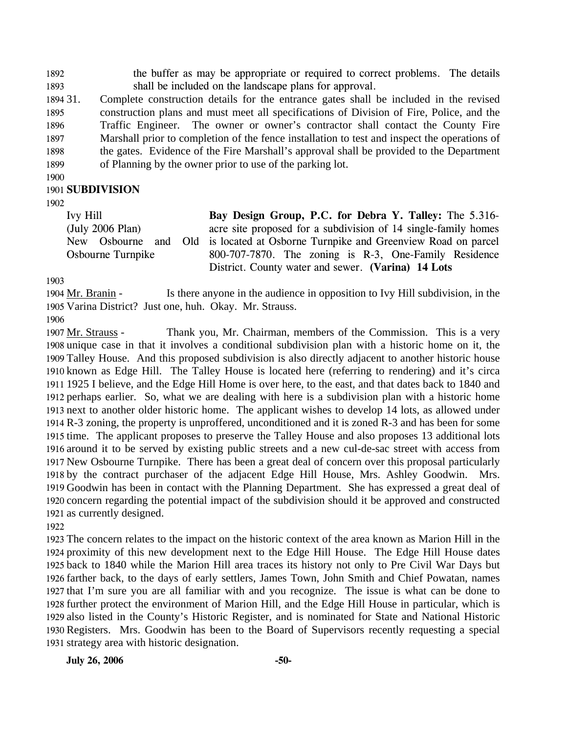1892 1893 the buffer as may be appropriate or required to correct problems. The details shall be included on the landscape plans for approval.

1894 31. 1895 1896 1897 1898 1899 31. Complete construction details for the entrance gates shall be included in the revised construction plans and must meet all specifications of Division of Fire, Police, and the Traffic Engineer. The owner or owner's contractor shall contact the County Fire Marshall prior to completion of the fence installation to test and inspect the operations of the gates. Evidence of the Fire Marshall's approval shall be provided to the Department of Planning by the owner prior to use of the parking lot.

1900

### 1901 **SUBDIVISION**

1902

Ivy Hill (July 2006 Plan) New Osbourne and Osbourne Turnpike **Bay Design Group, P.C. for Debra Y. Talley:** The 5.316 acre site proposed for a subdivision of 14 single-family homes Old is located at Osborne Turnpike and Greenview Road on parcel 800-707-7870. The zoning is R-3, One-Family Residence District. County water and sewer. **(Varina) 14 Lots** 

1903

Is there anyone in the audience in opposition to Ivy Hill subdivision, in the 1905 Varina District? Just one, huh. Okay. Mr. Strauss. 1904 Mr. Branin -

1906

Thank you, Mr. Chairman, members of the Commission. This is a very 1908 unique case in that it involves a conditional subdivision plan with a historic home on it, the 1909 Talley House. And this proposed subdivision is also directly adjacent to another historic house 1910 known as Edge Hill. The Talley House is located here (referring to rendering) and it's circa 1925 I believe, and the Edge Hill Home is over here, to the east, and that dates back to 1840 and 1911 1912 perhaps earlier. So, what we are dealing with here is a subdivision plan with a historic home 1913 next to another older historic home. The applicant wishes to develop 14 lots, as allowed under 1914 R-3 zoning, the property is unproffered, unconditioned and it is zoned R-3 and has been for some 1915 time. The applicant proposes to preserve the Talley House and also proposes 13 additional lots 1916 around it to be served by existing public streets and a new cul-de-sac street with access from 1917 New Osbourne Turnpike. There has been a great deal of concern over this proposal particularly 1918 by the contract purchaser of the adjacent Edge Hill House, Mrs. Ashley Goodwin. Mrs. 1919 Goodwin has been in contact with the Planning Department. She has expressed a great deal of 1920 concern regarding the potential impact of the subdivision should it be approved and constructed 1921 as currently designed. 1907 Mr. Strauss -

1922

 The concern relates to the impact on the historic context of the area known as Marion Hill in the proximity of this new development next to the Edge Hill House. The Edge Hill House dates back to 1840 while the Marion Hill area traces its history not only to Pre Civil War Days but farther back, to the days of early settlers, James Town, John Smith and Chief Powatan, names that I'm sure you are all familiar with and you recognize. The issue is what can be done to further protect the environment of Marion Hill, and the Edge Hill House in particular, which is also listed in the County's Historic Register, and is nominated for State and National Historic Registers. Mrs. Goodwin has been to the Board of Supervisors recently requesting a special strategy area with historic designation.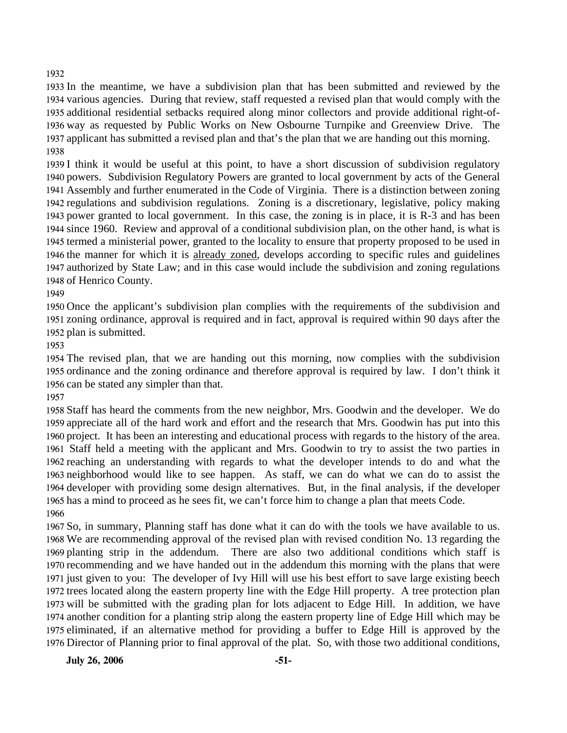### 

 In the meantime, we have a subdivision plan that has been submitted and reviewed by the various agencies. During that review, staff requested a revised plan that would comply with the additional residential setbacks required along minor collectors and provide additional right-of- way as requested by Public Works on New Osbourne Turnpike and Greenview Drive. The applicant has submitted a revised plan and that's the plan that we are handing out this morning. 

 I think it would be useful at this point, to have a short discussion of subdivision regulatory powers. Subdivision Regulatory Powers are granted to local government by acts of the General Assembly and further enumerated in the Code of Virginia. There is a distinction between zoning regulations and subdivision regulations. Zoning is a discretionary, legislative, policy making power granted to local government. In this case, the zoning is in place, it is R-3 and has been since 1960. Review and approval of a conditional subdivision plan, on the other hand, is what is termed a ministerial power, granted to the locality to ensure that property proposed to be used in 1946 the manner for which it is already zoned, develops according to specific rules and guidelines 1947 authorized by State Law; and in this case would include the subdivision and zoning regulations 1948 of Henrico County.

 Once the applicant's subdivision plan complies with the requirements of the subdivision and zoning ordinance, approval is required and in fact, approval is required within 90 days after the plan is submitted.

 The revised plan, that we are handing out this morning, now complies with the subdivision ordinance and the zoning ordinance and therefore approval is required by law. I don't think it can be stated any simpler than that.

 Staff has heard the comments from the new neighbor, Mrs. Goodwin and the developer. We do appreciate all of the hard work and effort and the research that Mrs. Goodwin has put into this project. It has been an interesting and educational process with regards to the history of the area. Staff held a meeting with the applicant and Mrs. Goodwin to try to assist the two parties in reaching an understanding with regards to what the developer intends to do and what the neighborhood would like to see happen. As staff, we can do what we can do to assist the developer with providing some design alternatives. But, in the final analysis, if the developer has a mind to proceed as he sees fit, we can't force him to change a plan that meets Code. 

 So, in summary, Planning staff has done what it can do with the tools we have available to us. We are recommending approval of the revised plan with revised condition No. 13 regarding the 1969 planting strip in the addendum. recommending and we have handed out in the addendum this morning with the plans that were just given to you: The developer of Ivy Hill will use his best effort to save large existing beech trees located along the eastern property line with the Edge Hill property. A tree protection plan will be submitted with the grading plan for lots adjacent to Edge Hill. In addition, we have another condition for a planting strip along the eastern property line of Edge Hill which may be eliminated, if an alternative method for providing a buffer to Edge Hill is approved by the Director of Planning prior to final approval of the plat. So, with those two additional conditions, There are also two additional conditions which staff is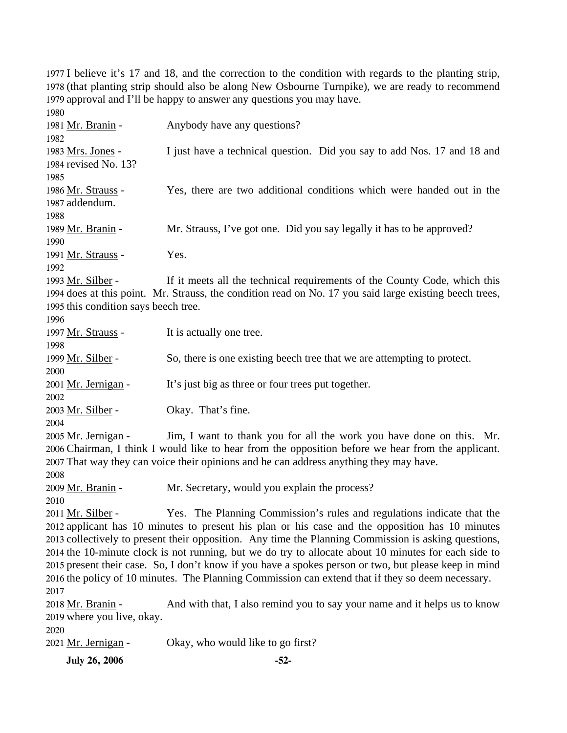I believe it's 17 and 18, and the correction to the condition with regards to the planting strip, (that planting strip should also be along New Osbourne Turnpike), we are ready to recommend approval and I'll be happy to answer any questions you may have. 

| 1980                                 |                                                                                                         |
|--------------------------------------|---------------------------------------------------------------------------------------------------------|
| 1981 Mr. Branin -                    | Anybody have any questions?                                                                             |
| 1982                                 |                                                                                                         |
| 1983 Mrs. Jones -                    | I just have a technical question. Did you say to add Nos. 17 and 18 and                                 |
| 1984 revised No. 13?                 |                                                                                                         |
| 1985                                 |                                                                                                         |
| 1986 Mr. Strauss -                   | Yes, there are two additional conditions which were handed out in the                                   |
| 1987 addendum.                       |                                                                                                         |
| 1988                                 |                                                                                                         |
| 1989 Mr. Branin -                    | Mr. Strauss, I've got one. Did you say legally it has to be approved?                                   |
| 1990                                 |                                                                                                         |
| 1991 Mr. Strauss -                   | Yes.                                                                                                    |
| 1992                                 |                                                                                                         |
| 1993 Mr. Silber -                    | If it meets all the technical requirements of the County Code, which this                               |
|                                      | 1994 does at this point. Mr. Strauss, the condition read on No. 17 you said large existing beech trees, |
| 1995 this condition says beech tree. |                                                                                                         |
| 1996                                 |                                                                                                         |
| 1997 Mr. Strauss -                   | It is actually one tree.                                                                                |
| 1998                                 |                                                                                                         |
| 1999 Mr. Silber -                    | So, there is one existing beech tree that we are attempting to protect.                                 |
| 2000                                 |                                                                                                         |
| 2001 Mr. Jernigan -                  | It's just big as three or four trees put together.                                                      |
| 2002                                 |                                                                                                         |
| 2003 Mr. Silber -                    | Okay. That's fine.                                                                                      |
| 2004                                 |                                                                                                         |
| 2005 Mr. Jernigan -                  | Jim, I want to thank you for all the work you have done on this. Mr.                                    |
|                                      | 2006 Chairman, I think I would like to hear from the opposition before we hear from the applicant.      |
|                                      | 2007 That way they can voice their opinions and he can address anything they may have.                  |
| 2008                                 |                                                                                                         |
| 2009 Mr. Branin -                    | Mr. Secretary, would you explain the process?                                                           |
| 2010                                 |                                                                                                         |
| 2011 Mr. Silber -                    | Yes. The Planning Commission's rules and regulations indicate that the                                  |
|                                      | 2012 applicant has 10 minutes to present his plan or his case and the opposition has 10 minutes         |
|                                      | 2013 collectively to present their opposition. Any time the Planning Commission is asking questions,    |
|                                      | 2014 the 10-minute clock is not running, but we do try to allocate about 10 minutes for each side to    |
|                                      | 2015 present their case. So, I don't know if you have a spokes person or two, but please keep in mind   |
|                                      | 2016 the policy of 10 minutes. The Planning Commission can extend that if they so deem necessary.       |
| 2017                                 |                                                                                                         |
| 2018 Mr. Branin -                    | And with that, I also remind you to say your name and it helps us to know                               |
| 2019 where you live, okay.           |                                                                                                         |
| 2020                                 |                                                                                                         |
| 2021 Mr. Jernigan -                  | Okay, who would like to go first?                                                                       |
| <b>July 26, 2006</b>                 | $-52-$                                                                                                  |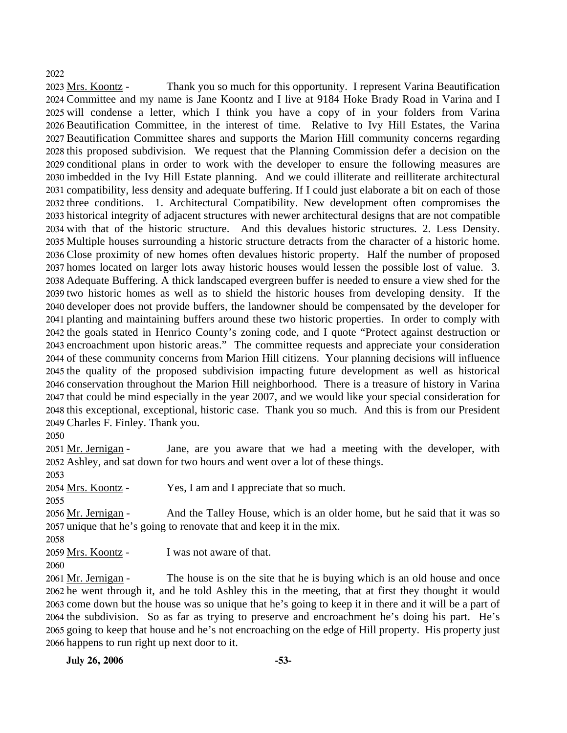### 2022

Thank you so much for this opportunity. I represent Varina Beautification 2024 Committee and my name is Jane Koontz and I live at 9184 Hoke Brady Road in Varina and I 2025 will condense a letter, which I think you have a copy of in your folders from Varina 2026 Beautification Committee, in the interest of time. Relative to Ivy Hill Estates, the Varina 2027 Beautification Committee shares and supports the Marion Hill community concerns regarding 2028 this proposed subdivision. We request that the Planning Commission defer a decision on the 2029 conditional plans in order to work with the developer to ensure the following measures are 2030 imbedded in the Ivy Hill Estate planning. And we could illiterate and reilliterate architectural 2031 compatibility, less density and adequate buffering. If I could just elaborate a bit on each of those 2032 three conditions. 1. Architectural Compatibility. New development often compromises the 2033 historical integrity of adjacent structures with newer architectural designs that are not compatible 2034 with that of the historic structure. And this devalues historic structures. 2. Less Density. 2035 Multiple houses surrounding a historic structure detracts from the character of a historic home. 2036 Close proximity of new homes often devalues historic property. Half the number of proposed 2037 homes located on larger lots away historic houses would lessen the possible lost of value. 3. 2038 Adequate Buffering. A thick landscaped evergreen buffer is needed to ensure a view shed for the 2039 two historic homes as well as to shield the historic houses from developing density. If the 2040 developer does not provide buffers, the landowner should be compensated by the developer for 2041 planting and maintaining buffers around these two historic properties. In order to comply with 2042 the goals stated in Henrico County's zoning code, and I quote "Protect against destruction or 2043 encroachment upon historic areas." The committee requests and appreciate your consideration 2044 of these community concerns from Marion Hill citizens. Your planning decisions will influence 2045 the quality of the proposed subdivision impacting future development as well as historical 2046 conservation throughout the Marion Hill neighborhood. There is a treasure of history in Varina 2047 that could be mind especially in the year 2007, and we would like your special consideration for 2048 this exceptional, exceptional, historic case. Thank you so much. And this is from our President 2049 Charles F. Finley. Thank you. 2023 Mrs. Koontz -

2050

Jane, are you aware that we had a meeting with the developer, with 2052 Ashley, and sat down for two hours and went over a lot of these things. 2051 Mr. Jernigan -

2053

2054 Mrs. Koontz - Yes, I am and I appreciate that so much.

2055

And the Talley House, which is an older home, but he said that it was so 2057 unique that he's going to renovate that and keep it in the mix. 2056 Mr. Jernigan -

2058

2059 Mrs. Koontz - I was not aware of that.

The house is on the site that he is buying which is an old house and once 2062 he went through it, and he told Ashley this in the meeting, that at first they thought it would 2063 come down but the house was so unique that he's going to keep it in there and it will be a part of 2064 the subdivision. So as far as trying to preserve and encroachment he's doing his part. He's 2065 going to keep that house and he's not encroaching on the edge of Hill property. His property just 2066 happens to run right up next door to it. 2061 Mr. Jernigan -

<sup>2060</sup>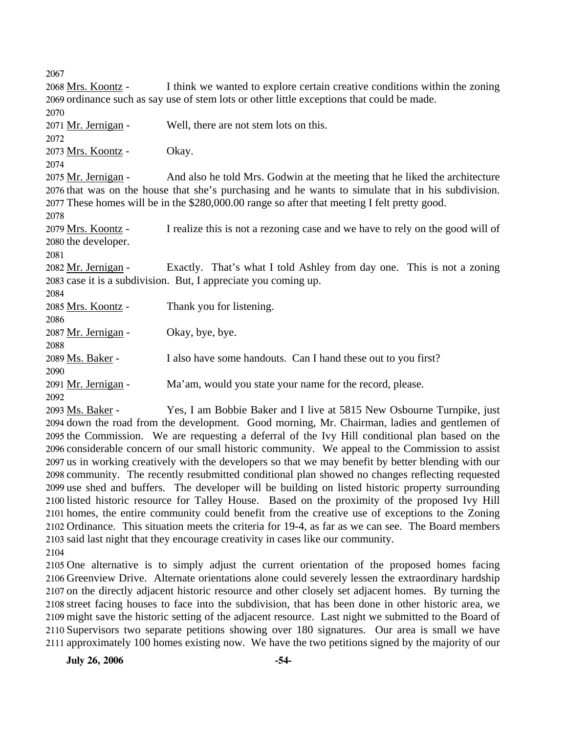2067 I think we wanted to explore certain creative conditions within the zoning 2069 ordinance such as say use of stem lots or other little exceptions that could be made. 2068 Mrs. Koontz -2070 2071 Mr. Jernigan - Well, there are not stem lots on this. 2072 2073 Mrs. Koontz - Okay. 2074 And also he told Mrs. Godwin at the meeting that he liked the architecture 2076 that was on the house that she's purchasing and he wants to simulate that in his subdivision. 2077 These homes will be in the \$280,000.00 range so after that meeting I felt pretty good. 2075 Mr. Jernigan -2078 I realize this is not a rezoning case and we have to rely on the good will of 2080 the developer. 2079 Mrs. Koontz -2081 Exactly. That's what I told Ashley from day one. This is not a zoning 2083 case it is a subdivision. But, I appreciate you coming up. 2082 Mr. Jernigan -2084 2085 Mrs. Koontz - Thank you for listening. 2086 2087 Mr. Jernigan - Okay, bye, bye. 2088 2089 Ms. Baker - I also have some handouts. Can I hand these out to you first? 2090 2091 Mr. Jernigan - Ma'am, would you state your name for the record, please. 2092 Yes, I am Bobbie Baker and I live at 5815 New Osbourne Turnpike, just 2094 down the road from the development. Good morning, Mr. Chairman, ladies and gentlemen of 2093 Ms. Baker -

2095 the Commission. We are requesting a deferral of the Ivy Hill conditional plan based on the 2096 considerable concern of our small historic community. We appeal to the Commission to assist 2097 us in working creatively with the developers so that we may benefit by better blending with our 2098 community. The recently resubmitted conditional plan showed no changes reflecting requested 2099 use shed and buffers. The developer will be building on listed historic property surrounding 2100 listed historic resource for Talley House. Based on the proximity of the proposed Ivy Hill 2101 homes, the entire community could benefit from the creative use of exceptions to the Zoning 2102 Ordinance. This situation meets the criteria for 19-4, as far as we can see. The Board members 2103 said last night that they encourage creativity in cases like our community.

2104

 One alternative is to simply adjust the current orientation of the proposed homes facing Greenview Drive. Alternate orientations alone could severely lessen the extraordinary hardship on the directly adjacent historic resource and other closely set adjacent homes. By turning the street facing houses to face into the subdivision, that has been done in other historic area, we might save the historic setting of the adjacent resource. Last night we submitted to the Board of Supervisors two separate petitions showing over 180 signatures. Our area is small we have approximately 100 homes existing now. We have the two petitions signed by the majority of our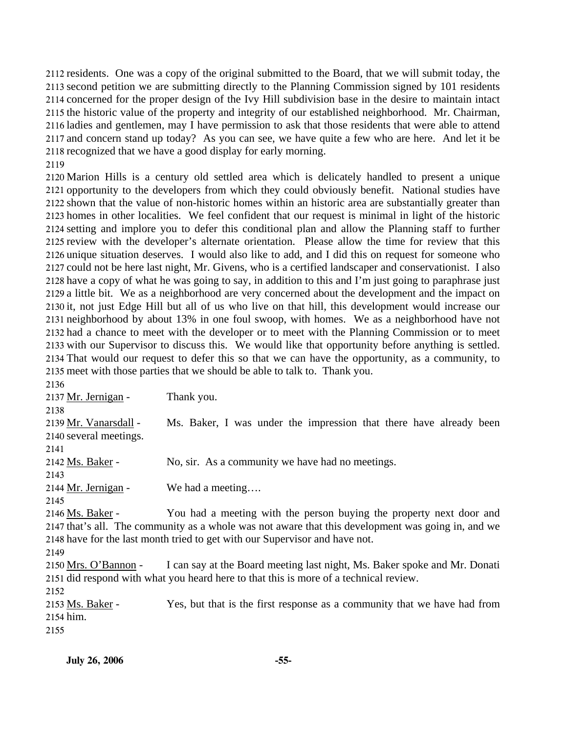residents. One was a copy of the original submitted to the Board, that we will submit today, the second petition we are submitting directly to the Planning Commission signed by 101 residents concerned for the proper design of the Ivy Hill subdivision base in the desire to maintain intact the historic value of the property and integrity of our established neighborhood. Mr. Chairman, ladies and gentlemen, may I have permission to ask that those residents that were able to attend and concern stand up today? As you can see, we have quite a few who are here. And let it be recognized that we have a good display for early morning.

 Marion Hills is a century old settled area which is delicately handled to present a unique opportunity to the developers from which they could obviously benefit. National studies have shown that the value of non-historic homes within an historic area are substantially greater than homes in other localities. We feel confident that our request is minimal in light of the historic setting and implore you to defer this conditional plan and allow the Planning staff to further review with the developer's alternate orientation. Please allow the time for review that this unique situation deserves. I would also like to add, and I did this on request for someone who could not be here last night, Mr. Givens, who is a certified landscaper and conservationist. I also have a copy of what he was going to say, in addition to this and I'm just going to paraphrase just a little bit. We as a neighborhood are very concerned about the development and the impact on it, not just Edge Hill but all of us who live on that hill, this development would increase our neighborhood by about 13% in one foul swoop, with homes. We as a neighborhood have not had a chance to meet with the developer or to meet with the Planning Commission or to meet with our Supervisor to discuss this. We would like that opportunity before anything is settled. That would our request to defer this so that we can have the opportunity, as a community, to meet with those parties that we should be able to talk to. Thank you.

2137 Mr. Jernigan - Thank you.

 Ms. Baker, I was under the impression that there have already been 2140 several meetings. 2139 Mr. Vanarsdall - Ms. Baker - No, sir. As a community we have had no meetings.

2144 Mr. Jernigan - We had a meeting....

You had a meeting with the person buying the property next door and 2147 that's all. The community as a whole was not aware that this development was going in, and we 2148 have for the last month tried to get with our Supervisor and have not. 2146 Ms. Baker -

I can say at the Board meeting last night, Ms. Baker spoke and Mr. Donati 2151 did respond with what you heard here to that this is more of a technical review. 2150 Mrs. O'Bannon -

Yes, but that is the first response as a community that we have had from 2154 him. 2153 Ms. Baker -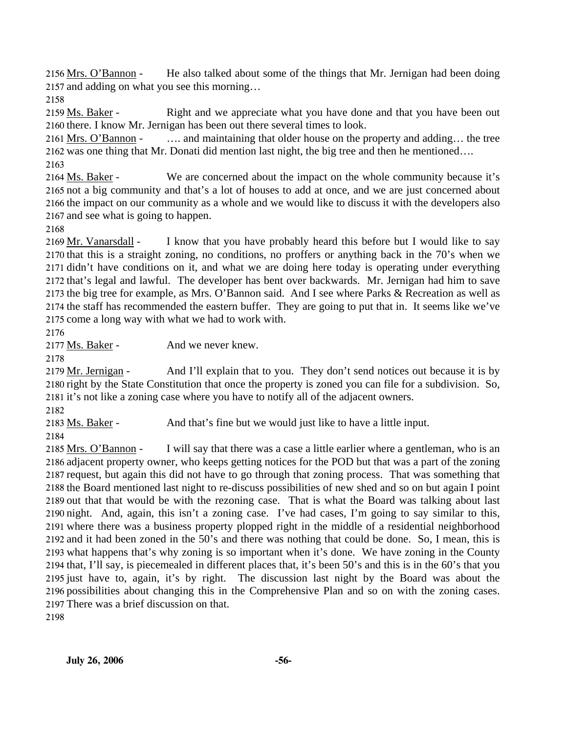He also talked about some of the things that Mr. Jernigan had been doing 2157 and adding on what you see this morning... 2156 Mrs. O'Bannon -

2158

Right and we appreciate what you have done and that you have been out 2160 there. I know Mr. Jernigan has been out there several times to look. 2159 Ms. Baker -

.... and maintaining that older house on the property and adding... the tree 2162 was one thing that Mr. Donati did mention last night, the big tree and then he mentioned.... 2161 Mrs. O'Bannon -2163

We are concerned about the impact on the whole community because it's 2165 not a big community and that's a lot of houses to add at once, and we are just concerned about 2166 the impact on our community as a whole and we would like to discuss it with the developers also 2167 and see what is going to happen. 2164 Ms. Baker -

2168

I know that you have probably heard this before but I would like to say 2170 that this is a straight zoning, no conditions, no proffers or anything back in the 70's when we 2171 didn't have conditions on it, and what we are doing here today is operating under everything 2172 that's legal and lawful. The developer has bent over backwards. Mr. Jernigan had him to save 2173 the big tree for example, as Mrs. O'Bannon said. And I see where Parks & Recreation as well as 2174 the staff has recommended the eastern buffer. They are going to put that in. It seems like we've 2175 come a long way with what we had to work with. 2169 Mr. Vanarsdall -

2176

2177 Ms. Baker - And we never knew.

2178

And I'll explain that to you. They don't send notices out because it is by 2180 right by the State Constitution that once the property is zoned you can file for a subdivision. So, 2181 it's not like a zoning case where you have to notify all of the adjacent owners. 2179 Mr. Jernigan -

2182

2183 Ms. Baker - And that's fine but we would just like to have a little input.

2184

I will say that there was a case a little earlier where a gentleman, who is an 2186 adjacent property owner, who keeps getting notices for the POD but that was a part of the zoning 2187 request, but again this did not have to go through that zoning process. That was something that 2188 the Board mentioned last night to re-discuss possibilities of new shed and so on but again I point 2189 out that that would be with the rezoning case. That is what the Board was talking about last 2190 night. And, again, this isn't a zoning case. I've had cases, I'm going to say similar to this, 2191 where there was a business property plopped right in the middle of a residential neighborhood 2192 and it had been zoned in the 50's and there was nothing that could be done. So, I mean, this is 2193 what happens that's why zoning is so important when it's done. We have zoning in the County 2194 that, I'll say, is piecemealed in different places that, it's been 50's and this is in the 60's that you 2195 just have to, again, it's by right. The discussion last night by the Board was about the 2196 possibilities about changing this in the Comprehensive Plan and so on with the zoning cases. 2197 There was a brief discussion on that. 2185 Mrs. O'Bannon -

2198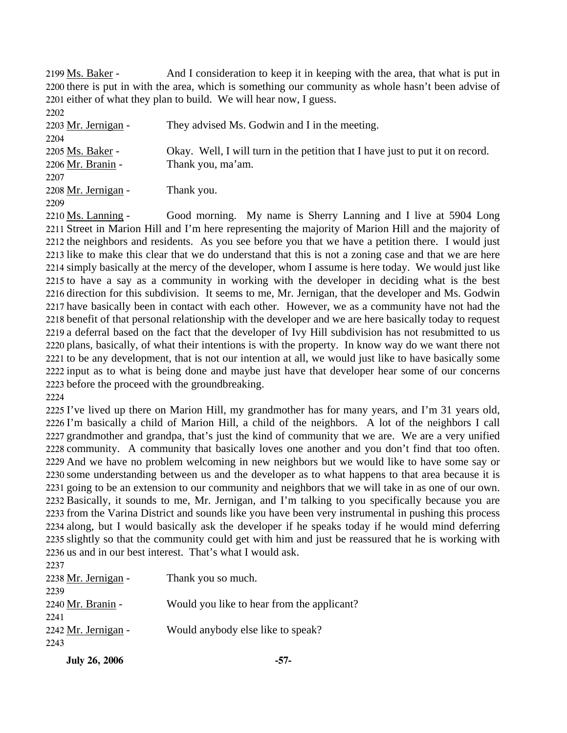And I consideration to keep it in keeping with the area, that what is put in 2200 there is put in with the area, which is something our community as whole hasn't been advise of 2201 either of what they plan to build. We will hear now, I guess. 2199 Ms. Baker - $2202$ 

| <i>LL</i> UL        |                                                                               |
|---------------------|-------------------------------------------------------------------------------|
| 2203 Mr. Jernigan - | They advised Ms. Godwin and I in the meeting.                                 |
| 2204                |                                                                               |
| 2205 Ms. Baker -    | Okay. Well, I will turn in the petition that I have just to put it on record. |
| 2206 Mr. Branin -   | Thank you, ma'am.                                                             |
| 2207                |                                                                               |
| 2208 Mr. Jernigan - | Thank you.                                                                    |
| 2209                |                                                                               |

Good morning. My name is Sherry Lanning and I live at 5904 Long 2211 Street in Marion Hill and I'm here representing the majority of Marion Hill and the majority of 2212 the neighbors and residents. As you see before you that we have a petition there. I would just 2213 like to make this clear that we do understand that this is not a zoning case and that we are here 2214 simply basically at the mercy of the developer, whom I assume is here today. We would just like 2215 to have a say as a community in working with the developer in deciding what is the best 2216 direction for this subdivision. It seems to me, Mr. Jernigan, that the developer and Ms. Godwin 2217 have basically been in contact with each other. However, we as a community have not had the 2218 benefit of that personal relationship with the developer and we are here basically today to request 2219 a deferral based on the fact that the developer of Ivy Hill subdivision has not resubmitted to us 2220 plans, basically, of what their intentions is with the property. In know way do we want there not 2221 to be any development, that is not our intention at all, we would just like to have basically some 2222 input as to what is being done and maybe just have that developer hear some of our concerns 2223 before the proceed with the groundbreaking. 2210 Ms. Lanning -

2224

 I've lived up there on Marion Hill, my grandmother has for many years, and I'm 31 years old, I'm basically a child of Marion Hill, a child of the neighbors. A lot of the neighbors I call grandmother and grandpa, that's just the kind of community that we are. We are a very unified community. A community that basically loves one another and you don't find that too often. And we have no problem welcoming in new neighbors but we would like to have some say or some understanding between us and the developer as to what happens to that area because it is going to be an extension to our community and neighbors that we will take in as one of our own. Basically, it sounds to me, Mr. Jernigan, and I'm talking to you specifically because you are from the Varina District and sounds like you have been very instrumental in pushing this process along, but I would basically ask the developer if he speaks today if he would mind deferring slightly so that the community could get with him and just be reassured that he is working with us and in our best interest. That's what I would ask.

| 2237                |                                            |
|---------------------|--------------------------------------------|
| 2238 Mr. Jernigan - | Thank you so much.                         |
| 2239                |                                            |
| 2240 Mr. Branin -   | Would you like to hear from the applicant? |
| 2241                |                                            |
| 2242 Mr. Jernigan - | Would anybody else like to speak?          |
| 2243                |                                            |
|                     |                                            |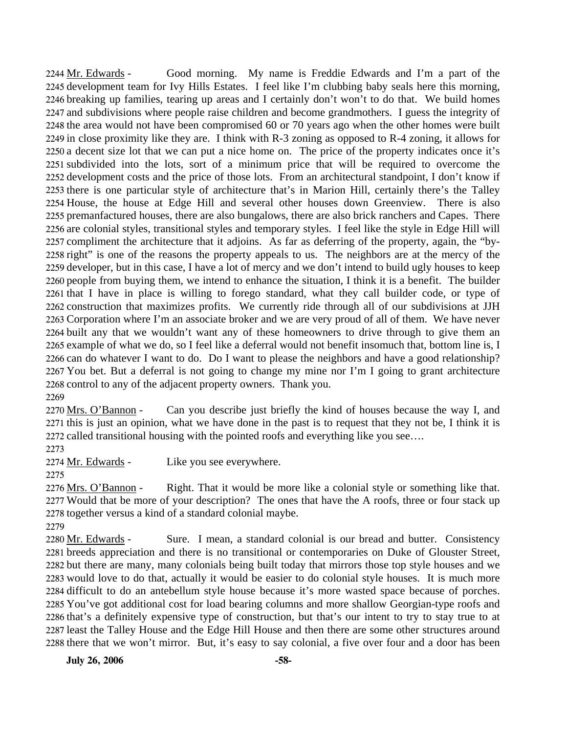Good morning. My name is Freddie Edwards and I'm a part of the 2245 development team for Ivy Hills Estates. I feel like I'm clubbing baby seals here this morning, 2246 breaking up families, tearing up areas and I certainly don't won't to do that. We build homes 2247 and subdivisions where people raise children and become grandmothers. I guess the integrity of 2248 the area would not have been compromised 60 or 70 years ago when the other homes were built 2249 in close proximity like they are. I think with  $R-3$  zoning as opposed to  $R-4$  zoning, it allows for 2250 a decent size lot that we can put a nice home on. The price of the property indicates once it's 2251 subdivided into the lots, sort of a minimum price that will be required to overcome the 2252 development costs and the price of those lots. From an architectural standpoint, I don't know if 2253 there is one particular style of architecture that's in Marion Hill, certainly there's the Talley 2254 House, the house at Edge Hill and several other houses down Greenview. There is also 2255 premanfactured houses, there are also bungalows, there are also brick ranchers and Capes. There 2256 are colonial styles, transitional styles and temporary styles. I feel like the style in Edge Hill will 2257 compliment the architecture that it adjoins. As far as deferring of the property, again, the "by-2258 right" is one of the reasons the property appeals to us. The neighbors are at the mercy of the 2259 developer, but in this case, I have a lot of mercy and we don't intend to build ugly houses to keep 2260 people from buying them, we intend to enhance the situation, I think it is a benefit. The builder 2261 that I have in place is willing to forego standard, what they call builder code, or type of 2262 construction that maximizes profits. We currently ride through all of our subdivisions at JJH 2263 Corporation where I'm an associate broker and we are very proud of all of them. We have never 2264 built any that we wouldn't want any of these homeowners to drive through to give them an 2265 example of what we do, so I feel like a deferral would not benefit insomuch that, bottom line is, I 2266 can do whatever I want to do. Do I want to please the neighbors and have a good relationship? 2267 You bet. But a deferral is not going to change my mine nor I'm I going to grant architecture 2268 control to any of the adjacent property owners. Thank you. 2244 Mr. Edwards -2269

Can you describe just briefly the kind of houses because the way I, and 2271 this is just an opinion, what we have done in the past is to request that they not be, I think it is 2272 called transitional housing with the pointed roofs and everything like you see.... 2270 Mrs. O'Bannon -

2273

2274 Mr. Edwards - Like you see everywhere.

Right. That it would be more like a colonial style or something like that. 2277 Would that be more of your description? The ones that have the A roofs, three or four stack up 2278 together versus a kind of a standard colonial maybe. 2276 Mrs. O'Bannon -

2279

Sure. I mean, a standard colonial is our bread and butter. Consistency 2281 breeds appreciation and there is no transitional or contemporaries on Duke of Glouster Street, 2282 but there are many, many colonials being built today that mirrors those top style houses and we 2283 would love to do that, actually it would be easier to do colonial style houses. It is much more 2284 difficult to do an antebellum style house because it's more wasted space because of porches. 2285 You've got additional cost for load bearing columns and more shallow Georgian-type roofs and 2286 that's a definitely expensive type of construction, but that's our intent to try to stay true to at 2287 least the Talley House and the Edge Hill House and then there are some other structures around 2288 there that we won't mirror. But, it's easy to say colonial, a five over four and a door has been 2280 Mr. Edwards -

**July 26, 2006 -58-**

<sup>2275</sup>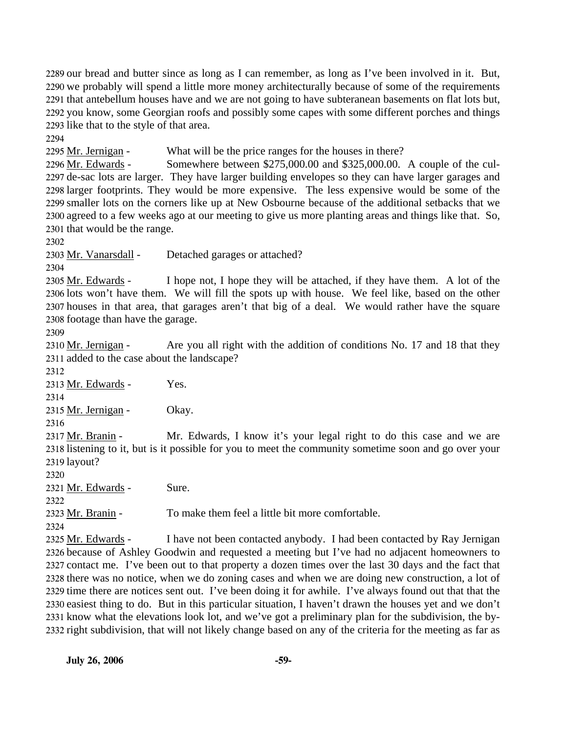our bread and butter since as long as I can remember, as long as I've been involved in it. But, we probably will spend a little more money architecturally because of some of the requirements that antebellum houses have and we are not going to have subteranean basements on flat lots but, you know, some Georgian roofs and possibly some capes with some different porches and things like that to the style of that area.

2294

2295 Mr. Jernigan - What will be the price ranges for the houses in there?

Somewhere between  $$275,000.00$  and  $$325,000.00$ . A couple of the cul-2297 de-sac lots are larger. They have larger building envelopes so they can have larger garages and 2298 larger footprints. They would be more expensive. The less expensive would be some of the 2299 smaller lots on the corners like up at New Osbourne because of the additional setbacks that we 2300 agreed to a few weeks ago at our meeting to give us more planting areas and things like that. So, 2301 that would be the range. 2296 Mr. Edwards -

2302

2303 Mr. Vanarsdall - Detached garages or attached?

2304

I hope not, I hope they will be attached, if they have them. A lot of the 2306 lots won't have them. We will fill the spots up with house. We feel like, based on the other 2307 houses in that area, that garages aren't that big of a deal. We would rather have the square 2308 footage than have the garage. 2305 Mr. Edwards -

2309

Are you all right with the addition of conditions No. 17 and 18 that they 2311 added to the case about the landscape? 2310 Mr. Jernigan -

2312

2313 Mr. Edwards - Yes.

2314

2315 Mr. Jernigan - Okay.

2316

Mr. Edwards, I know it's your legal right to do this case and we are 2318 listening to it, but is it possible for you to meet the community sometime soon and go over your 2319 layout? 2317 Mr. Branin -

2320

2321 Mr. Edwards - Sure.

2322

2323 Mr. Branin - To make them feel a little bit more comfortable.

2324

I have not been contacted anybody. I had been contacted by Ray Jernigan 2326 because of Ashley Goodwin and requested a meeting but I've had no adjacent homeowners to 2327 contact me. I've been out to that property a dozen times over the last 30 days and the fact that 2328 there was no notice, when we do zoning cases and when we are doing new construction, a lot of 2329 time there are notices sent out. I've been doing it for awhile. I've always found out that that the 2330 easiest thing to do. But in this particular situation, I haven't drawn the houses yet and we don't 2331 know what the elevations look lot, and we've got a preliminary plan for the subdivision, the by-2332 right subdivision, that will not likely change based on any of the criteria for the meeting as far as 2325 Mr. Edwards -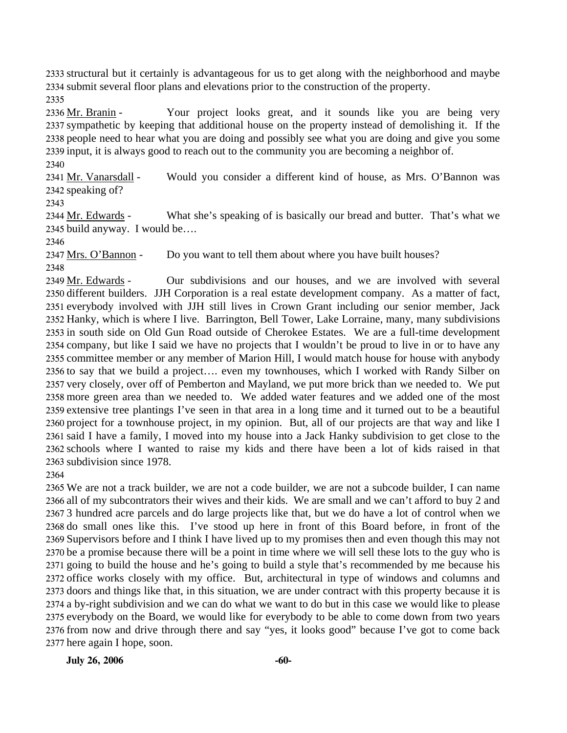2333 structural but it certainly is advantageous for us to get along with the neighborhood and maybe 2334 submit several floor plans and elevations prior to the construction of the property.

2335

Your project looks great, and it sounds like you are being very 2337 sympathetic by keeping that additional house on the property instead of demolishing it. If the 2338 people need to hear what you are doing and possibly see what you are doing and give you some 2339 input, it is always good to reach out to the community you are becoming a neighbor of. 2336 Mr. Branin -

2340

Would you consider a different kind of house, as Mrs. O'Bannon was 2342 speaking of? 2341 Mr. Vanarsdall -

2343

What she's speaking of is basically our bread and butter. That's what we 2345 build anyway. I would be.... 2344 Mr. Edwards -

2346

2347 Mrs. O'Bannon - Do you want to tell them about where you have built houses?

2348

Our subdivisions and our houses, and we are involved with several 2350 different builders. JJH Corporation is a real estate development company. As a matter of fact, 2351 everybody involved with JJH still lives in Crown Grant including our senior member, Jack 2352 Hanky, which is where I live. Barrington, Bell Tower, Lake Lorraine, many, many subdivisions 2353 in south side on Old Gun Road outside of Cherokee Estates. We are a full-time development 2354 company, but like I said we have no projects that I wouldn't be proud to live in or to have any 2355 committee member or any member of Marion Hill, I would match house for house with anybody 2356 to say that we build a project.... even my townhouses, which I worked with Randy Silber on 2357 very closely, over off of Pemberton and Mayland, we put more brick than we needed to. We put 2358 more green area than we needed to. We added water features and we added one of the most 2359 extensive tree plantings I've seen in that area in a long time and it turned out to be a beautiful 2360 project for a townhouse project, in my opinion. But, all of our projects are that way and like I 2361 said I have a family, I moved into my house into a Jack Hanky subdivision to get close to the 2362 schools where I wanted to raise my kids and there have been a lot of kids raised in that 2363 subdivision since 1978. 2349 Mr. Edwards -

2364

 We are not a track builder, we are not a code builder, we are not a subcode builder, I can name all of my subcontrators their wives and their kids. We are small and we can't afford to buy 2 and 3 hundred acre parcels and do large projects like that, but we do have a lot of control when we do small ones like this. I've stood up here in front of this Board before, in front of the Supervisors before and I think I have lived up to my promises then and even though this may not be a promise because there will be a point in time where we will sell these lots to the guy who is going to build the house and he's going to build a style that's recommended by me because his office works closely with my office. But, architectural in type of windows and columns and doors and things like that, in this situation, we are under contract with this property because it is a by-right subdivision and we can do what we want to do but in this case we would like to please everybody on the Board, we would like for everybody to be able to come down from two years from now and drive through there and say "yes, it looks good" because I've got to come back here again I hope, soon.

**July 26, 2006** -60-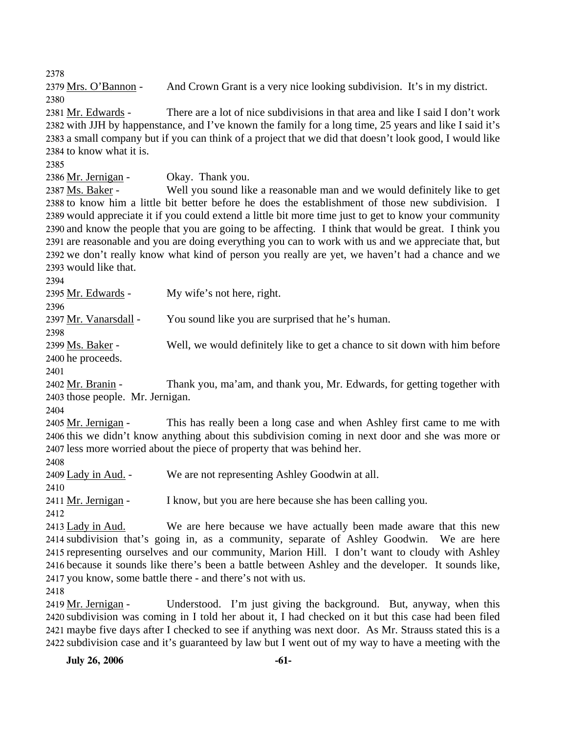2378 2379 Mrs. O'Bannon - And Crown Grant is a very nice looking subdivision. It's in my district. 2380 There are a lot of nice subdivisions in that area and like I said I don't work 2382 with JJH by happenstance, and I've known the family for a long time, 25 years and like I said it's 2383 a small company but if you can think of a project that we did that doesn't look good, I would like 2384 to know what it is. 2381 Mr. Edwards -2385 2386 Mr. Jernigan - Okay. Thank you. Well you sound like a reasonable man and we would definitely like to get 2388 to know him a little bit better before he does the establishment of those new subdivision. I 2389 would appreciate it if you could extend a little bit more time just to get to know your community 2390 and know the people that you are going to be affecting. I think that would be great. I think you 2391 are reasonable and you are doing everything you can to work with us and we appreciate that, but 2392 we don't really know what kind of person you really are yet, we haven't had a chance and we 2393 would like that. 2387 Ms. Baker -2394 2395 Mr. Edwards - My wife's not here, right. 2396 2397 Mr. Vanarsdall - You sound like you are surprised that he's human. 2398 Well, we would definitely like to get a chance to sit down with him before 2400 he proceeds. 2399 Ms. Baker -2401 Thank you, ma'am, and thank you, Mr. Edwards, for getting together with 2403 those people. Mr. Jernigan. 2402 Mr. Branin -2404 This has really been a long case and when Ashley first came to me with 2406 this we didn't know anything about this subdivision coming in next door and she was more or 2407 less more worried about the piece of property that was behind her. 2405 Mr. Jernigan -2408 2409 Lady in Aud. - We are not representing Ashley Goodwin at all. 2410 2411 Mr. Jernigan - I know, but you are here because she has been calling you. 2412 We are here because we have actually been made aware that this new 2414 subdivision that's going in, as a community, separate of Ashley Goodwin. We are here 2415 representing ourselves and our community, Marion Hill. I don't want to cloudy with Ashley 2416 because it sounds like there's been a battle between Ashley and the developer. It sounds like, 2417 you know, some battle there - and there's not with us. 2413 Lady in Aud. 2418 Understood. I'm just giving the background. But, anyway, when this 2419 Mr. Jernigan -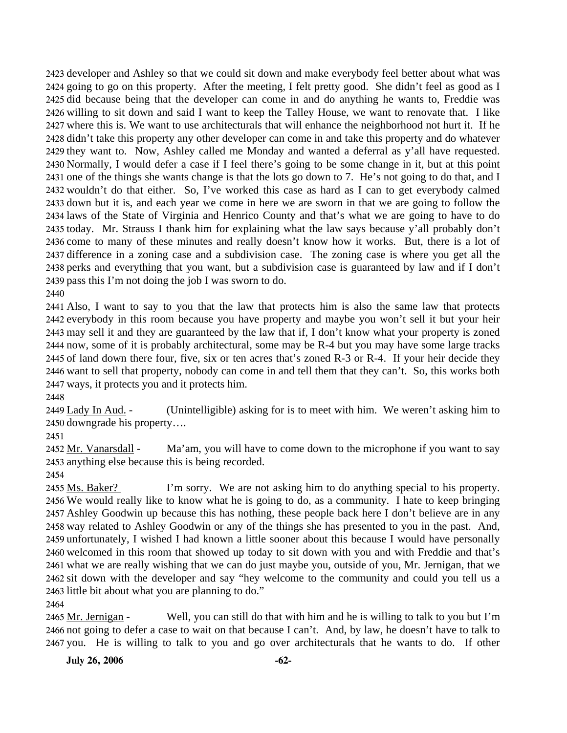developer and Ashley so that we could sit down and make everybody feel better about what was going to go on this property. After the meeting, I felt pretty good. She didn't feel as good as I did because being that the developer can come in and do anything he wants to, Freddie was willing to sit down and said I want to keep the Talley House, we want to renovate that. I like where this is. We want to use architecturals that will enhance the neighborhood not hurt it. If he didn't take this property any other developer can come in and take this property and do whatever they want to. Now, Ashley called me Monday and wanted a deferral as y'all have requested. Normally, I would defer a case if I feel there's going to be some change in it, but at this point one of the things she wants change is that the lots go down to 7. He's not going to do that, and I wouldn't do that either. So, I've worked this case as hard as I can to get everybody calmed down but it is, and each year we come in here we are sworn in that we are going to follow the laws of the State of Virginia and Henrico County and that's what we are going to have to do today. Mr. Strauss I thank him for explaining what the law says because y'all probably don't come to many of these minutes and really doesn't know how it works. But, there is a lot of difference in a zoning case and a subdivision case. The zoning case is where you get all the perks and everything that you want, but a subdivision case is guaranteed by law and if I don't pass this I'm not doing the job I was sworn to do.

2440

 Also, I want to say to you that the law that protects him is also the same law that protects everybody in this room because you have property and maybe you won't sell it but your heir may sell it and they are guaranteed by the law that if, I don't know what your property is zoned now, some of it is probably architectural, some may be R-4 but you may have some large tracks of land down there four, five, six or ten acres that's zoned R-3 or R-4. If your heir decide they want to sell that property, nobody can come in and tell them that they can't. So, this works both ways, it protects you and it protects him.

2448

(Unintelligible) asking for is to meet with him. We weren't asking him to 2450 downgrade his property.... 2449 Lady In Aud. -

2451

Ma'am, you will have to come down to the microphone if you want to say 2453 anything else because this is being recorded. 2452 Mr. Vanarsdall -

2454

I'm sorry. We are not asking him to do anything special to his property. 2456 We would really like to know what he is going to do, as a community. I hate to keep bringing 2457 Ashley Goodwin up because this has nothing, these people back here I don't believe are in any 2458 way related to Ashley Goodwin or any of the things she has presented to you in the past. And, 2459 unfortunately, I wished I had known a little sooner about this because I would have personally 2460 welcomed in this room that showed up today to sit down with you and with Freddie and that's 2461 what we are really wishing that we can do just maybe you, outside of you, Mr. Jernigan, that we 2462 sit down with the developer and say "hey welcome to the community and could you tell us a 2463 little bit about what you are planning to do." 2455 Ms. Baker?

2464

Well, you can still do that with him and he is willing to talk to you but  $\Gamma$ m 2466 not going to defer a case to wait on that because I can't. And, by law, he doesn't have to talk to 2467 you. He is willing to talk to you and go over architecturals that he wants to do. If other 2465 Mr. Jernigan -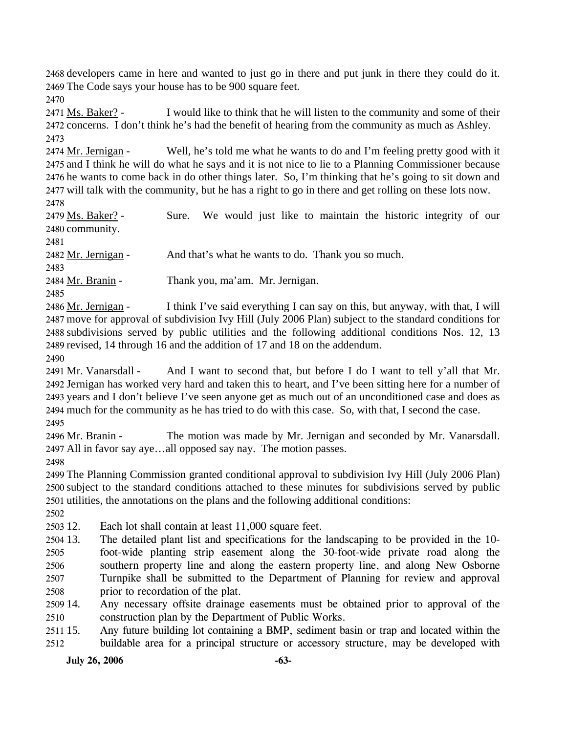2468 developers came in here and wanted to just go in there and put junk in there they could do it. 2469 The Code says your house has to be 900 square feet.

2470

I would like to think that he will listen to the community and some of their 2472 concerns. I don't think he's had the benefit of hearing from the community as much as Ashley. 2471 Ms. Baker? -2473

Well, he's told me what he wants to do and I'm feeling pretty good with it 2475 and I think he will do what he says and it is not nice to lie to a Planning Commissioner because 2476 he wants to come back in do other things later. So, I'm thinking that he's going to sit down and 2477 will talk with the community, but he has a right to go in there and get rolling on these lots now. 2474 Mr. Jernigan -2478

Sure. We would just like to maintain the historic integrity of our 2480 community. 2479 Ms. Baker? -2481

2482 Mr. Jernigan - And that's what he wants to do. Thank you so much.

2483

2484 Mr. Branin - Thank you, ma'am. Mr. Jernigan.

2485

I think I've said everything I can say on this, but anyway, with that, I will 2487 move for approval of subdivision Ivy Hill (July 2006 Plan) subject to the standard conditions for 2488 subdivisions served by public utilities and the following additional conditions Nos. 12, 13 2489 revised, 14 through 16 and the addition of 17 and 18 on the addendum. 2486 Mr. Jernigan -

2490

And I want to second that, but before I do I want to tell y'all that Mr. 2492 Jernigan has worked very hard and taken this to heart, and I've been sitting here for a number of 2493 years and I don't believe I've seen anyone get as much out of an unconditioned case and does as 2494 much for the community as he has tried to do with this case. So, with that, I second the case. 2491 Mr. Vanarsdall -2495

The motion was made by Mr. Jernigan and seconded by Mr. Vanarsdall. All in favor say aye…all opposed say nay. The motion passes. 2497 2496 Mr. Branin -

2498

2499 The Planning Commission granted conditional approval to subdivision Ivy Hill (July 2006 Plan) 2500 subject to the standard conditions attached to these minutes for subdivisions served by public 2501 utilities, the annotations on the plans and the following additional conditions:

2502

2503 12. Each lot shall contain at least 11,000 square feet.

2504 13. 2505 2506 2507 2508 The detailed plant list and specifications for the landscaping to be provided in the 10foot-wide planting strip easement along the 30-foot-wide private road along the southern property line and along the eastern property line, and along New Osborne Turnpike shall be submitted to the Department of Planning for review and approval prior to recordation of the plat.

2509 14. 2510 Any necessary offsite drainage easements must be obtained prior to approval of the construction plan by the Department of Public Works.

2511 15. 2512 Any future building lot containing a BMP, sediment basin or trap and located within the buildable area for a principal structure or accessory structure, may be developed with

**July 26, 2006** -63-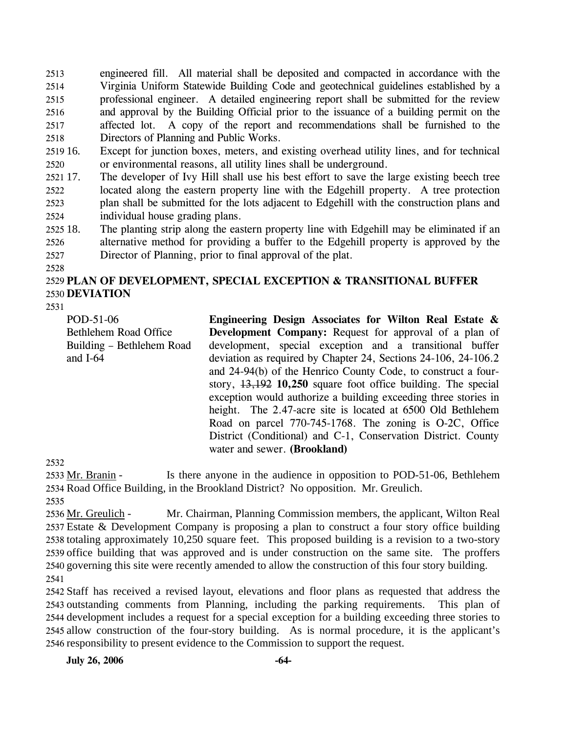2513 2514 2515 2516 2517 2518 engineered fill. All material shall be deposited and compacted in accordance with the Virginia Uniform Statewide Building Code and geotechnical guidelines established by a professional engineer. A detailed engineering report shall be submitted for the review and approval by the Building Official prior to the issuance of a building permit on the affected lot. A copy of the report and recommendations shall be furnished to the Directors of Planning and Public Works.

- 2519 16. 2520 Except for junction boxes, meters, and existing overhead utility lines, and for technical or environmental reasons, all utility lines shall be underground.
- 2521 17. 2522 2523 2524 The developer of Ivy Hill shall use his best effort to save the large existing beech tree located along the eastern property line with the Edgehill property. A tree protection plan shall be submitted for the lots adjacent to Edgehill with the construction plans and individual house grading plans.
- 2525 18. 2526 2527 The planting strip along the eastern property line with Edgehill may be eliminated if an alternative method for providing a buffer to the Edgehill property is approved by the Director of Planning, prior to final approval of the plat.
- 2528

# 2529 **PLAN OF DEVELOPMENT, SPECIAL EXCEPTION & TRANSITIONAL BUFFER**  2530 **DEVIATION**

2531

POD-51-06 Bethlehem Road Office Building – Bethlehem Road and I-64

**Engineering Design Associates for Wilton Real Estate & Development Company:** Request for approval of a plan of development, special exception and a transitional buffer deviation as required by Chapter 24, Sections 24-106, 24-106.2 and 24-94(b) of the Henrico County Code, to construct a fourstory, 13,192 **10,250** square foot office building. The special exception would authorize a building exceeding three stories in height. The 2.47-acre site is located at 6500 Old Bethlehem Road on parcel 770-745-1768. The zoning is O-2C, Office District (Conditional) and C-1, Conservation District. County water and sewer. **(Brookland)** 

2532

Is there anyone in the audience in opposition to POD-51-06, Bethlehem 2534 Road Office Building, in the Brookland District? No opposition. Mr. Greulich. 2533 Mr. Branin -

2535

Mr. Chairman, Planning Commission members, the applicant, Wilton Real 2537 Estate & Development Company is proposing a plan to construct a four story office building 2538 totaling approximately 10,250 square feet. This proposed building is a revision to a two-story 2539 office building that was approved and is under construction on the same site. The proffers 2540 governing this site were recently amended to allow the construction of this four story building. 2536 Mr. Greulich -2541

 Staff has received a revised layout, elevations and floor plans as requested that address the outstanding comments from Planning, including the parking requirements. This plan of development includes a request for a special exception for a building exceeding three stories to allow construction of the four-story building. As is normal procedure, it is the applicant's responsibility to present evidence to the Commission to support the request.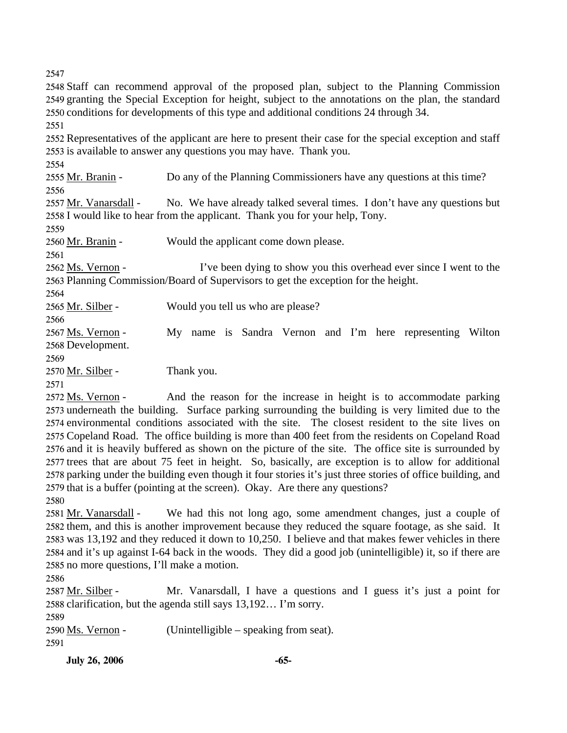2547

2548 Staff can recommend approval of the proposed plan, subject to the Planning Commission 2549 granting the Special Exception for height, subject to the annotations on the plan, the standard 2550 conditions for developments of this type and additional conditions 24 through 34.

2551

2552 Representatives of the applicant are here to present their case for the special exception and staff 2553 is available to answer any questions you may have. Thank you.

2554

2555 Mr. Branin - Do any of the Planning Commissioners have any questions at this time? 2556

No. We have already talked several times. I don't have any questions but 2558 I would like to hear from the applicant. Thank you for your help, Tony. 2557 Mr. Vanarsdall -

2559

2560 Mr. Branin - Would the applicant come down please.

2561

I've been dying to show you this overhead ever since I went to the 2563 Planning Commission/Board of Supervisors to get the exception for the height. 2562 Ms. Vernon -

2564

2565 Mr. Silber - Would you tell us who are please?

2566

My name is Sandra Vernon and I'm here representing Wilton 2568 Development. 2567 Ms. Vernon -

2569

2570 Mr. Silber - Thank you.

2571

And the reason for the increase in height is to accommodate parking 2573 underneath the building. Surface parking surrounding the building is very limited due to the 2574 environmental conditions associated with the site. The closest resident to the site lives on 2575 Copeland Road. The office building is more than 400 feet from the residents on Copeland Road 2576 and it is heavily buffered as shown on the picture of the site. The office site is surrounded by 2577 trees that are about 75 feet in height. So, basically, are exception is to allow for additional 2578 parking under the building even though it four stories it's just three stories of office building, and 2579 that is a buffer (pointing at the screen). Okay. Are there any questions? 2572 Ms. Vernon -

2580

We had this not long ago, some amendment changes, just a couple of 2582 them, and this is another improvement because they reduced the square footage, as she said. It 2583 was 13,192 and they reduced it down to 10,250. I believe and that makes fewer vehicles in there 2584 and it's up against I-64 back in the woods. They did a good job (unintelligible) it, so if there are 2585 no more questions, I'll make a motion. 2581 Mr. Vanarsdall -

2586

Mr. Vanarsdall, I have a questions and I guess it's just a point for 2588 clarification, but the agenda still says 13,192... I'm sorry. 2587 Mr. Silber -

2589

2590  $Ms. Vernon$  - (Unintelligible – speaking from seat).</u>

2591

**July 26, 2006 -65-**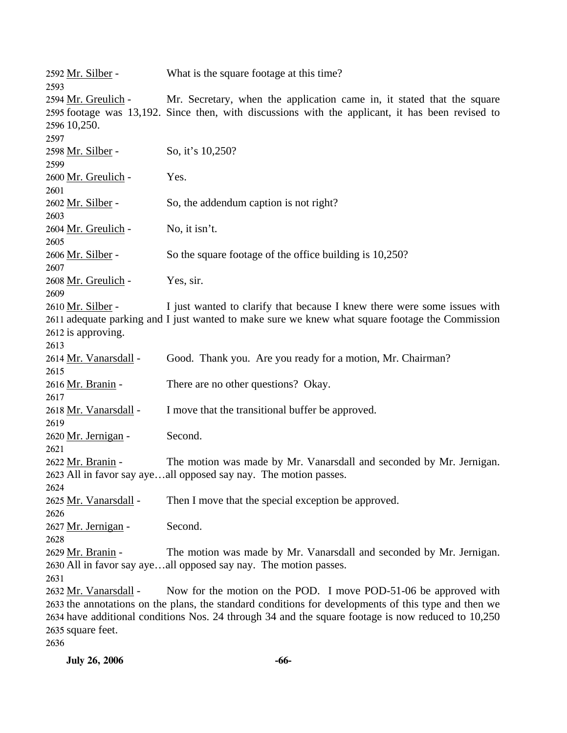| 2592 Mr. Silber -<br>2593   | What is the square footage at this time?                                                             |
|-----------------------------|------------------------------------------------------------------------------------------------------|
| 2594 Mr. Greulich -         | Mr. Secretary, when the application came in, it stated that the square                               |
|                             | 2595 footage was 13,192. Since then, with discussions with the applicant, it has been revised to     |
| 2596 10,250.                |                                                                                                      |
| 2597                        |                                                                                                      |
| 2598 Mr. Silber -           | So, it's 10,250?                                                                                     |
| 2599                        |                                                                                                      |
| 2600 Mr. Greulich -         | Yes.                                                                                                 |
| 2601                        |                                                                                                      |
| 2602 Mr. Silber -           | So, the addendum caption is not right?                                                               |
| 2603                        |                                                                                                      |
| 2604 Mr. Greulich -         | No, it isn't.                                                                                        |
| 2605                        |                                                                                                      |
| 2606 Mr. Silber -           | So the square footage of the office building is 10,250?                                              |
| 2607                        |                                                                                                      |
| 2608 Mr. Greulich -         | Yes, sir.                                                                                            |
| 2609                        |                                                                                                      |
| 2610 Mr. Silber -           | I just wanted to clarify that because I knew there were some issues with                             |
|                             | 2611 adequate parking and I just wanted to make sure we knew what square footage the Commission      |
| 2612 is approving.          |                                                                                                      |
| 2613                        |                                                                                                      |
| 2614 Mr. Vanarsdall -       | Good. Thank you. Are you ready for a motion, Mr. Chairman?                                           |
| 2615                        |                                                                                                      |
| 2616 Mr. Branin -           | There are no other questions? Okay.                                                                  |
| 2617                        |                                                                                                      |
| 2618 Mr. Vanarsdall -       | I move that the transitional buffer be approved.                                                     |
| 2619                        | Second.                                                                                              |
| 2620 Mr. Jernigan -<br>2621 |                                                                                                      |
| 2622 Mr. Branin -           | The motion was made by Mr. Vanarsdall and seconded by Mr. Jernigan.                                  |
|                             | 2623 All in favor say ayeall opposed say nay. The motion passes.                                     |
| 2624                        |                                                                                                      |
| 2625 Mr. Vanarsdall -       | Then I move that the special exception be approved.                                                  |
| 2626                        |                                                                                                      |
| 2627 Mr. Jernigan -         | Second.                                                                                              |
| 2628                        |                                                                                                      |
| 2629 Mr. Branin -           | The motion was made by Mr. Vanarsdall and seconded by Mr. Jernigan.                                  |
|                             | 2630 All in favor say ayeall opposed say nay. The motion passes.                                     |
| 2631                        |                                                                                                      |
| 2632 Mr. Vanarsdall -       | Now for the motion on the POD. I move POD-51-06 be approved with                                     |
|                             | 2633 the annotations on the plans, the standard conditions for developments of this type and then we |
|                             | 2634 have additional conditions Nos. 24 through 34 and the square footage is now reduced to 10,250   |
| 2635 square feet.           |                                                                                                      |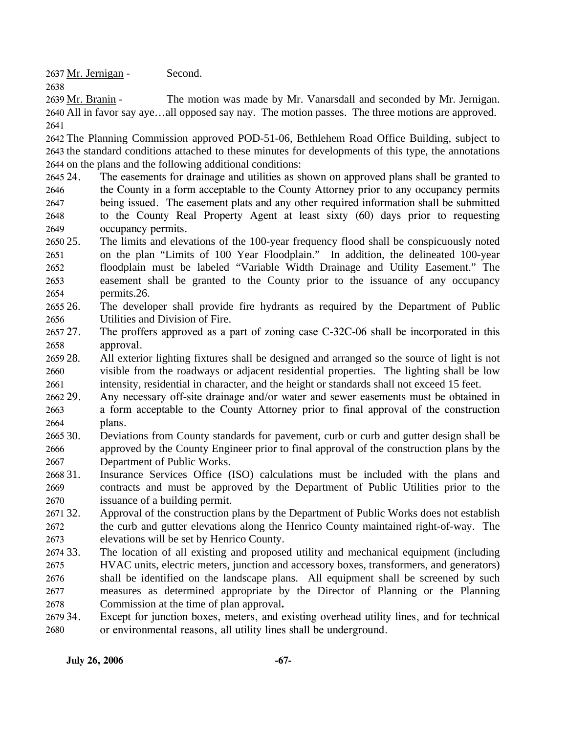2637 Mr. Jernigan - Second.

2638

The motion was made by Mr. Vanarsdall and seconded by Mr. Jernigan. 2640 All in favor say aye...all opposed say nay. The motion passes. The three motions are approved. 2639 Mr. Branin -2641

2642 The Planning Commission approved POD-51-06, Bethlehem Road Office Building, subject to 2643 the standard conditions attached to these minutes for developments of this type, the annotations 2644 on the plans and the following additional conditions:

- 2645 24. 2646 2647 2648 2649 The easements for drainage and utilities as shown on approved plans shall be granted to the County in a form acceptable to the County Attorney prior to any occupancy permits being issued. The easement plats and any other required information shall be submitted to the County Real Property Agent at least sixty (60) days prior to requesting occupancy permits.
- 2650 25 2651 2652 2653 2654 25. The limits and elevations of the 100-year frequency flood shall be conspicuously noted on the plan "Limits of 100 Year Floodplain." In addition, the delineated 100-year floodplain must be labeled "Variable Width Drainage and Utility Easement." The easement shall be granted to the County prior to the issuance of any occupancy permits.26.
- 265 26. 2656 26. The developer shall provide fire hydrants as required by the Department of Public Utilities and Division of Fire.
- 2657 27. 2658 27. The proffers approved as a part of zoning case C-32C-06 shall be incorporated in this approval.
- 2659 28. 2660 2661 28. All exterior lighting fixtures shall be designed and arranged so the source of light is not visible from the roadways or adjacent residential properties. The lighting shall be low intensity, residential in character, and the height or standards shall not exceed 15 feet.
- 2662 29. 2663 2664 Any necessary off-site drainage and/or water and sewer easements must be obtained in a form acceptable to the County Attorney prior to final approval of the construction plans.
- $266530.$ 2666 2667 Deviations from County standards for pavement, curb or curb and gutter design shall be approved by the County Engineer prior to final approval of the construction plans by the Department of Public Works.
- 2668 31. 2669 2670 Insurance Services Office (ISO) calculations must be included with the plans and contracts and must be approved by the Department of Public Utilities prior to the issuance of a building permit.
- 2671 32. 2672 2673 32. Approval of the construction plans by the Department of Public Works does not establish the curb and gutter elevations along the Henrico County maintained right-of-way. The elevations will be set by Henrico County.
- 2674 33. 2675 2676 2677 2678 33. The location of all existing and proposed utility and mechanical equipment (including HVAC units, electric meters, junction and accessory boxes, transformers, and generators) shall be identified on the landscape plans. All equipment shall be screened by such measures as determined appropriate by the Director of Planning or the Planning Commission at the time of plan approval**.**
- 2679 34. 2680 Except for junction boxes, meters, and existing overhead utility lines, and for technical or environmental reasons, all utility lines shall be underground.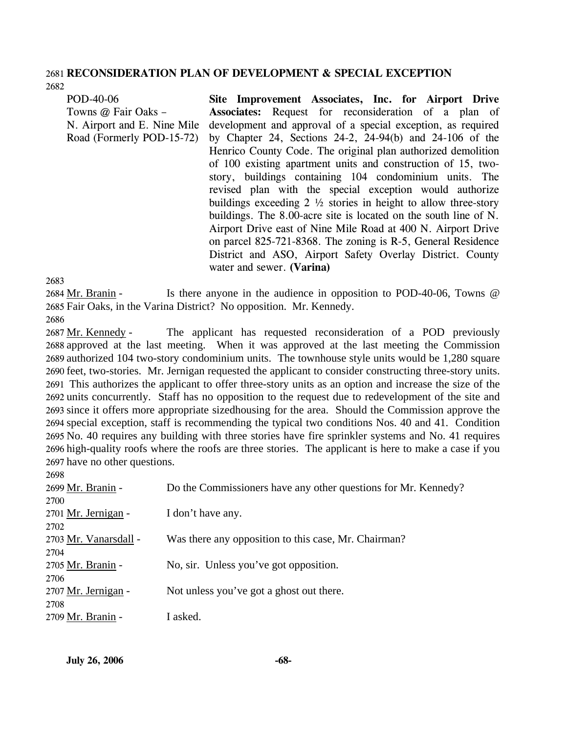#### 2681 **RECONSIDERATION PLAN OF DEVELOPMENT & SPECIAL EXCEPTION**  2682

POD-40-06 Towns @ Fair Oaks – N. Airport and E. Nine Mile Road (Formerly POD-15-72) **Site Improvement Associates, Inc. for Airport Drive Associates:** Request for reconsideration of a plan of development and approval of a special exception, as required by Chapter 24, Sections 24-2, 24-94(b) and 24-106 of the Henrico County Code. The original plan authorized demolition of 100 existing apartment units and construction of 15, twostory, buildings containing 104 condominium units. The revised plan with the special exception would authorize buildings exceeding  $2 \frac{1}{2}$  stories in height to allow three-story buildings. The 8.00-acre site is located on the south line of N. Airport Drive east of Nine Mile Road at 400 N. Airport Drive on parcel 825-721-8368. The zoning is R-5, General Residence District and ASO, Airport Safety Overlay District. County water and sewer. **(Varina)** 

2683

 $2699$ 

Is there anyone in the audience in opposition to POD-40-06, Towns  $\omega$ 2685 Fair Oaks, in the Varina District? No opposition. Mr. Kennedy. 2684 Mr. Branin -2686

The applicant has requested reconsideration of a POD previously 2688 approved at the last meeting. When it was approved at the last meeting the Commission 2689 authorized 104 two-story condominium units. The townhouse style units would be 1,280 square 2690 feet, two-stories. Mr. Jernigan requested the applicant to consider constructing three-story units. This authorizes the applicant to offer three-story units as an option and increase the size of the 2691 2692 units concurrently. Staff has no opposition to the request due to redevelopment of the site and 2693 since it offers more appropriate sizedhousing for the area. Should the Commission approve the 2694 special exception, staff is recommending the typical two conditions Nos. 40 and 41. Condition 2695 No. 40 requires any building with three stories have fire sprinkler systems and No. 41 requires 2696 high-quality roofs where the roofs are three stories. The applicant is here to make a case if you 2697 have no other questions. 2687 Mr. Kennedy -

| 2090                       |                                                                |
|----------------------------|----------------------------------------------------------------|
| 2699 Mr. Branin -          | Do the Commissioners have any other questions for Mr. Kennedy? |
| 2700                       |                                                                |
| 2701 <u>Mr. Jernigan</u> - | I don't have any.                                              |
| 2702                       |                                                                |
| 2703 Mr. Vanarsdall -      | Was there any opposition to this case, Mr. Chairman?           |
| 2704                       |                                                                |
| 2705 <u>Mr. Branin</u> -   | No, sir. Unless you've got opposition.                         |
| 2706                       |                                                                |
| 2707 Mr. Jernigan -        | Not unless you've got a ghost out there.                       |
| 2708                       |                                                                |
| 2709 Mr. Branin -          | I asked.                                                       |
|                            |                                                                |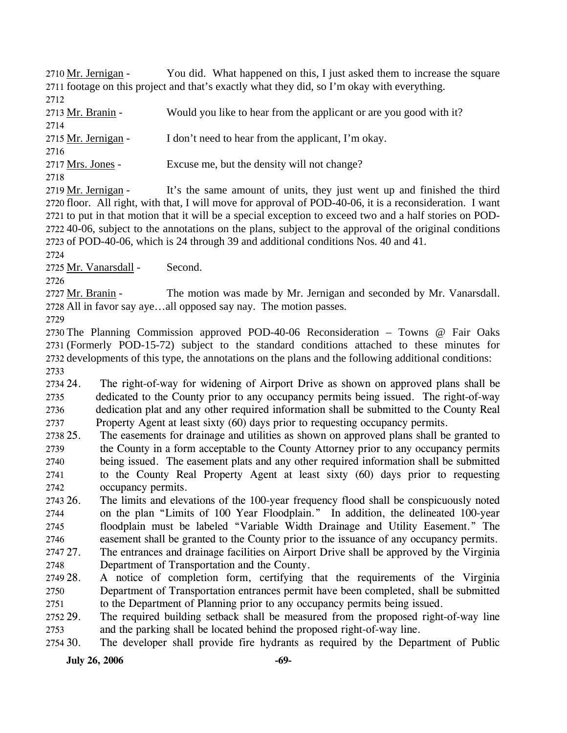You did. What happened on this, I just asked them to increase the square 2711 footage on this project and that's exactly what they did, so I'm okay with everything. 2710 Mr. Jernigan -2712

2713 Mr. Branin - Would you like to hear from the applicant or are you good with it?

2714 2715 Mr. Jernigan - I don't need to hear from the applicant, I'm okay. 2716 2717 Mrs. Jones - Excuse me, but the density will not change? 2718

It's the same amount of units, they just went up and finished the third 2720 floor. All right, with that, I will move for approval of POD-40-06, it is a reconsideration. I want 2721 to put in that motion that it will be a special exception to exceed two and a half stories on POD-40-06, subject to the annotations on the plans, subject to the approval of the original conditions 2722 2723 of POD-40-06, which is 24 through 39 and additional conditions Nos. 40 and 41. 2719 Mr. Jernigan -

2724

2725 Mr. Vanarsdall - Second.

2726

The motion was made by Mr. Jernigan and seconded by Mr. Vanarsdall. 2728 All in favor say aye...all opposed say nay. The motion passes. 2727 Mr. Branin -

2729

 The Planning Commission approved POD-40-06 Reconsideration – Towns @ Fair Oaks (Formerly POD-15-72) subject to the standard conditions attached to these minutes for developments of this type, the annotations on the plans and the following additional conditions: 2733

2734 24. 2735 2736 2737 The right-of-way for widening of Airport Drive as shown on approved plans shall be dedicated to the County prior to any occupancy permits being issued. The right-of-way dedication plat and any other required information shall be submitted to the County Real Property Agent at least sixty (60) days prior to requesting occupancy permits.

- 2738 25. 2739 2740 2741 2742 The easements for drainage and utilities as shown on approved plans shall be granted to the County in a form acceptable to the County Attorney prior to any occupancy permits being issued. The easement plats and any other required information shall be submitted to the County Real Property Agent at least sixty (60) days prior to requesting occupancy permits.
- 2743 26. 2744 2745 2746 26. The limits and elevations of the 100-year frequency flood shall be conspicuously noted on the plan "Limits of 100 Year Floodplain." In addition, the delineated 100-year floodplain must be labeled "Variable Width Drainage and Utility Easement." The easement shall be granted to the County prior to the issuance of any occupancy permits.
- 2747 27 2748 The entrances and drainage facilities on Airport Drive shall be approved by the Virginia Department of Transportation and the County.
- 2749 28. 2750 2751 28. A notice of completion form, certifying that the requirements of the Virginia Department of Transportation entrances permit have been completed, shall be submitted to the Department of Planning prior to any occupancy permits being issued.
- 2752 29. 2753 The required building setback shall be measured from the proposed right-of-way line and the parking shall be located behind the proposed right-of-way line.
- 2754 30. The developer shall provide fire hydrants as required by the Department of Public

**July 26, 2006** -69-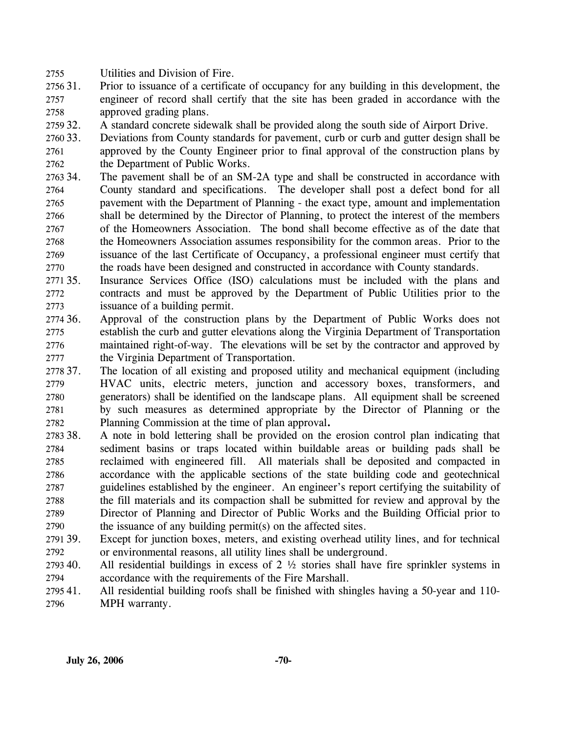2755 Utilities and Division of Fire.

- 2756 31. 2757 2758 31. Prior to issuance of a certificate of occupancy for any building in this development, the engineer of record shall certify that the site has been graded in accordance with the approved grading plans.
- 2759 32. 32. A standard concrete sidewalk shall be provided along the south side of Airport Drive.
- 2760 33. 2761 2762 33. Deviations from County standards for pavement, curb or curb and gutter design shall be approved by the County Engineer prior to final approval of the construction plans by the Department of Public Works.
- 2763 34. 2764 2765 2766 2767 2768 2769 2770 The pavement shall be of an SM-2A type and shall be constructed in accordance with County standard and specifications. The developer shall post a defect bond for all pavement with the Department of Planning - the exact type, amount and implementation shall be determined by the Director of Planning, to protect the interest of the members of the Homeowners Association. The bond shall become effective as of the date that the Homeowners Association assumes responsibility for the common areas. Prior to the issuance of the last Certificate of Occupancy, a professional engineer must certify that the roads have been designed and constructed in accordance with County standards.
- 2771 35. 2772 2773 Insurance Services Office (ISO) calculations must be included with the plans and contracts and must be approved by the Department of Public Utilities prior to the issuance of a building permit.
- 2774 36. 2775 2776 2777 Approval of the construction plans by the Department of Public Works does not establish the curb and gutter elevations along the Virginia Department of Transportation maintained right-of-way. The elevations will be set by the contractor and approved by the Virginia Department of Transportation.
- 2778 37. 2779 2780 2781 2782 37. The location of all existing and proposed utility and mechanical equipment (including HVAC units, electric meters, junction and accessory boxes, transformers, and generators) shall be identified on the landscape plans. All equipment shall be screened by such measures as determined appropriate by the Director of Planning or the Planning Commission at the time of plan approval**.**
- 2783 38. 2784 2785 2786 2787 2788 2789 2790 38. A note in bold lettering shall be provided on the erosion control plan indicating that sediment basins or traps located within buildable areas or building pads shall be reclaimed with engineered fill. All materials shall be deposited and compacted in accordance with the applicable sections of the state building code and geotechnical guidelines established by the engineer. An engineer's report certifying the suitability of the fill materials and its compaction shall be submitted for review and approval by the Director of Planning and Director of Public Works and the Building Official prior to the issuance of any building permit(s) on the affected sites.
- 2791 39. 2792 Except for junction boxes, meters, and existing overhead utility lines, and for technical or environmental reasons, all utility lines shall be underground.
- 2793 40. 2794 All residential buildings in excess of  $2 \frac{1}{2}$  stories shall have fire sprinkler systems in accordance with the requirements of the Fire Marshall.
- 279541. 2796 All residential building roofs shall be finished with shingles having a 50-year and 110-MPH warranty.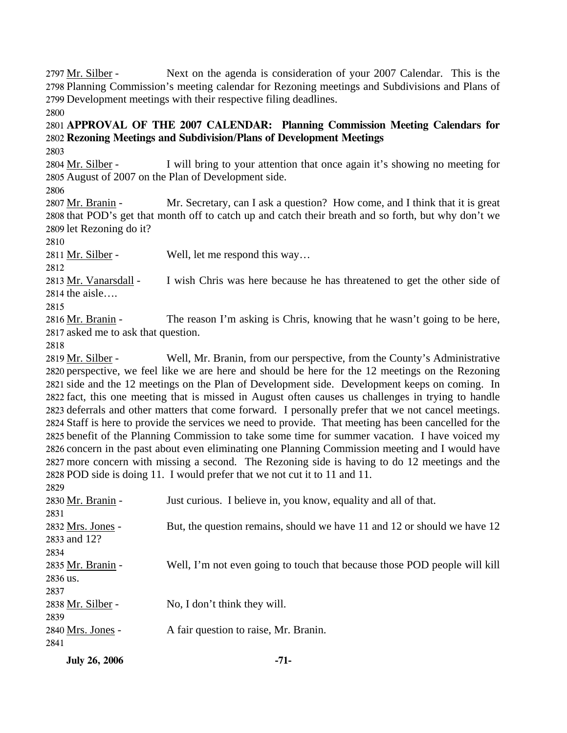Next on the agenda is consideration of your 2007 Calendar. This is the 2798 Planning Commission's meeting calendar for Rezoning meetings and Subdivisions and Plans of 2799 Development meetings with their respective filing deadlines. 2797 Mr. Silber -2800

# 2801 **APPROVAL OF THE 2007 CALENDAR: Planning Commission Meeting Calendars for**  2802 **Rezoning Meetings and Subdivision/Plans of Development Meetings**

2803

I will bring to your attention that once again it's showing no meeting for 2805 August of 2007 on the Plan of Development side. 2804 Mr. Silber -

2806

Mr. Secretary, can I ask a question? How come, and I think that it is great 2808 that POD's get that month off to catch up and catch their breath and so forth, but why don't we 2809 let Rezoning do it? 2807 Mr. Branin -

2810

2811 Mr. Silber - Well, let me respond this way...

2812

I wish Chris was here because he has threatened to get the other side of  $2814$  the aisle.... 2813 Mr. Vanarsdall -

2815

The reason I'm asking is Chris, knowing that he wasn't going to be here, 2817 asked me to ask that question. 2816 Mr. Branin -

2818

Well, Mr. Branin, from our perspective, from the County's Administrative 2820 perspective, we feel like we are here and should be here for the 12 meetings on the Rezoning 2821 side and the 12 meetings on the Plan of Development side. Development keeps on coming. In 2822 fact, this one meeting that is missed in August often causes us challenges in trying to handle 2823 deferrals and other matters that come forward. I personally prefer that we not cancel meetings. 2824 Staff is here to provide the services we need to provide. That meeting has been cancelled for the 2825 benefit of the Planning Commission to take some time for summer vacation. I have voiced my 2826 concern in the past about even eliminating one Planning Commission meeting and I would have 2827 more concern with missing a second. The Rezoning side is having to do 12 meetings and the 2828 POD side is doing 11. I would prefer that we not cut it to 11 and 11. 2819 Mr. Silber -

| <b>July 26, 2006</b> | $-71-$                                                                    |
|----------------------|---------------------------------------------------------------------------|
| 2841                 |                                                                           |
| 2840 Mrs. Jones -    | A fair question to raise, Mr. Branin.                                     |
| 2839                 |                                                                           |
| 2838 Mr. Silber -    | No, I don't think they will.                                              |
| 2837                 |                                                                           |
| 2836 us.             |                                                                           |
| 2835 Mr. Branin -    | Well, I'm not even going to touch that because those POD people will kill |
| 2834                 |                                                                           |
| 2833 and 12?         |                                                                           |
| 2832 Mrs. Jones -    | But, the question remains, should we have 11 and 12 or should we have 12  |
| 2831                 |                                                                           |
| 2830 Mr. Branin -    | Just curious. I believe in, you know, equality and all of that.           |
| 2829                 |                                                                           |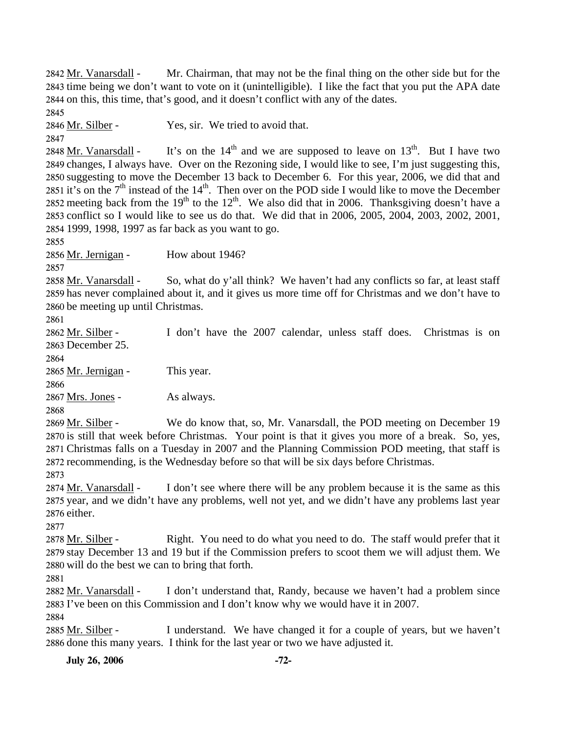**July 26, 2006** -72-Mr. Chairman, that may not be the final thing on the other side but for the 2843 time being we don't want to vote on it (unintelligible). I like the fact that you put the APA date 2844 on this, this time, that's good, and it doesn't conflict with any of the dates. 2842 Mr. Vanarsdall -2845 2846 Mr. Silber - Yes, sir. We tried to avoid that. 2847 It's on the  $14<sup>th</sup>$  and we are supposed to leave on  $13<sup>th</sup>$ . But I have two 2849 changes, I always have. Over on the Rezoning side, I would like to see, I'm just suggesting this, 2850 suggesting to move the December 13 back to December 6. For this year, 2006, we did that and 2851 it's on the  $7<sup>th</sup>$  instead of the 14<sup>th</sup>. Then over on the POD side I would like to move the December 2848 Mr. Vanarsdall -2852 meeting back from the 19<sup>th</sup> to the 12<sup>th</sup>. We also did that in 2006. Thanksgiving doesn't have a 2853 conflict so I would like to see us do that. We did that in 2006, 2005, 2004, 2003, 2002, 2001, 2854 1999, 1998, 1997 as far back as you want to go. 2855 2856 Mr. Jernigan - How about 1946? 2857 So, what do y'all think? We haven't had any conflicts so far, at least staff 2859 has never complained about it, and it gives us more time off for Christmas and we don't have to 2860 be meeting up until Christmas. 2858 Mr. Vanarsdall -2861 I don't have the 2007 calendar, unless staff does. Christmas is on 2863 December 25. 2862 Mr. Silber -2864 2865 Mr. Jernigan - This year. 2866 2867 Mrs. Jones - As always. 2868 We do know that, so, Mr. Vanarsdall, the POD meeting on December 19 2870 is still that week before Christmas. Your point is that it gives you more of a break. So, yes, 2871 Christmas falls on a Tuesday in 2007 and the Planning Commission POD meeting, that staff is 2872 recommending, is the Wednesday before so that will be six days before Christmas. 2869 Mr. Silber -2873 I don't see where there will be any problem because it is the same as this 2875 year, and we didn't have any problems, well not yet, and we didn't have any problems last year 2876 either. 2874 Mr. Vanarsdall -2877 Right. You need to do what you need to do. The staff would prefer that it 2879 stay December 13 and 19 but if the Commission prefers to scoot them we will adjust them. We 2880 will do the best we can to bring that forth. 2878 Mr. Silber -2881 I don't understand that, Randy, because we haven't had a problem since 2883 I've been on this Commission and I don't know why we would have it in 2007. 2882 Mr. Vanarsdall -2884 I understand. We have changed it for a couple of years, but we haven't 2886 done this many years. I think for the last year or two we have adjusted it. 2885 Mr. Silber -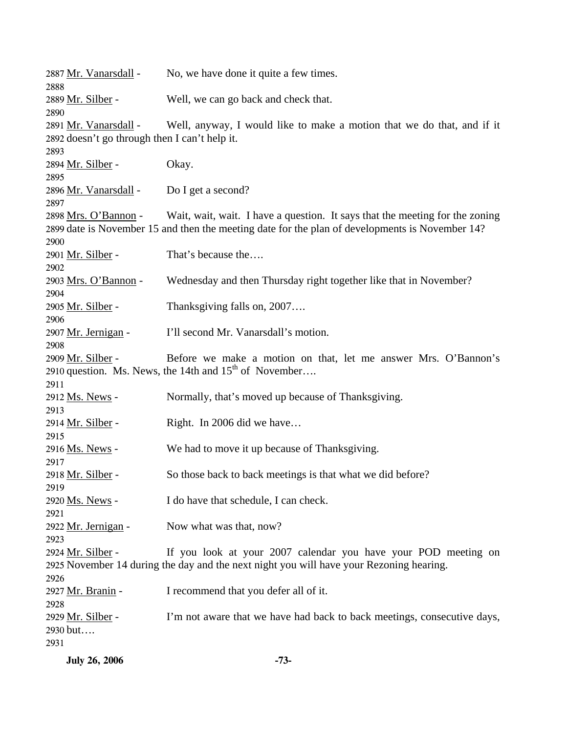| 2887 Mr. Vanarsdall -<br>2888                                                                                                                   | No, we have done it quite a few times.                                                                                                                                          |  |  |
|-------------------------------------------------------------------------------------------------------------------------------------------------|---------------------------------------------------------------------------------------------------------------------------------------------------------------------------------|--|--|
| 2889 Mr. Silber -<br>2890                                                                                                                       | Well, we can go back and check that.                                                                                                                                            |  |  |
| 2891 Mr. Vanarsdall -<br>2892 doesn't go through then I can't help it.                                                                          | Well, anyway, I would like to make a motion that we do that, and if it                                                                                                          |  |  |
| 2893                                                                                                                                            |                                                                                                                                                                                 |  |  |
| 2894 Mr. Silber -<br>2895                                                                                                                       | Okay.                                                                                                                                                                           |  |  |
| 2896 Mr. Vanarsdall -<br>2897                                                                                                                   | Do I get a second?                                                                                                                                                              |  |  |
| 2898 Mrs. O'Bannon -<br>2900                                                                                                                    | Wait, wait, wait. I have a question. It says that the meeting for the zoning<br>2899 date is November 15 and then the meeting date for the plan of developments is November 14? |  |  |
| 2901 Mr. Silber -<br>2902                                                                                                                       | That's because the                                                                                                                                                              |  |  |
| 2903 Mrs. O'Bannon -<br>2904                                                                                                                    | Wednesday and then Thursday right together like that in November?                                                                                                               |  |  |
| 2905 <u>Mr. Silber</u> -<br>2906                                                                                                                | Thanksgiving falls on, 2007                                                                                                                                                     |  |  |
| 2907 Mr. Jernigan -<br>2908                                                                                                                     | I'll second Mr. Vanarsdall's motion.                                                                                                                                            |  |  |
| 2909 Mr. Silber -<br>Before we make a motion on that, let me answer Mrs. O'Bannon's<br>2910 question. Ms. News, the 14th and $15th$ of November |                                                                                                                                                                                 |  |  |
| 2911<br>2912 Ms. News -<br>2913                                                                                                                 | Normally, that's moved up because of Thanksgiving.                                                                                                                              |  |  |
| <u> 2914 Mr. Silber</u> -<br>2915                                                                                                               | Right. In 2006 did we have                                                                                                                                                      |  |  |
| 2916 Ms. News -<br>2917                                                                                                                         | We had to move it up because of Thanksgiving.                                                                                                                                   |  |  |
| <u> 2918 Mr. Silber</u> -<br>2919                                                                                                               | So those back to back meetings is that what we did before?                                                                                                                      |  |  |
| 2920 Ms. News -<br>2921                                                                                                                         | I do have that schedule, I can check.                                                                                                                                           |  |  |
| 2922 Mr. Jernigan -<br>2923                                                                                                                     | Now what was that, now?                                                                                                                                                         |  |  |
| 2924 Mr. Silber -<br>2926                                                                                                                       | If you look at your 2007 calendar you have your POD meeting on<br>2925 November 14 during the day and the next night you will have your Rezoning hearing.                       |  |  |
| 2927 Mr. Branin -<br>2928                                                                                                                       | I recommend that you defer all of it.                                                                                                                                           |  |  |
| <u> 2929 Mr. Silber</u> -<br>2930 but<br>2931                                                                                                   | I'm not aware that we have had back to back meetings, consecutive days,                                                                                                         |  |  |

**July 26, 2006 -73-**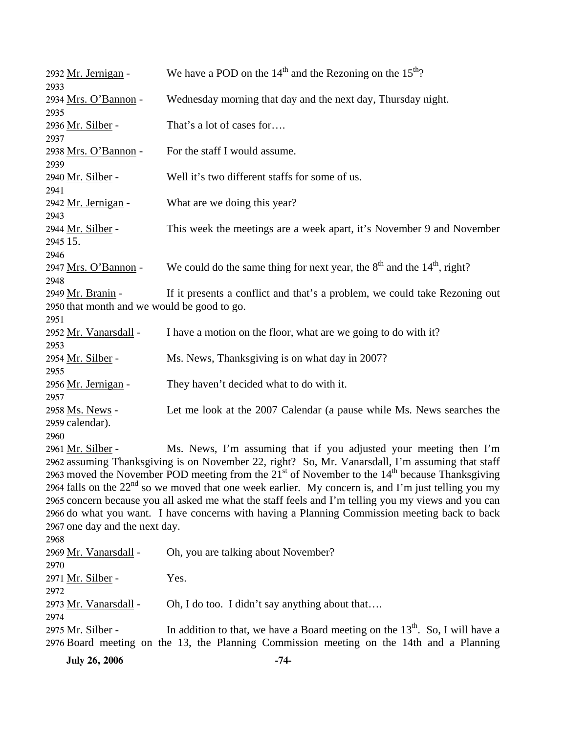| 2932 Mr. Jernigan -<br>2933                                         | We have a POD on the $14th$ and the Rezoning on the $15th$ ?                                                                                                                                                                                                                                                                                                                                                                                                                                                                                                                                  |
|---------------------------------------------------------------------|-----------------------------------------------------------------------------------------------------------------------------------------------------------------------------------------------------------------------------------------------------------------------------------------------------------------------------------------------------------------------------------------------------------------------------------------------------------------------------------------------------------------------------------------------------------------------------------------------|
| 2934 Mrs. O'Bannon -<br>2935                                        | Wednesday morning that day and the next day, Thursday night.                                                                                                                                                                                                                                                                                                                                                                                                                                                                                                                                  |
| 2936 Mr. Silber -<br>2937                                           | That's a lot of cases for                                                                                                                                                                                                                                                                                                                                                                                                                                                                                                                                                                     |
| 2938 Mrs. O'Bannon -<br>2939                                        | For the staff I would assume.                                                                                                                                                                                                                                                                                                                                                                                                                                                                                                                                                                 |
| 2940 Mr. Silber -<br>2941                                           | Well it's two different staffs for some of us.                                                                                                                                                                                                                                                                                                                                                                                                                                                                                                                                                |
| 2942 Mr. Jernigan -<br>2943                                         | What are we doing this year?                                                                                                                                                                                                                                                                                                                                                                                                                                                                                                                                                                  |
| 2944 Mr. Silber -<br>2945 15.                                       | This week the meetings are a week apart, it's November 9 and November                                                                                                                                                                                                                                                                                                                                                                                                                                                                                                                         |
| 2946<br>2947 Mrs. O'Bannon -                                        | We could do the same thing for next year, the $8th$ and the $14th$ , right?                                                                                                                                                                                                                                                                                                                                                                                                                                                                                                                   |
| 2948<br>2949 Mr. Branin -                                           | If it presents a conflict and that's a problem, we could take Rezoning out                                                                                                                                                                                                                                                                                                                                                                                                                                                                                                                    |
| 2950 that month and we would be good to go.<br>2951                 |                                                                                                                                                                                                                                                                                                                                                                                                                                                                                                                                                                                               |
| 2952 Mr. Vanarsdall -<br>2953                                       | I have a motion on the floor, what are we going to do with it?                                                                                                                                                                                                                                                                                                                                                                                                                                                                                                                                |
| 2954 Mr. Silber -<br>2955                                           | Ms. News, Thanksgiving is on what day in 2007?                                                                                                                                                                                                                                                                                                                                                                                                                                                                                                                                                |
| 2956 Mr. Jernigan -<br>2957                                         | They haven't decided what to do with it.                                                                                                                                                                                                                                                                                                                                                                                                                                                                                                                                                      |
| 2958 Ms. News -<br>2959 calendar).                                  | Let me look at the 2007 Calendar (a pause while Ms. News searches the                                                                                                                                                                                                                                                                                                                                                                                                                                                                                                                         |
| 2960<br>2961 Mr. Silber -<br>2967 one day and the next day.<br>2968 | Ms. News, I'm assuming that if you adjusted your meeting then I'm<br>2962 assuming Thanksgiving is on November 22, right? So, Mr. Vanarsdall, I'm assuming that staff<br>2963 moved the November POD meeting from the $21st$ of November to the $14th$ because Thanksgiving<br>2964 falls on the $22nd$ so we moved that one week earlier. My concern is, and I'm just telling you my<br>2965 concern because you all asked me what the staff feels and I'm telling you my views and you can<br>2966 do what you want. I have concerns with having a Planning Commission meeting back to back |
| 2969 Mr. Vanarsdall -<br>2970                                       | Oh, you are talking about November?                                                                                                                                                                                                                                                                                                                                                                                                                                                                                                                                                           |
| 2971 Mr. Silber -<br>2972                                           | Yes.                                                                                                                                                                                                                                                                                                                                                                                                                                                                                                                                                                                          |
| 2973 Mr. Vanarsdall -<br>2974                                       | Oh, I do too. I didn't say anything about that                                                                                                                                                                                                                                                                                                                                                                                                                                                                                                                                                |
| 2975 Mr. Silber -                                                   | In addition to that, we have a Board meeting on the $13th$ . So, I will have a<br>2976 Board meeting on the 13, the Planning Commission meeting on the 14th and a Planning                                                                                                                                                                                                                                                                                                                                                                                                                    |

**July 26, 2006** -74-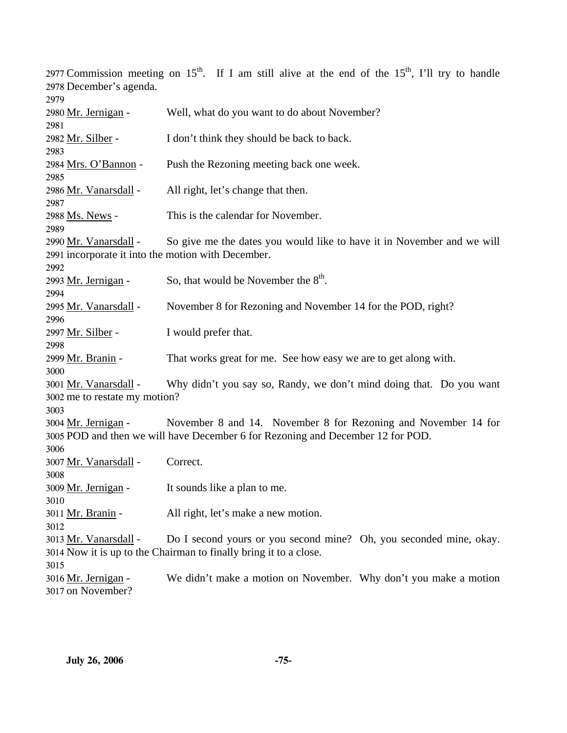2977 Commission meeting on  $15^{th}$ . If I am still alive at the end of the  $15^{th}$ , I'll try to handle 2978 December's agenda. 2979 2980 Mr. Jernigan - Well, what do you want to do about November? 2981 2982 Mr. Silber - I don't think they should be back to back. 2983 2984 Mrs. O'Bannon - Push the Rezoning meeting back one week. 2985 2986 Mr. Vanarsdall - All right, let's change that then. 2987 2988 Ms. News - This is the calendar for November. 2989 So give me the dates you would like to have it in November and we will 2991 incorporate it into the motion with December. 2990 Mr. Vanarsdall -2992 2993 Mr. Jernigan - So, that would be November the  $8<sup>th</sup>$ . 2994 2995 Mr. Vanarsdall - November 8 for Rezoning and November 14 for the POD, right? 2996 2997 Mr. Silber - I would prefer that. 2998 2999 Mr. Branin - That works great for me. See how easy we are to get along with. 3000 Why didn't you say so, Randy, we don't mind doing that. Do you want 3002 me to restate my motion? 3001 Mr. Vanarsdall -3003 November 8 and 14. November 8 for Rezoning and November 14 for 3005 POD and then we will have December 6 for Rezoning and December 12 for POD. 3004 Mr. Jernigan -3006 3007 Mr. Vanarsdall - Correct. 3008 3009 <u>Mr. Jernigan</u> - It sounds like a plan to me. 3010 3011 Mr. Branin - All right, let's make a new motion. 3012 Do I second yours or you second mine? Oh, you seconded mine, okay. 3014 Now it is up to the Chairman to finally bring it to a close. 3013 Mr. Vanarsdall -3015 We didn't make a motion on November. Why don't you make a motion 3017 on November? 3016 Mr. Jernigan -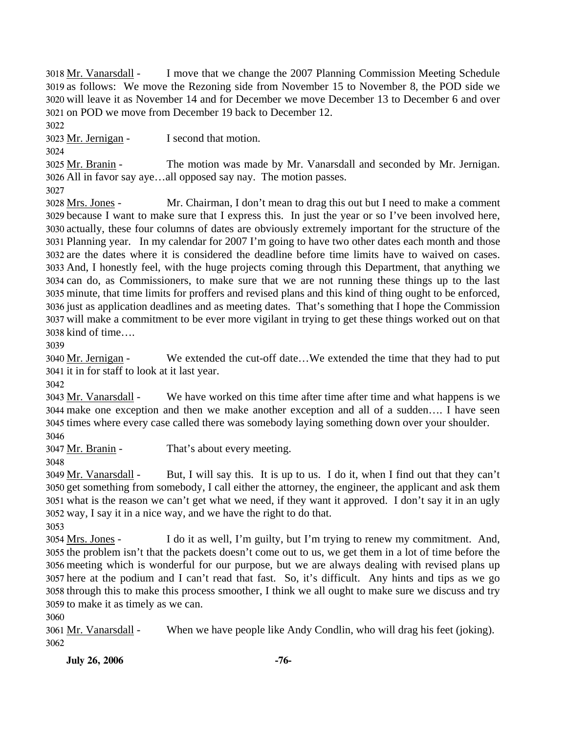I move that we change the 2007 Planning Commission Meeting Schedule 3019 as follows: We move the Rezoning side from November 15 to November 8, the POD side we 3020 will leave it as November 14 and for December we move December 13 to December 6 and over 3021 on POD we move from December 19 back to December 12. 3018 Mr. Vanarsdall -

3022

3023 Mr. Jernigan - I second that motion.

3024

The motion was made by Mr. Vanarsdall and seconded by Mr. Jernigan. All in favor say aye…all opposed say nay. The motion passes. 3026 3025 Mr. Branin -

3027

Mr. Chairman, I don't mean to drag this out but I need to make a comment 3029 because I want to make sure that I express this. In just the year or so I've been involved here, 3030 actually, these four columns of dates are obviously extremely important for the structure of the Planning year. In my calendar for 2007 I'm going to have two other dates each month and those 3031 3032 are the dates where it is considered the deadline before time limits have to waived on cases. 3033 And, I honestly feel, with the huge projects coming through this Department, that anything we 3034 can do, as Commissioners, to make sure that we are not running these things up to the last 3035 minute, that time limits for proffers and revised plans and this kind of thing ought to be enforced, 3036 just as application deadlines and as meeting dates. That's something that I hope the Commission 3037 will make a commitment to be ever more vigilant in trying to get these things worked out on that 3038 kind of time.... 3028 Mrs. Jones -

3039

We extended the cut-off date...We extended the time that they had to put 3041 it in for staff to look at it last year. 3040 Mr. Jernigan -

3042

We have worked on this time after time after time and what happens is we make one exception and then we make another exception and all of a sudden…. I have seen 3044 3045 times where every case called there was somebody laying something down over your shoulder. 3043 Mr. Vanarsdall -

3046

3047 Mr. Branin - That's about every meeting.

3048

But, I will say this. It is up to us. I do it, when I find out that they can't 3050 get something from somebody, I call either the attorney, the engineer, the applicant and ask them 3051 what is the reason we can't get what we need, if they want it approved. I don't say it in an ugly 3052 way, I say it in a nice way, and we have the right to do that. 3049 Mr. Vanarsdall -

3053

I do it as well, I'm guilty, but I'm trying to renew my commitment. And, 3055 the problem isn't that the packets doesn't come out to us, we get them in a lot of time before the 3056 meeting which is wonderful for our purpose, but we are always dealing with revised plans up 3057 here at the podium and I can't read that fast. So, it's difficult. Any hints and tips as we go 3058 through this to make this process smoother, I think we all ought to make sure we discuss and try 3059 to make it as timely as we can. 3054 Mrs. Jones -

3060

3061 <u>Mr. Vanarsdall</u> - When we have people like Andy Condlin, who will drag his feet (joking). 3062

**July 26, 2006** -76-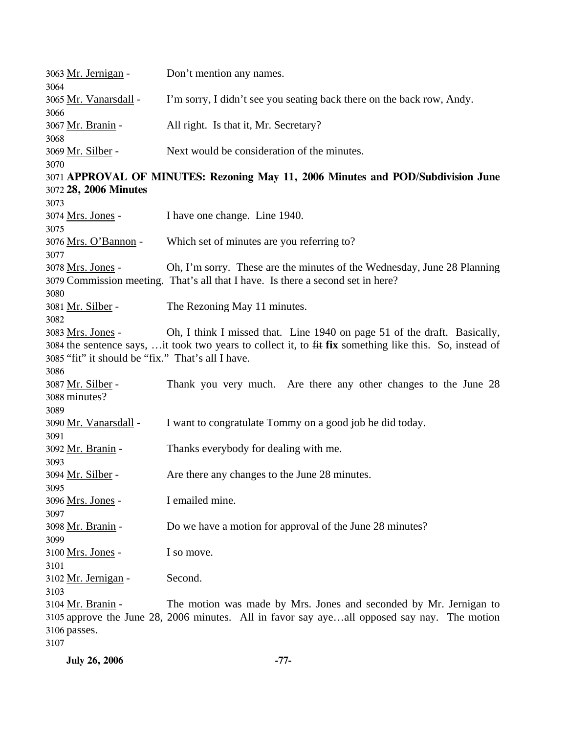| 3063 Mr. Jernigan -<br>3064                                                                                                                                                                                                                                   | Don't mention any names.                                                                                                                                         |  |  |  |
|---------------------------------------------------------------------------------------------------------------------------------------------------------------------------------------------------------------------------------------------------------------|------------------------------------------------------------------------------------------------------------------------------------------------------------------|--|--|--|
| 3065 Mr. Vanarsdall -                                                                                                                                                                                                                                         | I'm sorry, I didn't see you seating back there on the back row, Andy.                                                                                            |  |  |  |
| 3066<br>3067 Mr. Branin -                                                                                                                                                                                                                                     | All right. Is that it, Mr. Secretary?                                                                                                                            |  |  |  |
| 3068<br>3069 Mr. Silber -                                                                                                                                                                                                                                     | Next would be consideration of the minutes.                                                                                                                      |  |  |  |
| 3070<br>3071 APPROVAL OF MINUTES: Rezoning May 11, 2006 Minutes and POD/Subdivision June                                                                                                                                                                      |                                                                                                                                                                  |  |  |  |
| 3072 28, 2006 Minutes                                                                                                                                                                                                                                         |                                                                                                                                                                  |  |  |  |
| 3073<br>3074 Mrs. Jones -<br>3075                                                                                                                                                                                                                             | I have one change. Line 1940.                                                                                                                                    |  |  |  |
| 3076 Mrs. O'Bannon -<br>3077                                                                                                                                                                                                                                  | Which set of minutes are you referring to?                                                                                                                       |  |  |  |
| 3078 Mrs. Jones -<br>3080                                                                                                                                                                                                                                     | Oh, I'm sorry. These are the minutes of the Wednesday, June 28 Planning<br>3079 Commission meeting. That's all that I have. Is there a second set in here?       |  |  |  |
| 3081 <u>Mr. Silber</u> -<br>3082                                                                                                                                                                                                                              | The Rezoning May 11 minutes.                                                                                                                                     |  |  |  |
| Oh, I think I missed that. Line 1940 on page 51 of the draft. Basically,<br>3083 Mrs. Jones -<br>3084 the sentence says, it took two years to collect it, to fit fix something like this. So, instead of<br>3085 "fit" it should be "fix." That's all I have. |                                                                                                                                                                  |  |  |  |
| 3086<br>3087 <u>Mr. Silber</u> -<br>3088 minutes?                                                                                                                                                                                                             | Thank you very much. Are there any other changes to the June 28                                                                                                  |  |  |  |
| 3089<br>3090 Mr. Vanarsdall -<br>3091                                                                                                                                                                                                                         | I want to congratulate Tommy on a good job he did today.                                                                                                         |  |  |  |
| 3092 Mr. Branin -<br>3093                                                                                                                                                                                                                                     | Thanks everybody for dealing with me.                                                                                                                            |  |  |  |
| 3094 <u>Mr. Silber</u> -<br>3095                                                                                                                                                                                                                              | Are there any changes to the June 28 minutes.                                                                                                                    |  |  |  |
| 3096 Mrs. Jones -<br>3097                                                                                                                                                                                                                                     | I emailed mine.                                                                                                                                                  |  |  |  |
| 3098 Mr. Branin -<br>3099                                                                                                                                                                                                                                     | Do we have a motion for approval of the June 28 minutes?                                                                                                         |  |  |  |
| 3100 Mrs. Jones -<br>3101                                                                                                                                                                                                                                     | I so move.                                                                                                                                                       |  |  |  |
| 3102 Mr. Jernigan -<br>3103                                                                                                                                                                                                                                   | Second.                                                                                                                                                          |  |  |  |
| 3104 Mr. Branin -<br>3106 passes.<br>3107                                                                                                                                                                                                                     | The motion was made by Mrs. Jones and seconded by Mr. Jernigan to<br>3105 approve the June 28, 2006 minutes. All in favor say ayeall opposed say nay. The motion |  |  |  |